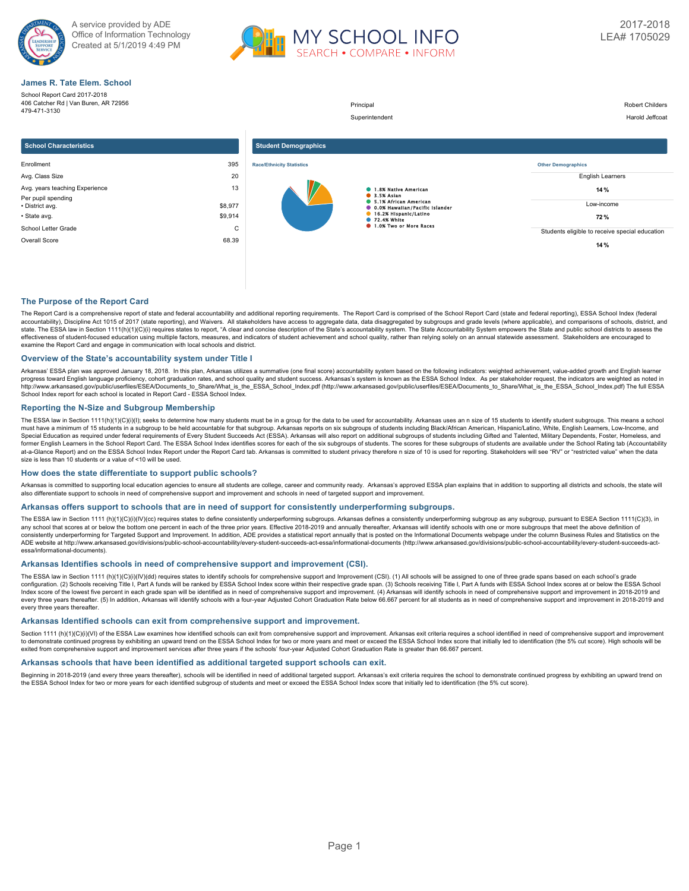



## **James R. Tate Elem. School**

School Report Card 2017-2018 406 Catcher Rd | Van Buren, AR 72956 479-471-3130

Principal Robert Childers and Childers and Childers and Childers and Childers and Childers and Childers and Childers and Childers and Childers and Childers and Childers and Childers and Childers and Childers and Childers a Superintendent Harold Jeffcoat **School Characteristics** Enrollment 395 Avg. Class Size 20 Avg. years teaching Experience 13 Per pupil spending • District avg.  $$8,977$ • State avg. \$9,914 School Letter Grade C Overall Score 68.39 **Student Demographics Race/Ethnicity Statistics** 1.8% Native American 3.5% Asian<br>5.1% African American<br>0.0% Hawaiian/Pacific Islander<br>16.2% White<br>72.4% White<br>1.0% Two or More Races **Other Demographics** English Learners **14 %** Low-income **72 %** Students eligible to receive special education **14 %**

### **The Purpose of the Report Card**

The Report Card is a comprehensive report of state and federal accountability and additional reporting requirements. The Report Card is comprised of the School Report Card (state and federal reporting), ESSA School Index ( accountability), Discipline Act 1015 of 2017 (state reporting), and Waivers. All stakeholders have access to aggregate data, data disaggregated by subgroups and grade levels (where applicable), and comparisons of schools, state. The ESSA law in Section 1111(h)(1)(C)(i) requires states to report, "A clear and concise description of the State's accountability system. The State Accountability System empowers the State and public school distric effectiveness of student-focused education using multiple factors, measures, and indicators of student achievement and school quality, rather than relying solely on an annual statewide assessment. Stakeholders are encoura

#### **Overview of the State's accountability system under Title I**

Arkansas' ESSA plan was approved January 18, 2018. In this plan, Arkansas utilizes a summative (one final score) accountability system based on the following indicators: weighted achievement, value-added growth and English progress toward English language proficiency, cohort graduation rates, and school quality and student success. Arkansas's system is known as the ESSA School Index. As per stakeholder request, the indicators are weighted as School Index report for each school is located in Report Card - ESSA School Index.

#### **Reporting the N-Size and Subgroup Membership**

The ESSA law in Section 1111(h)(1)(C)(i)(l); seeks to determine how many students must be in a group for the data to be used for accountability. Arkansas uses an n size of 15 students to identify student subgroups. This me must have a minimum of 15 students in a subgroup to be held accountable for that subgroup. Arkansas reports on six subgroups of students including Black/African American, Hispanic/Latino, White, English Learners, Low-Incom Special Education as required under federal requirements of Every Student Succeeds Act (ESSA). Arkansas will also report on additional subgroups of students including Gifted and Talented, Military Dependents, Foster, Homel former English Learners in the School Report Card. The ESSA School Index identifies scores for each of the six subgroups of students. The scores for these subgroups of students are available under the School Rating tab (Ac at-a-Glance Report) and on the ESSA School Index Report under the Report Card tab. Arkansas is committed to student privacy therefore n size of 10 is used for reporting. Stakeholders will see "RV" or "restricted value" whe size is less than 10 students or a value of <10 will be used.

#### **How does the state differentiate to support public schools?**

Arkansas is committed to supporting local education agencies to ensure all students are college, career and community ready. Arkansas's approved ESSA plan explains that in addition to supporting all districts and schools, also differentiate support to schools in need of comprehensive support and improvement and schools in need of targeted support and improvement.

#### **Arkansas offers support to schools that are in need of support for consistently underperforming subgroups.**

The ESSA law in Section 1111 (h)(1)(O)(i)(IV)(cc) requires states to define consistently underperforming subgroups. Arkansas defines a consistently underperforming subgroups as any subgroup, pursuant to ESEA Section 1111(C any school that scores at or below the bottom one percent in each of the three prior years. Effective 2018-2019 and annually thereafter. Arkansas will identify schools with one or more subgroups that meet the above definit consistently underperforming for Targeted Support and Improvement. In addition, ADE provides a statistical report annually that is posted on the Informational Documents webpage under the column Business Rules and Statistic ADE website at http://www.arkansased.gov/divisions/public-school-accountability/every-student-succeeds-act-essa/informational-documents (http://www.arkansased.gov/divisions/public-school-accountability/every-student-succee essa/informational-documents).

#### **Arkansas Identifies schools in need of comprehensive support and improvement (CSI).**

The ESSA law in Section 1111 (h)(1)(C)(i)(IV)(dd) requires states to identify schools for comprehensive support and Improvement (CSI). (1) All schools will be assigned to one of three grade spans based on each school's gra configuration. (2) Schools receiving Title I, Part A funds will be ranked by ESSA School Index score within their respective grade span. (3) Schools receiving Title I, Part A funds with ESSA School Index scores at or below every three years thereafter. (5) In addition, Arkansas will identify schools with a four-year Adjusted Cohort Graduation Rate below 66.667 percent for all students as in need of comprehensive support and improvement in 20 every three years thereafter.

#### **Arkansas Identified schools can exit from comprehensive support and improvement.**

Section 1111 (h)(1)(C)(i)(VI) of the ESSA Law examines how identified schools can exit from comprehensive support and improvement. Arkansas exit criteria requires a school identified in need of comprehensive support and im to demonstrate continued progress by exhibiting an upward trend on the ESSA School Index for two or more years and meet or exceed the ESSA School Index score that initially led to identification (the 5% cut score). High sc exited from comprehensive support and improvement services after three years if the schools' four-year Adjusted Cohort Graduation Rate is greater than 66.667 percent.

## **Arkansas schools that have been identified as additional targeted support schools can exit.**

Beginning in 2018-2019 (and every three years thereafter), schools will be identified in need of additional targeted support. Arkansas's exit criteria requires the school to demonstrate continued progress by exhibiting an the ESSA School Index for two or more years for each identified subgroup of students and meet or exceed the ESSA School Index score that initially led to identification (the 5% cut score).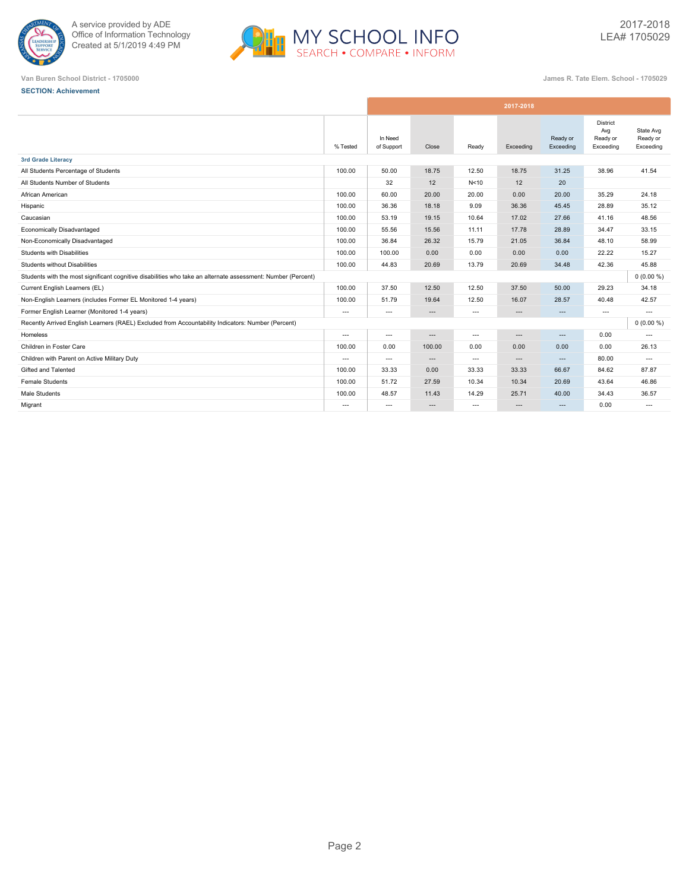



|                                                                                                              |                          |                          |                          |                          | 2017-2018                |                       |                                                 |                                    |
|--------------------------------------------------------------------------------------------------------------|--------------------------|--------------------------|--------------------------|--------------------------|--------------------------|-----------------------|-------------------------------------------------|------------------------------------|
|                                                                                                              | % Tested                 | In Need<br>of Support    | Close                    | Ready                    | Exceeding                | Ready or<br>Exceeding | <b>District</b><br>Avg<br>Ready or<br>Exceeding | State Avg<br>Ready or<br>Exceeding |
| <b>3rd Grade Literacy</b>                                                                                    |                          |                          |                          |                          |                          |                       |                                                 |                                    |
| All Students Percentage of Students                                                                          | 100.00                   | 50.00                    | 18.75                    | 12.50                    | 18.75                    | 31.25                 | 38.96                                           | 41.54                              |
| All Students Number of Students                                                                              |                          | 32                       | 12                       | N<10                     | 12                       | 20                    |                                                 |                                    |
| African American                                                                                             | 100.00                   | 60.00                    | 20.00                    | 20.00                    | 0.00                     | 20.00                 | 35.29                                           | 24.18                              |
| Hispanic                                                                                                     | 100.00                   | 36.36                    | 18.18                    | 9.09                     | 36.36                    | 45.45                 | 28.89                                           | 35.12                              |
| Caucasian                                                                                                    | 100.00                   | 53.19                    | 19.15                    | 10.64                    | 17.02                    | 27.66                 | 41.16                                           | 48.56                              |
| Economically Disadvantaged                                                                                   | 100.00                   | 55.56                    | 15.56                    | 11.11                    | 17.78                    | 28.89                 | 34.47                                           | 33.15                              |
| Non-Economically Disadvantaged                                                                               | 100.00                   | 36.84                    | 26.32                    | 15.79                    | 21.05                    | 36.84                 | 48.10                                           | 58.99                              |
| Students with Disabilities                                                                                   | 100.00                   | 100.00                   | 0.00                     | 0.00                     | 0.00                     | 0.00                  | 22.22                                           | 15.27                              |
| Students without Disabilities                                                                                | 100.00                   | 44.83                    | 20.69                    | 13.79                    | 20.69                    | 34.48                 | 42.36                                           | 45.88                              |
| Students with the most significant cognitive disabilities who take an alternate assessment: Number (Percent) |                          |                          |                          |                          |                          |                       |                                                 | $0(0.00\%)$                        |
| Current English Learners (EL)                                                                                | 100.00                   | 37.50                    | 12.50                    | 12.50                    | 37.50                    | 50.00                 | 29.23                                           | 34.18                              |
| Non-English Learners (includes Former EL Monitored 1-4 years)                                                | 100.00                   | 51.79                    | 19.64                    | 12.50                    | 16.07                    | 28.57                 | 40.48                                           | 42.57                              |
| Former English Learner (Monitored 1-4 years)                                                                 | $\hspace{0.05cm} \ldots$ | $\hspace{0.05cm} \ldots$ | $\cdots$                 | $\hspace{0.05cm} \ldots$ | $\cdots$                 | $\cdots$              | $\overline{a}$                                  | ---                                |
| Recently Arrived English Learners (RAEL) Excluded from Accountability Indicators: Number (Percent)           |                          |                          |                          |                          |                          |                       |                                                 | $0(0.00\%)$                        |
| Homeless                                                                                                     | $\hspace{0.05cm} \ldots$ | $\hspace{0.05cm} \ldots$ | $\qquad \qquad -$        | $---$                    | $---$                    | $---$                 | 0.00                                            | $---$                              |
| Children in Foster Care                                                                                      | 100.00                   | 0.00                     | 100.00                   | 0.00                     | 0.00                     | 0.00                  | 0.00                                            | 26.13                              |
| Children with Parent on Active Military Duty                                                                 | $\hspace{0.05cm} \ldots$ | $\hspace{0.05cm} \ldots$ | $\hspace{0.05cm} \ldots$ | $\cdots$                 | $\overline{\phantom{a}}$ | $\cdots$              | 80.00                                           | ---                                |
| Gifted and Talented                                                                                          | 100.00                   | 33.33                    | 0.00                     | 33.33                    | 33.33                    | 66.67                 | 84.62                                           | 87.87                              |
| <b>Female Students</b>                                                                                       | 100.00                   | 51.72                    | 27.59                    | 10.34                    | 10.34                    | 20.69                 | 43.64                                           | 46.86                              |
| Male Students                                                                                                | 100.00                   | 48.57                    | 11.43                    | 14.29                    | 25.71                    | 40.00                 | 34.43                                           | 36.57                              |
| Migrant                                                                                                      | $\sim$ $\sim$            | $---$                    | $---$                    | $---$                    | $\overline{a}$           | $---$                 | 0.00                                            | $---$                              |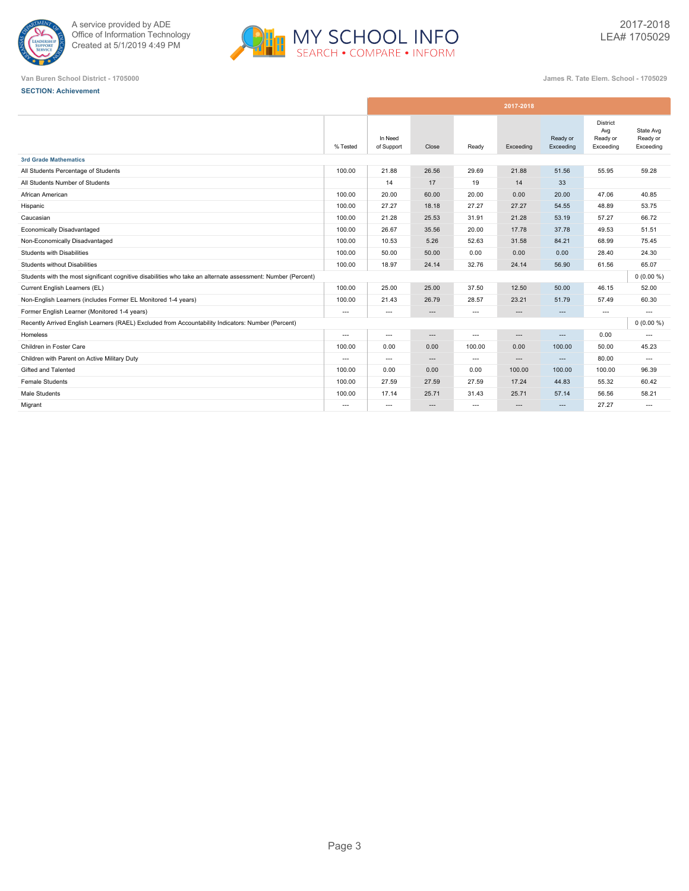



|                                                                                                              |                          |                          |                        |                          | 2017-2018                |                          |                                          |                                    |
|--------------------------------------------------------------------------------------------------------------|--------------------------|--------------------------|------------------------|--------------------------|--------------------------|--------------------------|------------------------------------------|------------------------------------|
|                                                                                                              | % Tested                 | In Need<br>of Support    | Close                  | Ready                    | Exceeding                | Ready or<br>Exceeding    | District<br>Avg<br>Ready or<br>Exceeding | State Avg<br>Ready or<br>Exceeding |
| <b>3rd Grade Mathematics</b>                                                                                 |                          |                          |                        |                          |                          |                          |                                          |                                    |
| All Students Percentage of Students                                                                          | 100.00                   | 21.88                    | 26.56                  | 29.69                    | 21.88                    | 51.56                    | 55.95                                    | 59.28                              |
| All Students Number of Students                                                                              |                          | 14                       | 17                     | 19                       | 14                       | 33                       |                                          |                                    |
| African American                                                                                             | 100.00                   | 20.00                    | 60.00                  | 20.00                    | 0.00                     | 20.00                    | 47.06                                    | 40.85                              |
| Hispanic                                                                                                     | 100.00                   | 27.27                    | 18.18                  | 27.27                    | 27.27                    | 54.55                    | 48.89                                    | 53.75                              |
| Caucasian                                                                                                    | 100.00                   | 21.28                    | 25.53                  | 31.91                    | 21.28                    | 53.19                    | 57.27                                    | 66.72                              |
| Economically Disadvantaged                                                                                   | 100.00                   | 26.67                    | 35.56                  | 20.00                    | 17.78                    | 37.78                    | 49.53                                    | 51.51                              |
| Non-Economically Disadvantaged                                                                               | 100.00                   | 10.53                    | 5.26                   | 52.63                    | 31.58                    | 84.21                    | 68.99                                    | 75.45                              |
| <b>Students with Disabilities</b>                                                                            | 100.00                   | 50.00                    | 50.00                  | 0.00                     | 0.00                     | 0.00                     | 28.40                                    | 24.30                              |
| <b>Students without Disabilities</b>                                                                         | 100.00                   | 18.97                    | 24.14                  | 32.76                    | 24.14                    | 56.90                    | 61.56                                    | 65.07                              |
| Students with the most significant cognitive disabilities who take an alternate assessment: Number (Percent) |                          |                          |                        |                          |                          |                          |                                          | $0(0.00\%)$                        |
| Current English Learners (EL)                                                                                | 100.00                   | 25.00                    | 25.00                  | 37.50                    | 12.50                    | 50.00                    | 46.15                                    | 52.00                              |
| Non-English Learners (includes Former EL Monitored 1-4 years)                                                | 100.00                   | 21.43                    | 26.79                  | 28.57                    | 23.21                    | 51.79                    | 57.49                                    | 60.30                              |
| Former English Learner (Monitored 1-4 years)                                                                 | $\hspace{0.05cm} \ldots$ | $\hspace{0.05cm} \ldots$ | $\qquad \qquad \cdots$ | $---$                    | $\hspace{0.05cm} \ldots$ | $\hspace{0.05cm} \ldots$ | $\cdots$                                 | $---$                              |
| Recently Arrived English Learners (RAEL) Excluded from Accountability Indicators: Number (Percent)           |                          |                          |                        |                          |                          |                          |                                          | $0(0.00\%)$                        |
| Homeless                                                                                                     | $\hspace{0.05cm} \ldots$ | $---$                    | $\cdots$               | $---$                    | $---$                    | $\cdots$                 | 0.00                                     | $\cdots$                           |
| Children in Foster Care                                                                                      | 100.00                   | 0.00                     | 0.00                   | 100.00                   | 0.00                     | 100.00                   | 50.00                                    | 45.23                              |
| Children with Parent on Active Military Duty                                                                 | $\hspace{0.05cm} \ldots$ | $\hspace{0.05cm} \ldots$ | $\cdots$               | $\hspace{0.05cm} \ldots$ | $\cdots$                 | $\cdots$                 | 80.00                                    | $\cdots$                           |
| Gifted and Talented                                                                                          | 100.00                   | 0.00                     | 0.00                   | 0.00                     | 100.00                   | 100.00                   | 100.00                                   | 96.39                              |
| Female Students                                                                                              | 100.00                   | 27.59                    | 27.59                  | 27.59                    | 17.24                    | 44.83                    | 55.32                                    | 60.42                              |
| Male Students                                                                                                | 100.00                   | 17.14                    | 25.71                  | 31.43                    | 25.71                    | 57.14                    | 56.56                                    | 58.21                              |
| Migrant                                                                                                      | $---$                    | $---$                    | $---$                  | $---$                    | $---$                    | $---$                    | 27.27                                    | $---$                              |
|                                                                                                              |                          |                          |                        |                          |                          |                          |                                          |                                    |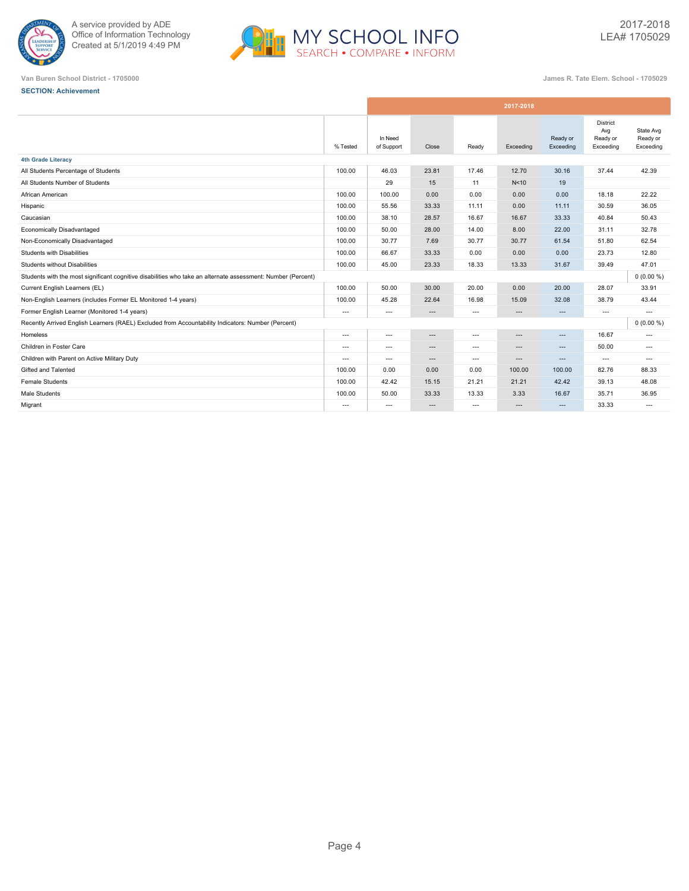



|                                                                                                              |                          |                          |                          |                          | 2017-2018                |                          |                                                 |                                    |
|--------------------------------------------------------------------------------------------------------------|--------------------------|--------------------------|--------------------------|--------------------------|--------------------------|--------------------------|-------------------------------------------------|------------------------------------|
|                                                                                                              | % Tested                 | In Need<br>of Support    | Close                    | Ready                    | Exceeding                | Ready or<br>Exceeding    | <b>District</b><br>Avg<br>Ready or<br>Exceeding | State Avg<br>Ready or<br>Exceeding |
| <b>4th Grade Literacy</b>                                                                                    |                          |                          |                          |                          |                          |                          |                                                 |                                    |
| All Students Percentage of Students                                                                          | 100.00                   | 46.03                    | 23.81                    | 17.46                    | 12.70                    | 30.16                    | 37.44                                           | 42.39                              |
| All Students Number of Students                                                                              |                          | 29                       | 15                       | 11                       | N<10                     | 19                       |                                                 |                                    |
| African American                                                                                             | 100.00                   | 100.00                   | 0.00                     | 0.00                     | 0.00                     | 0.00                     | 18.18                                           | 22.22                              |
| Hispanic                                                                                                     | 100.00                   | 55.56                    | 33.33                    | 11.11                    | 0.00                     | 11.11                    | 30.59                                           | 36.05                              |
| Caucasian                                                                                                    | 100.00                   | 38.10                    | 28.57                    | 16.67                    | 16.67                    | 33.33                    | 40.84                                           | 50.43                              |
| Economically Disadvantaged                                                                                   | 100.00                   | 50.00                    | 28.00                    | 14.00                    | 8.00                     | 22.00                    | 31.11                                           | 32.78                              |
| Non-Economically Disadvantaged                                                                               | 100.00                   | 30.77                    | 7.69                     | 30.77                    | 30.77                    | 61.54                    | 51.80                                           | 62.54                              |
| <b>Students with Disabilities</b>                                                                            | 100.00                   | 66.67                    | 33.33                    | 0.00                     | 0.00                     | 0.00                     | 23.73                                           | 12.80                              |
| <b>Students without Disabilities</b>                                                                         | 100.00                   | 45.00                    | 23.33                    | 18.33                    | 13.33                    | 31.67                    | 39.49                                           | 47.01                              |
| Students with the most significant cognitive disabilities who take an alternate assessment: Number (Percent) |                          |                          |                          |                          |                          |                          |                                                 | $0(0.00\%)$                        |
| Current English Learners (EL)                                                                                | 100.00                   | 50.00                    | 30.00                    | 20.00                    | 0.00                     | 20.00                    | 28.07                                           | 33.91                              |
| Non-English Learners (includes Former EL Monitored 1-4 years)                                                | 100.00                   | 45.28                    | 22.64                    | 16.98                    | 15.09                    | 32.08                    | 38.79                                           | 43.44                              |
| Former English Learner (Monitored 1-4 years)                                                                 | $\sim$ $\sim$            | $\hspace{0.05cm} \ldots$ | $\cdots$                 | $\hspace{0.05cm} \ldots$ | $\cdots$                 | $\cdots$                 | $\cdots$                                        | $---$                              |
| Recently Arrived English Learners (RAEL) Excluded from Accountability Indicators: Number (Percent)           |                          |                          |                          |                          |                          |                          |                                                 | $0(0.00\%)$                        |
| Homeless                                                                                                     | $\hspace{0.05cm} \ldots$ | $\hspace{0.05cm} \ldots$ | $\hspace{0.05cm} \ldots$ | $\hspace{0.05cm} \ldots$ | $\qquad \qquad \cdots$   | $\cdots$                 | 16.67                                           | $---$                              |
| Children in Foster Care                                                                                      | $\cdots$                 | $---$                    | $\cdots$                 | $\cdots$                 | $---$                    | $\cdots$                 | 50.00                                           | $---$                              |
| Children with Parent on Active Military Duty                                                                 | $\sim$ $\sim$            | $\hspace{0.05cm} \ldots$ | $\hspace{0.05cm} \ldots$ | $\hspace{0.05cm} \ldots$ | $\hspace{0.05cm} \ldots$ | $\hspace{0.05cm} \ldots$ | $\hspace{0.05cm} \ldots$                        | $\cdots$                           |
| Gifted and Talented                                                                                          | 100.00                   | 0.00                     | 0.00                     | 0.00                     | 100.00                   | 100.00                   | 82.76                                           | 88.33                              |
| <b>Female Students</b>                                                                                       | 100.00                   | 42.42                    | 15.15                    | 21.21                    | 21.21                    | 42.42                    | 39.13                                           | 48.08                              |
| Male Students                                                                                                | 100.00                   | 50.00                    | 33.33                    | 13.33                    | 3.33                     | 16.67                    | 35.71                                           | 36.95                              |
| Migrant                                                                                                      | $\cdots$                 | $---$                    | $\cdots$                 | $---$                    | $\cdots$                 | $\cdots$                 | 33.33                                           | $---$                              |
|                                                                                                              |                          |                          |                          |                          |                          |                          |                                                 |                                    |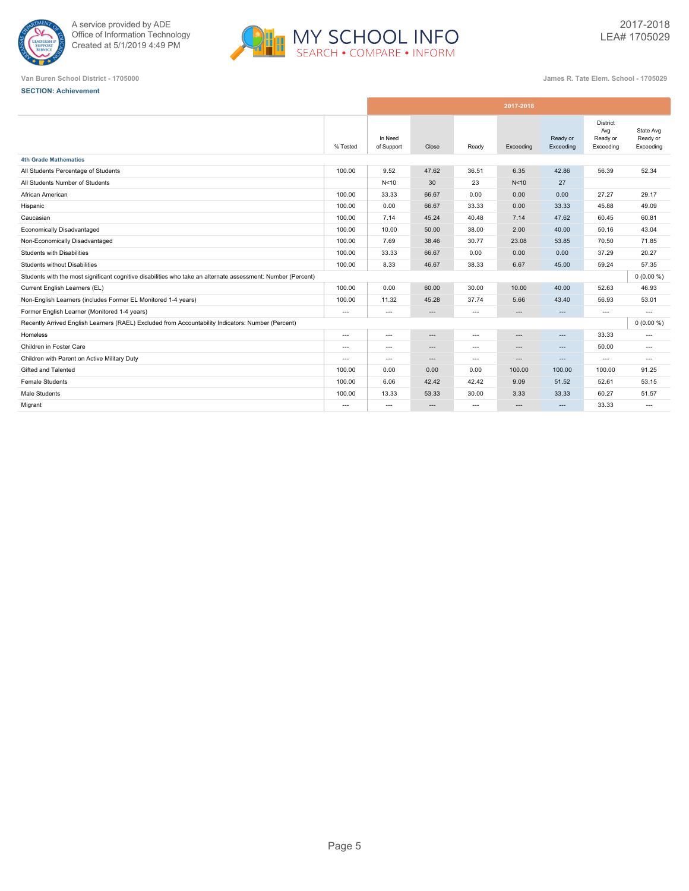



|                                                                                                              |                          |                          |                   |                          | 2017-2018 |                          |                                                 |                                    |
|--------------------------------------------------------------------------------------------------------------|--------------------------|--------------------------|-------------------|--------------------------|-----------|--------------------------|-------------------------------------------------|------------------------------------|
|                                                                                                              | % Tested                 | In Need<br>of Support    | Close             | Ready                    | Exceeding | Ready or<br>Exceeding    | <b>District</b><br>Avg<br>Ready or<br>Exceeding | State Avg<br>Ready or<br>Exceeding |
| <b>4th Grade Mathematics</b>                                                                                 |                          |                          |                   |                          |           |                          |                                                 |                                    |
| All Students Percentage of Students                                                                          | 100.00                   | 9.52                     | 47.62             | 36.51                    | 6.35      | 42.86                    | 56.39                                           | 52.34                              |
| All Students Number of Students                                                                              |                          | N <sub>10</sub>          | 30                | 23                       | N<10      | 27                       |                                                 |                                    |
| African American                                                                                             | 100.00                   | 33.33                    | 66.67             | 0.00                     | 0.00      | 0.00                     | 27.27                                           | 29.17                              |
| Hispanic                                                                                                     | 100.00                   | 0.00                     | 66.67             | 33.33                    | 0.00      | 33.33                    | 45.88                                           | 49.09                              |
| Caucasian                                                                                                    | 100.00                   | 7.14                     | 45.24             | 40.48                    | 7.14      | 47.62                    | 60.45                                           | 60.81                              |
| Economically Disadvantaged                                                                                   | 100.00                   | 10.00                    | 50.00             | 38.00                    | 2.00      | 40.00                    | 50.16                                           | 43.04                              |
| Non-Economically Disadvantaged                                                                               | 100.00                   | 7.69                     | 38.46             | 30.77                    | 23.08     | 53.85                    | 70.50                                           | 71.85                              |
| <b>Students with Disabilities</b>                                                                            | 100.00                   | 33.33                    | 66.67             | 0.00                     | 0.00      | 0.00                     | 37.29                                           | 20.27                              |
| <b>Students without Disabilities</b>                                                                         | 100.00                   | 8.33                     | 46.67             | 38.33                    | 6.67      | 45.00                    | 59.24                                           | 57.35                              |
| Students with the most significant cognitive disabilities who take an alternate assessment: Number (Percent) |                          |                          |                   |                          |           |                          |                                                 | $0(0.00\%)$                        |
| Current English Learners (EL)                                                                                | 100.00                   | 0.00                     | 60.00             | 30.00                    | 10.00     | 40.00                    | 52.63                                           | 46.93                              |
| Non-English Learners (includes Former EL Monitored 1-4 years)                                                | 100.00                   | 11.32                    | 45.28             | 37.74                    | 5.66      | 43.40                    | 56.93                                           | 53.01                              |
| Former English Learner (Monitored 1-4 years)                                                                 | $\hspace{0.05cm} \ldots$ | $\cdots$                 | $\cdots$          | $\cdots$                 | $\cdots$  | $\hspace{0.05cm} \ldots$ | $\overline{\phantom{a}}$                        | $---$                              |
| Recently Arrived English Learners (RAEL) Excluded from Accountability Indicators: Number (Percent)           |                          |                          |                   |                          |           |                          |                                                 | $0(0.00\%)$                        |
| Homeless                                                                                                     | $\hspace{0.05cm} \ldots$ | $\cdots$                 | $\cdots$          | $---$                    | $\cdots$  | $\cdots$                 | 33.33                                           | $---$                              |
| Children in Foster Care                                                                                      | $\hspace{0.05cm} \ldots$ | $\hspace{0.05cm} \ldots$ | $\qquad \qquad -$ | $\hspace{0.05cm} \ldots$ | $\cdots$  | $\cdots$                 | 50.00                                           | $---$                              |
| Children with Parent on Active Military Duty                                                                 | $\hspace{0.05cm} \ldots$ | $\cdots$                 | $\cdots$          | $---$                    | $\cdots$  | $\cdots$                 | $\overline{\phantom{a}}$                        | $\cdots$                           |
| Gifted and Talented                                                                                          | 100.00                   | 0.00                     | 0.00              | 0.00                     | 100.00    | 100.00                   | 100.00                                          | 91.25                              |
| Female Students                                                                                              | 100.00                   | 6.06                     | 42.42             | 42.42                    | 9.09      | 51.52                    | 52.61                                           | 53.15                              |
| Male Students                                                                                                | 100.00                   | 13.33                    | 53.33             | 30.00                    | 3.33      | 33.33                    | 60.27                                           | 51.57                              |
| Migrant                                                                                                      | $---$                    | $---$                    | $\cdots$          | $---$                    | $---$     | $\cdots$                 | 33.33                                           | $---$                              |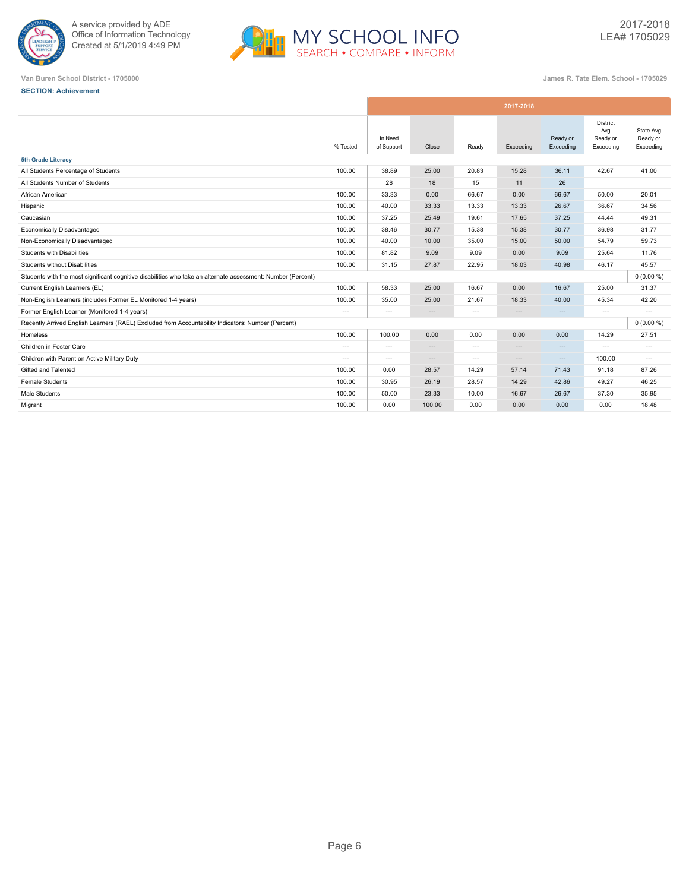



|                                                                                                              |               |                       |                          |          | 2017-2018                |                          |                                          |                                    |
|--------------------------------------------------------------------------------------------------------------|---------------|-----------------------|--------------------------|----------|--------------------------|--------------------------|------------------------------------------|------------------------------------|
|                                                                                                              | % Tested      | In Need<br>of Support | Close                    | Ready    | Exceeding                | Ready or<br>Exceeding    | District<br>Avg<br>Ready or<br>Exceeding | State Avg<br>Ready or<br>Exceeding |
| <b>5th Grade Literacy</b>                                                                                    |               |                       |                          |          |                          |                          |                                          |                                    |
| All Students Percentage of Students                                                                          | 100.00        | 38.89                 | 25.00                    | 20.83    | 15.28                    | 36.11                    | 42.67                                    | 41.00                              |
| All Students Number of Students                                                                              |               | 28                    | 18                       | 15       | 11                       | 26                       |                                          |                                    |
| African American                                                                                             | 100.00        | 33.33                 | 0.00                     | 66.67    | 0.00                     | 66.67                    | 50.00                                    | 20.01                              |
| Hispanic                                                                                                     | 100.00        | 40.00                 | 33.33                    | 13.33    | 13.33                    | 26.67                    | 36.67                                    | 34.56                              |
| Caucasian                                                                                                    | 100.00        | 37.25                 | 25.49                    | 19.61    | 17.65                    | 37.25                    | 44.44                                    | 49.31                              |
| Economically Disadvantaged                                                                                   | 100.00        | 38.46                 | 30.77                    | 15.38    | 15.38                    | 30.77                    | 36.98                                    | 31.77                              |
| Non-Economically Disadvantaged                                                                               | 100.00        | 40.00                 | 10.00                    | 35.00    | 15.00                    | 50.00                    | 54.79                                    | 59.73                              |
| <b>Students with Disabilities</b>                                                                            | 100.00        | 81.82                 | 9.09                     | 9.09     | 0.00                     | 9.09                     | 25.64                                    | 11.76                              |
| <b>Students without Disabilities</b>                                                                         | 100.00        | 31.15                 | 27.87                    | 22.95    | 18.03                    | 40.98                    | 46.17                                    | 45.57                              |
| Students with the most significant cognitive disabilities who take an alternate assessment: Number (Percent) |               |                       |                          |          |                          |                          |                                          | $0(0.00\%)$                        |
| Current English Learners (EL)                                                                                | 100.00        | 58.33                 | 25.00                    | 16.67    | 0.00                     | 16.67                    | 25.00                                    | 31.37                              |
| Non-English Learners (includes Former EL Monitored 1-4 years)                                                | 100.00        | 35.00                 | 25.00                    | 21.67    | 18.33                    | 40.00                    | 45.34                                    | 42.20                              |
| Former English Learner (Monitored 1-4 years)                                                                 | $---$         | $\cdots$              | $\hspace{0.05cm} \ldots$ | $\cdots$ | $\hspace{0.05cm} \ldots$ | $\hspace{0.05cm} \ldots$ | $\cdots$                                 | $\cdots$                           |
| Recently Arrived English Learners (RAEL) Excluded from Accountability Indicators: Number (Percent)           |               |                       |                          |          |                          |                          |                                          | $0(0.00\%)$                        |
| Homeless                                                                                                     | 100.00        | 100.00                | 0.00                     | 0.00     | 0.00                     | 0.00                     | 14.29                                    | 27.51                              |
| Children in Foster Care                                                                                      | $\sim$ $\sim$ | $\cdots$              | $\cdots$                 | $\cdots$ | $\cdots$                 | $\cdots$                 | $\hspace{0.05cm} \ldots$                 | $\cdots$                           |
| Children with Parent on Active Military Duty                                                                 | $\sim$ $\sim$ | $---$                 | $\hspace{0.05cm} \ldots$ | $  -$    | $\hspace{0.05cm} \ldots$ | $\hspace{0.05cm} \ldots$ | 100.00                                   | $\cdots$                           |
| Gifted and Talented                                                                                          | 100.00        | 0.00                  | 28.57                    | 14.29    | 57.14                    | 71.43                    | 91.18                                    | 87.26                              |
| <b>Female Students</b>                                                                                       | 100.00        | 30.95                 | 26.19                    | 28.57    | 14.29                    | 42.86                    | 49.27                                    | 46.25                              |
| Male Students                                                                                                | 100.00        | 50.00                 | 23.33                    | 10.00    | 16.67                    | 26.67                    | 37.30                                    | 35.95                              |
| Migrant                                                                                                      | 100.00        | 0.00                  | 100.00                   | 0.00     | 0.00                     | 0.00                     | 0.00                                     | 18.48                              |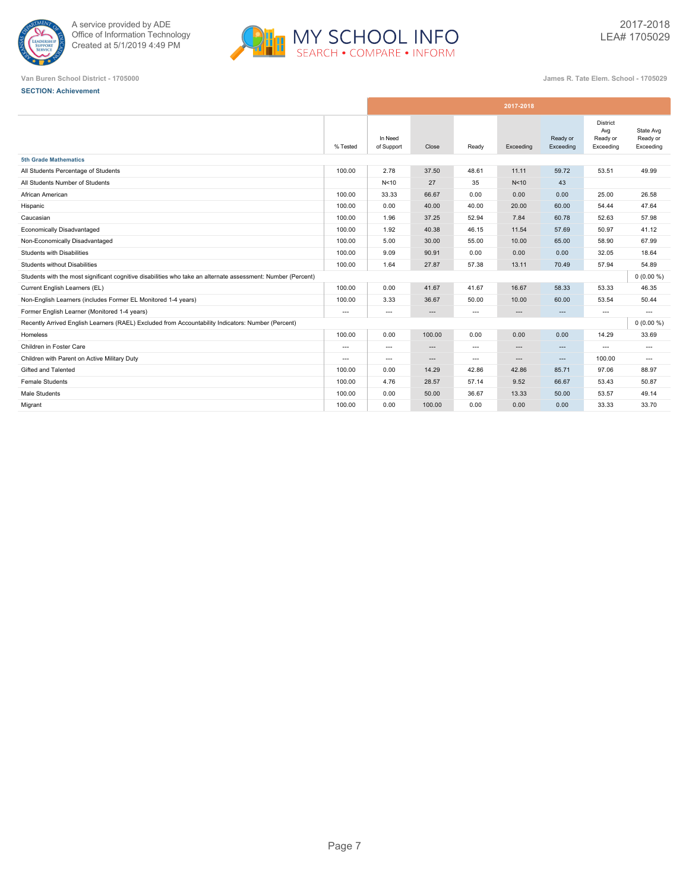



## **SECTION: Achievement**

| <b>SECTION: Achievement</b>                                                                                  |          |                       |                          |                        |                          |                       |                                          |                                    |
|--------------------------------------------------------------------------------------------------------------|----------|-----------------------|--------------------------|------------------------|--------------------------|-----------------------|------------------------------------------|------------------------------------|
|                                                                                                              |          |                       |                          |                        | 2017-2018                |                       |                                          |                                    |
|                                                                                                              | % Tested | In Need<br>of Support | Close                    | Ready                  | Exceeding                | Ready or<br>Exceeding | District<br>Avg<br>Ready or<br>Exceeding | State Avg<br>Ready or<br>Exceeding |
| <b>5th Grade Mathematics</b>                                                                                 |          |                       |                          |                        |                          |                       |                                          |                                    |
| All Students Percentage of Students                                                                          | 100.00   | 2.78                  | 37.50                    | 48.61                  | 11.11                    | 59.72                 | 53.51                                    | 49.99                              |
| All Students Number of Students                                                                              |          | N <sub>10</sub>       | 27                       | 35                     | N<10                     | 43                    |                                          |                                    |
| African American                                                                                             | 100.00   | 33.33                 | 66.67                    | 0.00                   | 0.00                     | 0.00                  | 25.00                                    | 26.58                              |
| Hispanic                                                                                                     | 100.00   | 0.00                  | 40.00                    | 40.00                  | 20.00                    | 60.00                 | 54.44                                    | 47.64                              |
| Caucasian                                                                                                    | 100.00   | 1.96                  | 37.25                    | 52.94                  | 7.84                     | 60.78                 | 52.63                                    | 57.98                              |
| Economically Disadvantaged                                                                                   | 100.00   | 1.92                  | 40.38                    | 46.15                  | 11.54                    | 57.69                 | 50.97                                    | 41.12                              |
| Non-Economically Disadvantaged                                                                               | 100.00   | 5.00                  | 30.00                    | 55.00                  | 10.00                    | 65.00                 | 58.90                                    | 67.99                              |
| Students with Disabilities                                                                                   | 100.00   | 9.09                  | 90.91                    | 0.00                   | 0.00                     | 0.00                  | 32.05                                    | 18.64                              |
| Students without Disabilities                                                                                | 100.00   | 1.64                  | 27.87                    | 57.38                  | 13.11                    | 70.49                 | 57.94                                    | 54.89                              |
| Students with the most significant cognitive disabilities who take an alternate assessment: Number (Percent) |          |                       |                          |                        |                          |                       |                                          | $0(0.00\%)$                        |
| Current English Learners (EL)                                                                                | 100.00   | 0.00                  | 41.67                    | 41.67                  | 16.67                    | 58.33                 | 53.33                                    | 46.35                              |
| Non-English Learners (includes Former EL Monitored 1-4 years)                                                | 100.00   | 3.33                  | 36.67                    | 50.00                  | 10.00                    | 60.00                 | 53.54                                    | 50.44                              |
| Former English Learner (Monitored 1-4 years)                                                                 | ---      | ---                   | $\hspace{0.05cm} \ldots$ | $\qquad \qquad \cdots$ | $\hspace{0.05cm} \ldots$ | $- - -$               | $\cdots$                                 | $\hspace{0.05cm} \ldots$           |
| Recently Arrived English Learners (RAEL) Excluded from Accountability Indicators: Number (Percent)           |          |                       |                          |                        |                          |                       |                                          | $0(0.00\%)$                        |
| Homeless                                                                                                     | 100.00   | 0.00                  | 100.00                   | 0.00                   | 0.00                     | 0.00                  | 14.29                                    | 33.69                              |
| Children in Foster Care                                                                                      | ---      | $\cdots$              | $\cdots$                 | $\cdots$               | $\cdots$                 | $- - -$               | $\cdots$                                 | $\cdots$                           |
| Children with Parent on Active Military Duty                                                                 | ---      | $\cdots$              | $\cdots$                 | $\cdots$               | $\cdots$                 | $---$                 | 100.00                                   | $---$                              |
| Gifted and Talented                                                                                          | 100.00   | 0.00                  | 14.29                    | 42.86                  | 42.86                    | 85.71                 | 97.06                                    | 88.97                              |
| <b>Female Students</b>                                                                                       | 100.00   | 4.76                  | 28.57                    | 57.14                  | 9.52                     | 66.67                 | 53.43                                    | 50.87                              |
| <b>Male Students</b>                                                                                         | 100.00   | 0.00                  | 50.00                    | 36.67                  | 13.33                    | 50.00                 | 53.57                                    | 49.14                              |

Migrant 100.00 0.00 100.00 0.00 0.00 0.00 33.33 33.70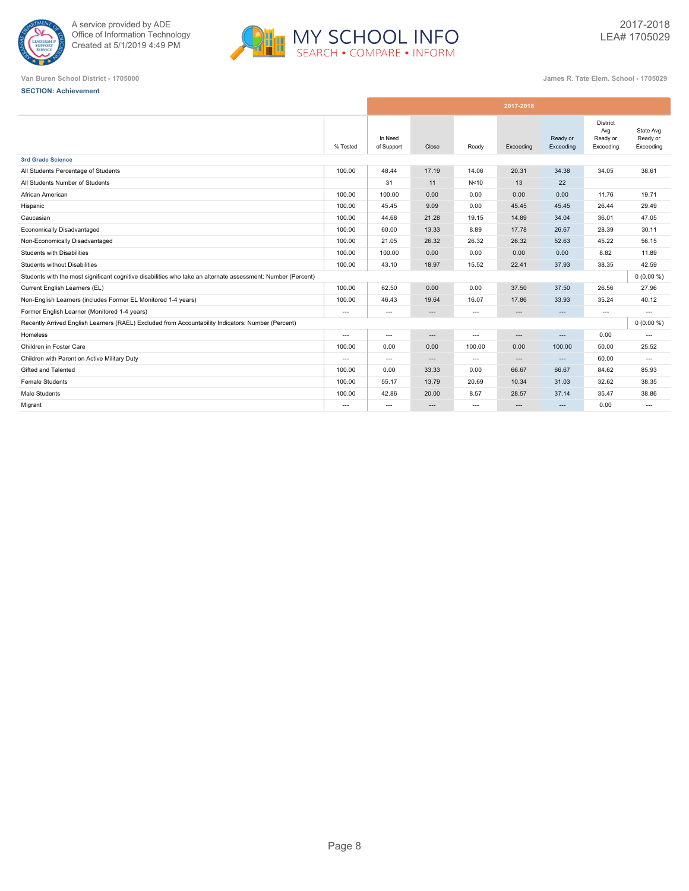



|                                                                                                              |          |                          |                          |                          | 2017-2018                |                          |                                                 |                                    |
|--------------------------------------------------------------------------------------------------------------|----------|--------------------------|--------------------------|--------------------------|--------------------------|--------------------------|-------------------------------------------------|------------------------------------|
|                                                                                                              | % Tested | In Need<br>of Support    | Close                    | Ready                    | Exceeding                | Ready or<br>Exceeding    | <b>District</b><br>Avg<br>Ready or<br>Exceeding | State Avg<br>Ready or<br>Exceeding |
| 3rd Grade Science                                                                                            |          |                          |                          |                          |                          |                          |                                                 |                                    |
| All Students Percentage of Students                                                                          | 100.00   | 48.44                    | 17.19                    | 14.06                    | 20.31                    | 34.38                    | 34.05                                           | 38.61                              |
| All Students Number of Students                                                                              |          | 31                       | 11                       | N<10                     | 13                       | 22                       |                                                 |                                    |
| African American                                                                                             | 100.00   | 100.00                   | 0.00                     | 0.00                     | 0.00                     | 0.00                     | 11.76                                           | 19.71                              |
| Hispanic                                                                                                     | 100.00   | 45.45                    | 9.09                     | 0.00                     | 45.45                    | 45.45                    | 26.44                                           | 29.49                              |
| Caucasian                                                                                                    | 100.00   | 44.68                    | 21.28                    | 19.15                    | 14.89                    | 34.04                    | 36.01                                           | 47.05                              |
| Economically Disadvantaged                                                                                   | 100.00   | 60.00                    | 13.33                    | 8.89                     | 17.78                    | 26.67                    | 28.39                                           | 30.11                              |
| Non-Economically Disadvantaged                                                                               | 100.00   | 21.05                    | 26.32                    | 26.32                    | 26.32                    | 52.63                    | 45.22                                           | 56.15                              |
| <b>Students with Disabilities</b>                                                                            | 100.00   | 100.00                   | 0.00                     | 0.00                     | 0.00                     | 0.00                     | 8.82                                            | 11.89                              |
| <b>Students without Disabilities</b>                                                                         | 100.00   | 43.10                    | 18.97                    | 15.52                    | 22.41                    | 37.93                    | 38.35                                           | 42.59                              |
| Students with the most significant cognitive disabilities who take an alternate assessment: Number (Percent) |          |                          |                          |                          |                          |                          |                                                 | $0(0.00\%)$                        |
| Current English Learners (EL)                                                                                | 100.00   | 62.50                    | 0.00                     | 0.00                     | 37.50                    | 37.50                    | 26.56                                           | 27.96                              |
| Non-English Learners (includes Former EL Monitored 1-4 years)                                                | 100.00   | 46.43                    | 19.64                    | 16.07                    | 17.86                    | 33.93                    | 35.24                                           | 40.12                              |
| Former English Learner (Monitored 1-4 years)                                                                 | $\cdots$ | $\hspace{0.05cm} \ldots$ | $\cdots$                 | $\hspace{0.05cm} \ldots$ | $\cdots$                 | $\cdots$                 | $\cdots$                                        | $---$                              |
| Recently Arrived English Learners (RAEL) Excluded from Accountability Indicators: Number (Percent)           |          |                          |                          |                          |                          |                          |                                                 | $0(0.00\%)$                        |
| Homeless                                                                                                     | $\ldots$ | $\cdots$                 | $\hspace{0.05cm} \ldots$ | $\cdots$                 | $\qquad \qquad \cdots$   | $\cdots$                 | 0.00                                            | $---$                              |
| Children in Foster Care                                                                                      | 100.00   | 0.00                     | 0.00                     | 100.00                   | 0.00                     | 100.00                   | 50.00                                           | 25.52                              |
| Children with Parent on Active Military Duty                                                                 | $\cdots$ | $\hspace{0.05cm} \ldots$ | $\hspace{0.05cm} \ldots$ | $\hspace{0.05cm} \ldots$ | $\hspace{0.05cm} \ldots$ | $\hspace{0.05cm} \ldots$ | 60.00                                           | $\hspace{0.05cm} \ldots$           |
| Gifted and Talented                                                                                          | 100.00   | 0.00                     | 33.33                    | 0.00                     | 66.67                    | 66.67                    | 84.62                                           | 85.93                              |
| <b>Female Students</b>                                                                                       | 100.00   | 55.17                    | 13.79                    | 20.69                    | 10.34                    | 31.03                    | 32.62                                           | 38.35                              |
| Male Students                                                                                                | 100.00   | 42.86                    | 20.00                    | 8.57                     | 28.57                    | 37.14                    | 35.47                                           | 38.86                              |
| Migrant                                                                                                      | $\cdots$ | $---$                    | $\cdots$                 | $---$                    | $\cdots$                 | $\cdots$                 | 0.00                                            | $---$                              |
|                                                                                                              |          |                          |                          |                          |                          |                          |                                                 |                                    |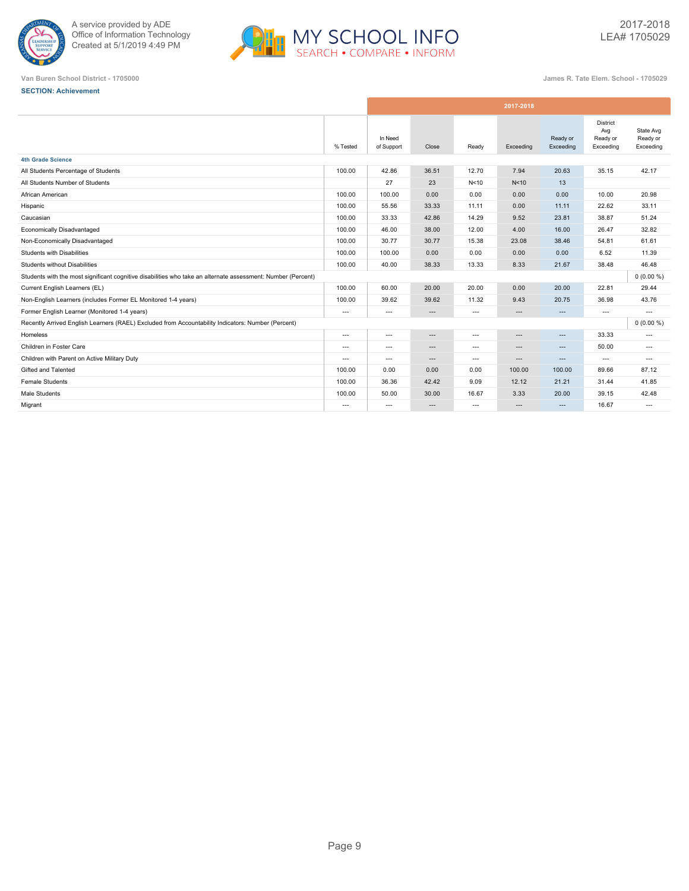



|                                                                                                              |                          |                       |                          |          | 2017-2018                |                          |                                          |                                    |
|--------------------------------------------------------------------------------------------------------------|--------------------------|-----------------------|--------------------------|----------|--------------------------|--------------------------|------------------------------------------|------------------------------------|
|                                                                                                              | % Tested                 | In Need<br>of Support | Close                    | Ready    | Exceeding                | Ready or<br>Exceeding    | District<br>Avg<br>Ready or<br>Exceeding | State Avg<br>Ready or<br>Exceeding |
| <b>4th Grade Science</b>                                                                                     |                          |                       |                          |          |                          |                          |                                          |                                    |
| All Students Percentage of Students                                                                          | 100.00                   | 42.86                 | 36.51                    | 12.70    | 7.94                     | 20.63                    | 35.15                                    | 42.17                              |
| All Students Number of Students                                                                              |                          | 27                    | 23                       | N<10     | N<10                     | 13                       |                                          |                                    |
| African American                                                                                             | 100.00                   | 100.00                | 0.00                     | 0.00     | 0.00                     | 0.00                     | 10.00                                    | 20.98                              |
| Hispanic                                                                                                     | 100.00                   | 55.56                 | 33.33                    | 11.11    | 0.00                     | 11.11                    | 22.62                                    | 33.11                              |
| Caucasian                                                                                                    | 100.00                   | 33.33                 | 42.86                    | 14.29    | 9.52                     | 23.81                    | 38.87                                    | 51.24                              |
| Economically Disadvantaged                                                                                   | 100.00                   | 46.00                 | 38.00                    | 12.00    | 4.00                     | 16.00                    | 26.47                                    | 32.82                              |
| Non-Economically Disadvantaged                                                                               | 100.00                   | 30.77                 | 30.77                    | 15.38    | 23.08                    | 38.46                    | 54.81                                    | 61.61                              |
| <b>Students with Disabilities</b>                                                                            | 100.00                   | 100.00                | 0.00                     | 0.00     | 0.00                     | 0.00                     | 6.52                                     | 11.39                              |
| <b>Students without Disabilities</b>                                                                         | 100.00                   | 40.00                 | 38.33                    | 13.33    | 8.33                     | 21.67                    | 38.48                                    | 46.48                              |
| Students with the most significant cognitive disabilities who take an alternate assessment: Number (Percent) |                          |                       |                          |          |                          |                          |                                          | $0(0.00\%)$                        |
| Current English Learners (EL)                                                                                | 100.00                   | 60.00                 | 20.00                    | 20.00    | 0.00                     | 20.00                    | 22.81                                    | 29.44                              |
| Non-English Learners (includes Former EL Monitored 1-4 years)                                                | 100.00                   | 39.62                 | 39.62                    | 11.32    | 9.43                     | 20.75                    | 36.98                                    | 43.76                              |
| Former English Learner (Monitored 1-4 years)                                                                 | $\qquad \qquad - -$      | $\cdots$              | $\hspace{0.05cm} \ldots$ | $\cdots$ | $\hspace{0.05cm} \ldots$ | $\hspace{0.05cm} \ldots$ | $\hspace{0.05cm} \ldots$                 | $\cdots$                           |
| Recently Arrived English Learners (RAEL) Excluded from Accountability Indicators: Number (Percent)           |                          |                       |                          |          |                          |                          |                                          | $0(0.00\%)$                        |
| Homeless                                                                                                     | $\sim$ $\sim$ $\sim$     | $\cdots$              | $\hspace{0.05cm} \ldots$ | $  -$    | $\cdots$                 | $\sim$ $\sim$            | 33.33                                    | $\cdots$                           |
| Children in Foster Care                                                                                      | $\hspace{0.05cm} \ldots$ | $\cdots$              | $\cdots$                 | $\cdots$ | $\cdots$                 | $\sim$ $\sim$            | 50.00                                    | $\cdots$                           |
| Children with Parent on Active Military Duty                                                                 | $---$                    | $\cdots$              | $\hspace{0.05cm} \ldots$ | $  -$    | $\hspace{0.05cm} \ldots$ | $\sim$ $\sim$            | $\cdots$                                 | $\cdots$                           |
| Gifted and Talented                                                                                          | 100.00                   | 0.00                  | 0.00                     | 0.00     | 100.00                   | 100.00                   | 89.66                                    | 87.12                              |
| <b>Female Students</b>                                                                                       | 100.00                   | 36.36                 | 42.42                    | 9.09     | 12.12                    | 21.21                    | 31.44                                    | 41.85                              |
| Male Students                                                                                                | 100.00                   | 50.00                 | 30.00                    | 16.67    | 3.33                     | 20.00                    | 39.15                                    | 42.48                              |
| Migrant                                                                                                      | $\sim$ $\sim$ $\sim$     | $\cdots$              | $\cdots$                 | $\cdots$ | $\cdots$                 | $---$                    | 16.67                                    | $\cdots$                           |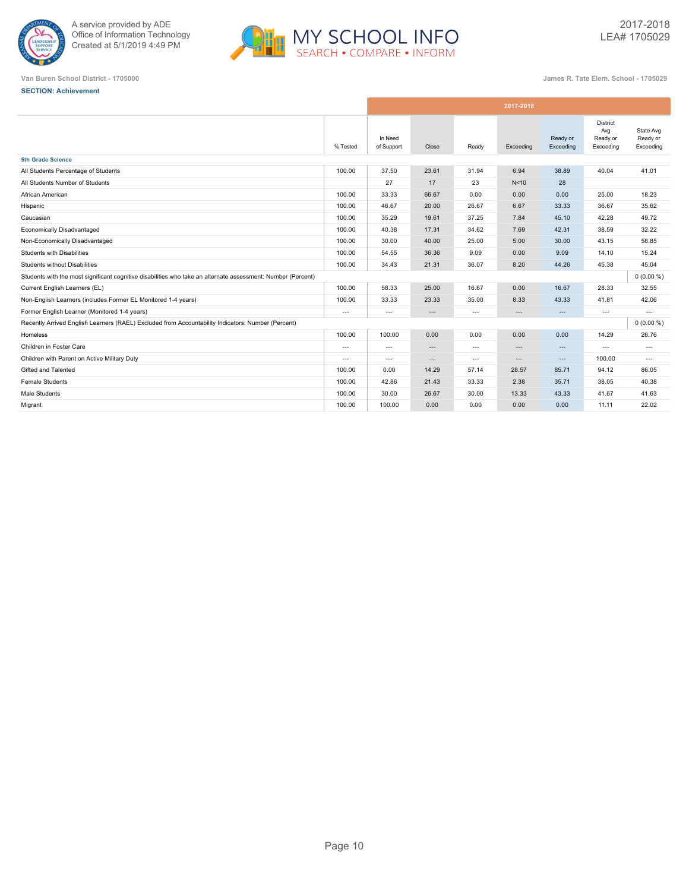



|                |                          |                          |                          | 2017-2018                |                          |                                                 |                                    |
|----------------|--------------------------|--------------------------|--------------------------|--------------------------|--------------------------|-------------------------------------------------|------------------------------------|
| % Tested       | In Need<br>of Support    | Close                    | Ready                    | Exceeding                | Ready or<br>Exceeding    | <b>District</b><br>Avg<br>Ready or<br>Exceeding | State Avg<br>Ready or<br>Exceeding |
|                |                          |                          |                          |                          |                          |                                                 |                                    |
| 100.00         | 37.50                    | 23.61                    | 31.94                    | 6.94                     | 38.89                    | 40.04                                           | 41.01                              |
|                | 27                       | 17                       | 23                       | N<10                     | 28                       |                                                 |                                    |
| 100.00         | 33.33                    | 66.67                    | 0.00                     | 0.00                     | 0.00                     | 25.00                                           | 18.23                              |
| 100.00         | 46.67                    | 20.00                    | 26.67                    | 6.67                     | 33.33                    | 36.67                                           | 35.62                              |
| 100.00         | 35.29                    | 19.61                    | 37.25                    | 7.84                     | 45.10                    | 42.28                                           | 49.72                              |
| 100.00         | 40.38                    | 17.31                    | 34.62                    | 7.69                     | 42.31                    | 38.59                                           | 32.22                              |
| 100.00         | 30.00                    | 40.00                    | 25.00                    | 5.00                     | 30.00                    | 43.15                                           | 58.85                              |
| 100.00         | 54.55                    | 36.36                    | 9.09                     | 0.00                     | 9.09                     | 14.10                                           | 15.24                              |
| 100.00         | 34.43                    | 21.31                    | 36.07                    | 8.20                     | 44.26                    | 45.38                                           | 45.04                              |
|                |                          |                          |                          |                          |                          |                                                 | $0(0.00\%)$                        |
| 100.00         | 58.33                    | 25.00                    | 16.67                    | 0.00                     | 16.67                    | 28.33                                           | 32.55                              |
| 100.00         | 33.33                    | 23.33                    | 35.00                    | 8.33                     | 43.33                    | 41.81                                           | 42.06                              |
| $\cdots$       | $\cdots$                 | $\cdots$                 | $\hspace{0.05cm} \ldots$ | $\hspace{0.05cm} \ldots$ | $\sim$ $\sim$            | $\cdots$                                        | $\cdots$                           |
|                |                          |                          |                          |                          |                          |                                                 | $0(0.00\%)$                        |
| 100.00         | 100.00                   | 0.00                     | 0.00                     | 0.00                     | 0.00                     | 14.29                                           | 26.76                              |
| $\overline{a}$ | $\hspace{0.05cm} \ldots$ | ---                      | $- - -$                  | ---                      | $\cdots$                 | $\cdots$                                        | $---$                              |
| $\cdots$       | $\cdots$                 | $\hspace{0.05cm} \ldots$ | $\hspace{0.05cm} \ldots$ | $\hspace{0.05cm} \ldots$ | $\hspace{0.05cm} \ldots$ | 100.00                                          | $---$                              |
| 100.00         | 0.00                     | 14.29                    | 57.14                    | 28.57                    | 85.71                    | 94.12                                           | 86.05                              |
| 100.00         | 42.86                    | 21.43                    | 33.33                    | 2.38                     | 35.71                    | 38.05                                           | 40.38                              |
| 100.00         | 30.00                    | 26.67                    | 30.00                    | 13.33                    | 43.33                    | 41.67                                           | 41.63                              |
| 100.00         | 100.00                   | 0.00                     | 0.00                     | 0.00                     | 0.00                     | 11.11                                           | 22.02                              |
|                |                          |                          |                          |                          |                          |                                                 |                                    |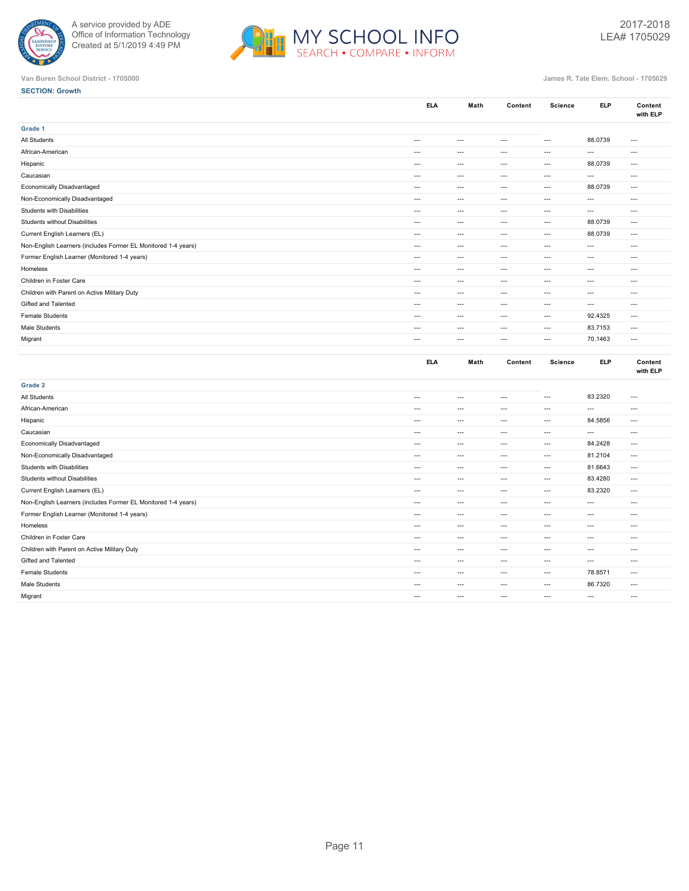

**SECTION: Growth**



|                                                               | <b>ELA</b>        | Math                     | Content       | <b>Science</b>           | <b>ELP</b>               | Content<br>with ELP |
|---------------------------------------------------------------|-------------------|--------------------------|---------------|--------------------------|--------------------------|---------------------|
| Grade 1                                                       |                   |                          |               |                          |                          |                     |
| All Students                                                  | $---$             | $---$                    | $---$         | $\sim$ $\sim$            | 88.0739                  | $\cdots$            |
| African-American                                              | $\qquad \qquad -$ | $---$                    | $---$         | $\sim$ $\sim$            | $\qquad \qquad -$        | $\cdots$            |
| Hispanic                                                      | $---$             | $---$                    | $\cdots$      | $\sim$ $\sim$            | 88.0739                  | $\cdots$            |
| Caucasian                                                     | $\qquad \qquad -$ | $---$                    | $\cdots$      | $\hspace{0.05cm} \ldots$ | $\qquad \qquad -$        | $\cdots$            |
| Economically Disadvantaged                                    | $---$             | $---$                    | $  -$         | $\sim$ $\sim$            | 88.0739                  | $---$               |
| Non-Economically Disadvantaged                                | $---$             | $---$                    | $---$         | $---$                    | $---$                    | $---$               |
| <b>Students with Disabilities</b>                             | $---$             | $---$                    | $---$         | $---$                    | $---$                    | $---$               |
| Students without Disabilities                                 | $---$             | $---$                    | $---$         | $---$                    | 88.0739                  | $---$               |
| Current English Learners (EL)                                 | $---$             | $---$                    | $---$         | $---$                    | 88.0739                  | $\cdots$            |
| Non-English Learners (includes Former EL Monitored 1-4 years) | $\qquad \qquad -$ | $---$                    | $\cdots$      | $\hspace{0.05cm} \ldots$ | $\qquad \qquad \cdots$   | $\cdots$            |
| Former English Learner (Monitored 1-4 years)                  | $\cdots$          | $\hspace{0.05cm} \ldots$ | $\sim$ $\sim$ | $\sim$ $\sim$            | $\hspace{0.05cm} \ldots$ | $\cdots$            |
| Homeless                                                      | $---$             | $---$                    | $\sim$ $\sim$ | $---$                    | $\cdots$                 | $---$               |
| Children in Foster Care                                       | $---$             | $---$                    | $---$         | $---$                    | $---$                    | $---$               |
| Children with Parent on Active Military Duty                  | $---$             | $---$                    | $---$         | $---$                    | $---$                    | $---$               |
| Gifted and Talented                                           | $\qquad \qquad -$ | $---$                    | $\cdots$      | $\hspace{0.05cm} \ldots$ | $---$                    | $\cdots$            |
| <b>Female Students</b>                                        | $---$             | $---$                    | $\cdots$      | $\hspace{0.05cm} \ldots$ | 92.4325                  | $\cdots$            |
| Male Students                                                 | $---$             | $---$                    | $---$         | $\sim$ $\sim$            | 83.7153                  | $\cdots$            |
| Migrant                                                       | $---$             | $---$                    | $---$         | $---$                    | 70.1463                  | $---$               |
|                                                               |                   |                          |               |                          |                          |                     |

|                                                               | <b>ELA</b>        | Math     | Content                  | <b>Science</b>           | <b>ELP</b> | Content<br>with ELP    |
|---------------------------------------------------------------|-------------------|----------|--------------------------|--------------------------|------------|------------------------|
| Grade 2                                                       |                   |          |                          |                          |            |                        |
| All Students                                                  | $---$             | $---$    | $---$                    | $---$                    | 83.2320    | $\cdots$               |
| African-American                                              | $---$             | $---$    | $---$                    | $---$                    | $\cdots$   | $\cdots$               |
| Hispanic                                                      | $---$             | $---$    | $\cdots$                 | $\hspace{0.05cm} \ldots$ | 84.5856    | $\cdots$               |
| Caucasian                                                     | $---$             | $---$    | $\cdots$                 | $---$                    | $\cdots$   | $\cdots$               |
| Economically Disadvantaged                                    | $---$             | $---$    | $---$                    | $---$                    | 84.2428    | $\cdots$               |
| Non-Economically Disadvantaged                                | $---$             | $---$    | $\cdots$                 | $\hspace{0.05cm} \ldots$ | 81.2104    | $\cdots$               |
| Students with Disabilities                                    | $---$             | $---$    | $---$                    | $---$                    | 81.6643    | $---$                  |
| Students without Disabilities                                 | $---$             | $---$    | $---$                    | $---$                    | 83.4280    | $\cdots$               |
| Current English Learners (EL)                                 | $---$             | $---$    | $\cdots$                 | $\hspace{0.05cm} \ldots$ | 83.2320    | $\cdots$               |
| Non-English Learners (includes Former EL Monitored 1-4 years) | $---$             | $---$    | $---$                    | $---$                    | $---$      | $---$                  |
| Former English Learner (Monitored 1-4 years)                  | $\qquad \qquad -$ | $---$    | $\hspace{0.05cm} \ldots$ | $\hspace{0.05cm} \ldots$ | $\cdots$   | ---                    |
| Homeless                                                      | $\qquad \qquad -$ | $---$    | $\cdots$                 | $\cdots$                 | $\cdots$   | ---                    |
| Children in Foster Care                                       | $---$             | $---$    | $---$                    | $---$                    | $\cdots$   | $---$                  |
| Children with Parent on Active Military Duty                  | $---$             | $---$    | $\cdots$                 | $\hspace{0.05cm} \ldots$ | $\cdots$   | $\qquad \qquad \cdots$ |
| Gifted and Talented                                           | $---$             | $---$    | $---$                    | $---$                    | $---$      | $\cdots$               |
| Female Students                                               | $---$             | $---$    | $---$                    | $---$                    | 78.8571    | $\cdots$               |
| Male Students                                                 | $---$             | $---$    | $\hspace{0.05cm} \ldots$ | $\hspace{0.05cm} \ldots$ | 86.7320    | $\cdots$               |
| Migrant                                                       | $\cdots$          | $\cdots$ | $\cdots$                 | $\hspace{0.05cm} \ldots$ | $\cdots$   | $\qquad \qquad \cdots$ |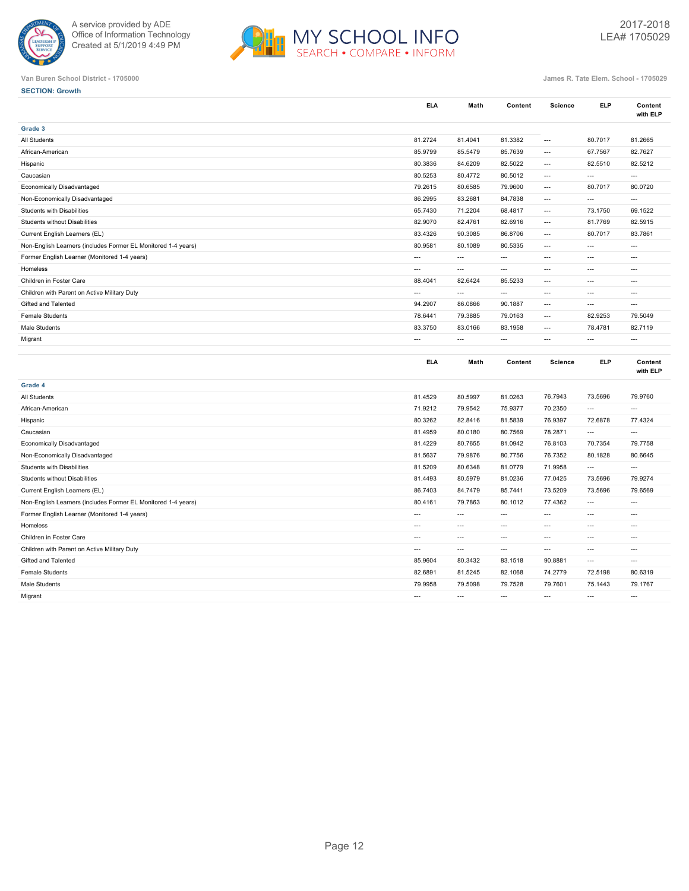



| Van Buren School District - 1705000                           |                |                          |                          |                          |                          | James R. Tate Elem. School - 1705029 |
|---------------------------------------------------------------|----------------|--------------------------|--------------------------|--------------------------|--------------------------|--------------------------------------|
| <b>SECTION: Growth</b>                                        |                |                          |                          |                          |                          |                                      |
|                                                               | <b>ELA</b>     | Math                     | Content                  | <b>Science</b>           | <b>ELP</b>               | Content<br>with ELP                  |
| Grade 3                                                       |                |                          |                          |                          |                          |                                      |
| All Students                                                  | 81.2724        | 81.4041                  | 81.3382                  | $---$                    | 80.7017                  | 81.2665                              |
| African-American                                              | 85.9799        | 85.5479                  | 85.7639                  | $\overline{\phantom{a}}$ | 67.7567                  | 82.7627                              |
| Hispanic                                                      | 80.3836        | 84.6209                  | 82.5022                  | $\overline{\phantom{a}}$ | 82.5510                  | 82.5212                              |
| Caucasian                                                     | 80.5253        | 80.4772                  | 80.5012                  | $\hspace{0.05cm} \ldots$ | $\overline{\phantom{a}}$ | $\overline{\phantom{a}}$             |
| Economically Disadvantaged                                    | 79.2615        | 80.6585                  | 79.9600                  | $\overline{\phantom{a}}$ | 80.7017                  | 80.0720                              |
| Non-Economically Disadvantaged                                | 86.2995        | 83.2681                  | 84.7838                  | $---$                    | $---$                    | $\overline{\phantom{a}}$             |
| Students with Disabilities                                    | 65.7430        | 71.2204                  | 68.4817                  | $\overline{a}$           | 73.1750                  | 69.1522                              |
| Students without Disabilities                                 | 82.9070        | 82.4761                  | 82.6916                  | $\overline{\phantom{a}}$ | 81.7769                  | 82.5915                              |
| Current English Learners (EL)                                 | 83.4326        | 90.3085                  | 86.8706                  | $\overline{\phantom{a}}$ | 80.7017                  | 83.7861                              |
| Non-English Learners (includes Former EL Monitored 1-4 years) | 80.9581        | 80.1089                  | 80.5335                  | $---$                    | $---$                    | $\overline{a}$                       |
| Former English Learner (Monitored 1-4 years)                  | $---$          | $\overline{\phantom{a}}$ | $\overline{\phantom{a}}$ | $\overline{\phantom{a}}$ | $\overline{\phantom{a}}$ | $\hspace{0.05cm} \ldots$             |
| Homeless                                                      | $---$          | $\overline{\phantom{a}}$ | ---                      | $\overline{a}$           | $\cdots$                 | $\hspace{0.05cm} \ldots$             |
| Children in Foster Care                                       | 88.4041        | 82.6424                  | 85.5233                  | $---$                    | $\overline{a}$           | $\cdots$                             |
| Children with Parent on Active Military Duty                  | $\overline{a}$ | $\overline{a}$           | $\overline{a}$           | $---$                    | $---$                    | $---$                                |
| Gifted and Talented                                           | 94.2907        | 86.0866                  | 90.1887                  | $\overline{\phantom{a}}$ | $\hspace{0.05cm} \ldots$ | $\overline{\phantom{a}}$             |
| <b>Female Students</b>                                        | 78.6441        | 79.3885                  | 79.0163                  | $\overline{\phantom{a}}$ | 82.9253                  | 79.5049                              |
| Male Students                                                 | 83.3750        | 83.0166                  | 83.1958                  | $\overline{\phantom{a}}$ | 78.4781                  | 82.7119                              |
| Migrant                                                       | $---$          | $\overline{\phantom{a}}$ | $\overline{\phantom{a}}$ | $\overline{\phantom{a}}$ | $\overline{\phantom{a}}$ | $\hspace{0.05cm} \ldots$             |
|                                                               | <b>ELA</b>     | Math                     | Content                  | <b>Science</b>           | <b>ELP</b>               | Content<br>with ELP                  |
| Grade 4                                                       |                |                          |                          |                          |                          |                                      |
| All Students                                                  | 81.4529        | 80.5997                  | 81.0263                  | 76.7943                  | 73.5696                  | 79.9760                              |
| African-American                                              | 71.9212        | 79.9542                  | 75.9377                  | 70.2350                  | $\overline{\phantom{a}}$ | $\overline{\phantom{a}}$             |
| Hispanic                                                      | 80.3262        | 82.8416                  | 81.5839                  | 76.9397                  | 72.6878                  | 77.4324                              |
| Caucasian                                                     | 81.4959        | 80.0180                  | 80.7569                  | 78.2871                  | $\hspace{0.05cm} \ldots$ | $\overline{\phantom{a}}$             |
| Economically Disadvantaged                                    | 81.4229        | 80.7655                  | 81.0942                  | 76.8103                  | 70.7354                  | 79.7758                              |
| Non-Economically Disadvantaged                                | 81.5637        | 79.9876                  | 80.7756                  | 76.7352                  | 80.1828                  | 80.6645                              |
| Students with Disabilities                                    | 81.5209        | 80.6348                  | 81.0779                  | 71.9958                  | $\overline{\phantom{a}}$ | $\cdots$                             |
| Students without Disabilities                                 | 81.4493        | 80.5979                  | 81.0236                  | 77.0425                  | 73.5696                  | 79.9274                              |
| Current English Learners (EL)                                 | 86.7403        | 84.7479                  | 85.7441                  | 73.5209                  | 73.5696                  | 79.6569                              |
| Non-English Learners (includes Former EL Monitored 1-4 years) | 80.4161        | 79.7863                  | 80.1012                  | 77.4362                  | $\overline{a}$           | $\cdots$                             |
| Former English Learner (Monitored 1-4 years)                  | $\overline{a}$ | ---                      | $\overline{\phantom{a}}$ | $\overline{\phantom{a}}$ | $\overline{a}$           | $\overline{a}$                       |
| Homeless                                                      | $\overline{a}$ | $\overline{\phantom{a}}$ | $\overline{a}$           | $\overline{a}$           | $\overline{a}$           | $\overline{\phantom{a}}$             |
| Children in Foster Care                                       | $\overline{a}$ | $\overline{a}$           | $\overline{a}$           | $\overline{a}$           | $---$                    | $---$                                |

Children with Parent on Active Military Duty --- --- --- --- --- --- Gifted and Talented 85.9604 80.3432 83.1518 90.8881 --- --- Female Students 82.6891 81.5245 82.1068 74.2779 72.5198 80.6319 Male Students 79.7528 79.7501 75.1443 79.1767 Migrant --- --- --- --- --- ---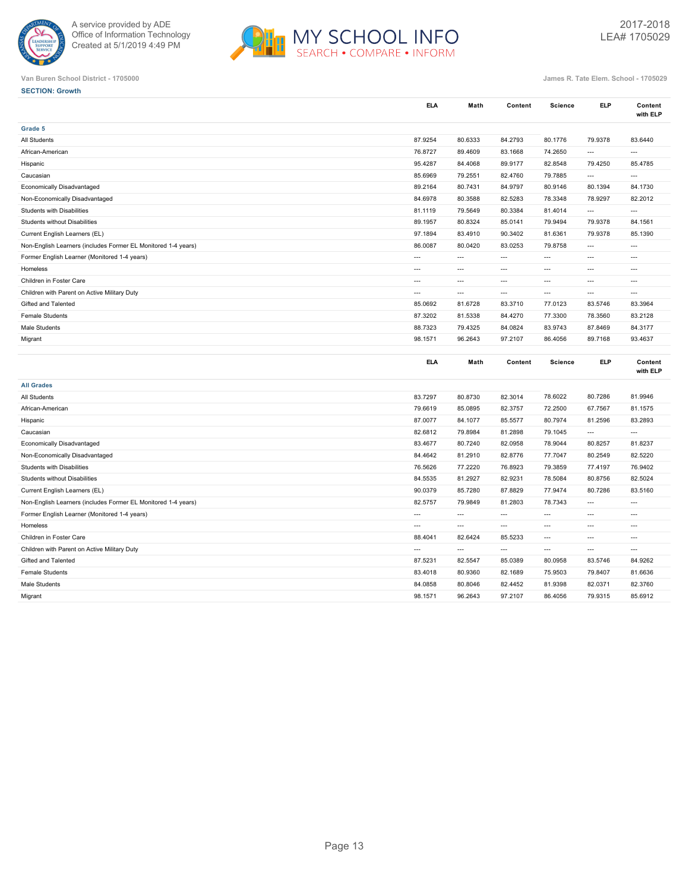



**Van Buren School District - 1705000 James R. Tate Elem. School - 1705029**

| <b>SECTION: Growth</b>                                        |                          |                          |                |                |                |                          |
|---------------------------------------------------------------|--------------------------|--------------------------|----------------|----------------|----------------|--------------------------|
|                                                               | <b>ELA</b>               | Math                     | Content        | <b>Science</b> | <b>ELP</b>     | Content<br>with ELP      |
| Grade 5                                                       |                          |                          |                |                |                |                          |
| All Students                                                  | 87.9254                  | 80.6333                  | 84.2793        | 80.1776        | 79.9378        | 83.6440                  |
| African-American                                              | 76.8727                  | 89.4609                  | 83.1668        | 74.2650        | $\overline{a}$ | $---$                    |
| Hispanic                                                      | 95.4287                  | 84.4068                  | 89.9177        | 82.8548        | 79.4250        | 85.4785                  |
| Caucasian                                                     | 85.6969                  | 79.2551                  | 82.4760        | 79.7885        | $---$          | $---$                    |
| Economically Disadvantaged                                    | 89.2164                  | 80.7431                  | 84.9797        | 80.9146        | 80.1394        | 84.1730                  |
| Non-Economically Disadvantaged                                | 84.6978                  | 80.3588                  | 82.5283        | 78.3348        | 78.9297        | 82.2012                  |
| <b>Students with Disabilities</b>                             | 81.1119                  | 79.5649                  | 80.3384        | 81.4014        | $\overline{a}$ | $\overline{a}$           |
| Students without Disabilities                                 | 89.1957                  | 80.8324                  | 85.0141        | 79.9494        | 79.9378        | 84.1561                  |
| Current English Learners (EL)                                 | 97.1894                  | 83.4910                  | 90.3402        | 81.6361        | 79.9378        | 85.1390                  |
| Non-English Learners (includes Former EL Monitored 1-4 years) | 86.0087                  | 80.0420                  | 83.0253        | 79.8758        | $\overline{a}$ | $---$                    |
| Former English Learner (Monitored 1-4 years)                  | $---$                    | $\overline{a}$           | $\overline{a}$ | $\overline{a}$ | $---$          | $---$                    |
| Homeless                                                      | $\overline{\phantom{a}}$ | ---                      | ---            | $---$          | $---$          | $\cdots$                 |
| Children in Foster Care                                       | $---$                    | $---$                    | $---$          | $\overline{a}$ | $---$          | $---$                    |
| Children with Parent on Active Military Duty                  | $\overline{a}$           | $\overline{a}$           | ---            | $\overline{a}$ | $\overline{a}$ | $\overline{a}$           |
| Gifted and Talented                                           | 85.0692                  | 81.6728                  | 83.3710        | 77.0123        | 83.5746        | 83.3964                  |
| <b>Female Students</b>                                        | 87.3202                  | 81.5338                  | 84.4270        | 77.3300        | 78.3560        | 83.2128                  |
| Male Students                                                 | 88.7323                  | 79.4325                  | 84.0824        | 83.9743        | 87.8469        | 84.3177                  |
| Migrant                                                       | 98.1571                  | 96.2643                  | 97.2107        | 86.4056        | 89.7168        | 93.4637                  |
|                                                               |                          |                          |                |                |                |                          |
|                                                               | <b>ELA</b>               | Math                     | Content        | <b>Science</b> | <b>ELP</b>     | Content<br>with ELP      |
| <b>All Grades</b>                                             |                          |                          |                |                |                |                          |
| All Students                                                  | 83.7297                  | 80.8730                  | 82.3014        | 78.6022        | 80.7286        | 81.9946                  |
| African-American                                              | 79.6619                  | 85.0895                  | 82.3757        | 72.2500        | 67.7567        | 81.1575                  |
| Hispanic                                                      | 87.0077                  | 84.1077                  | 85.5577        | 80.7974        | 81.2596        | 83.2893                  |
| Caucasian                                                     | 82.6812                  | 79.8984                  | 81.2898        | 79.1045        | $---$          | $\overline{a}$           |
| Economically Disadvantaged                                    | 83.4677                  | 80.7240                  | 82.0958        | 78.9044        | 80.8257        | 81.8237                  |
| Non-Economically Disadvantaged                                | 84.4642                  | 81.2910                  | 82.8776        | 77.7047        | 80.2549        | 82.5220                  |
| <b>Students with Disabilities</b>                             | 76.5626                  | 77.2220                  | 76.8923        | 79.3859        | 77.4197        | 76.9402                  |
| <b>Students without Disabilities</b>                          | 84.5535                  | 81.2927                  | 82.9231        | 78.5084        | 80.8756        | 82.5024                  |
| Current English Learners (EL)                                 | 90.0379                  | 85.7280                  | 87.8829        | 77.9474        | 80.7286        | 83.5160                  |
| Non-English Learners (includes Former EL Monitored 1-4 years) | 82.5757                  | 79.9849                  | 81.2803        | 78.7343        | $\overline{a}$ | $\overline{\phantom{a}}$ |
| Former English Learner (Monitored 1-4 years)                  | $\overline{a}$           | $\overline{a}$           | $\overline{a}$ | $\overline{a}$ | $\overline{a}$ | $\overline{a}$           |
| Homeless                                                      | $\cdots$                 | $\overline{\phantom{a}}$ | ---            | ---            | $\overline{a}$ | $\overline{\phantom{a}}$ |
| Children in Foster Care                                       | 88.4041                  | 82.6424                  | 85.5233        | $---$          | $---$          | $---$                    |
| Children with Parent on Active Military Duty                  | ---                      | $\overline{a}$           | ---            | $\overline{a}$ | $\overline{a}$ | $\overline{a}$           |
|                                                               |                          |                          |                |                |                |                          |

Gifted and Talented 87.5231 82.5547 85.0389 80.0958 83.5746 84.9262 Female Students 83.4018 80.9360 82.1689 75.9503 79.8407 81.6636 Male Students 84.0858 80.8046 82.4452 81.9398 82.0371 82.3760 98.1571 96.2643 97.2107 86.4056 79.9315 85.6912 بالمالي 1,571 96.2643 97.2107 86.4056 79.9315 85.6912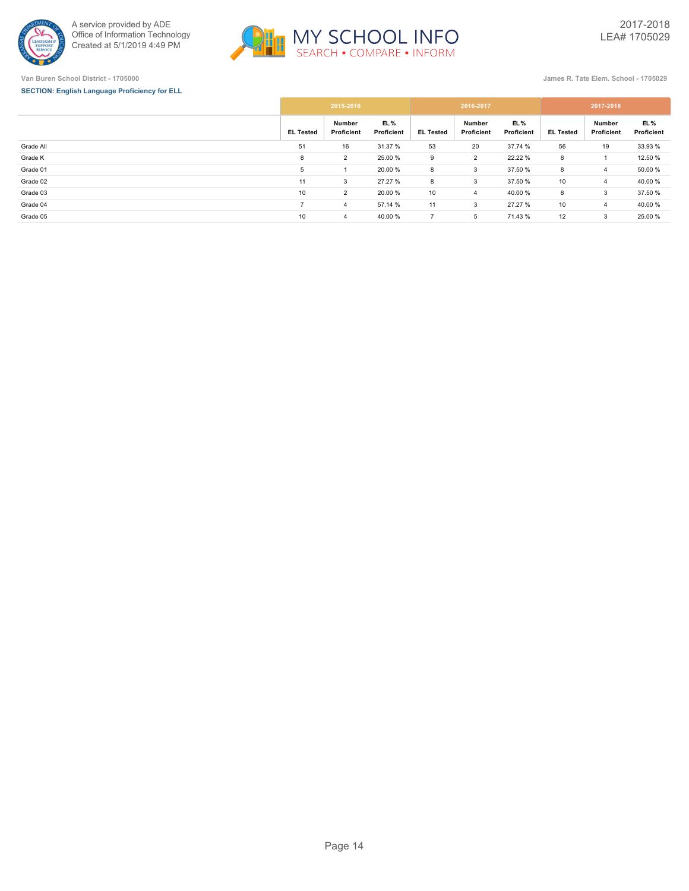



**Van Buren School District - 1705000 James R. Tate Elem. School - 1705029**

# **SECTION: English Language Proficiency for ELL**

|           |                  | 2015-2016            |                    |                  | 2016-2017            |                    | 2017-2018        |                      |                    |  |
|-----------|------------------|----------------------|--------------------|------------------|----------------------|--------------------|------------------|----------------------|--------------------|--|
|           | <b>EL Tested</b> | Number<br>Proficient | EL %<br>Proficient | <b>EL Tested</b> | Number<br>Proficient | EL %<br>Proficient | <b>EL Tested</b> | Number<br>Proficient | EL %<br>Proficient |  |
| Grade All | 51               | 16                   | 31.37 %            | 53               | 20                   | 37.74 %            | 56               | 19                   | 33.93 %            |  |
| Grade K   | 8                | $\overline{2}$       | 25.00 %            | 9                | $\overline{2}$       | 22.22 %            | 8                |                      | 12.50 %            |  |
| Grade 01  | 5                |                      | 20.00 %            | 8                | 3                    | 37.50 %            | 8                | $\overline{4}$       | 50.00 %            |  |
| Grade 02  | 11               | 3                    | 27.27 %            | 8                | 3                    | 37.50 %            | 10               | $\overline{4}$       | 40.00 %            |  |
| Grade 03  | 10               | $\overline{2}$       | 20.00 %            | 10               | 4                    | 40.00 %            | 8                | 3                    | 37.50 %            |  |
| Grade 04  | -                | $\overline{4}$       | 57.14 %            | 11               | 3                    | 27.27 %            | 10               | $\overline{4}$       | 40.00 %            |  |
| Grade 05  | 10               | $\overline{4}$       | 40.00 %            |                  | 5                    | 71.43 %            | 12               | 3                    | 25.00 %            |  |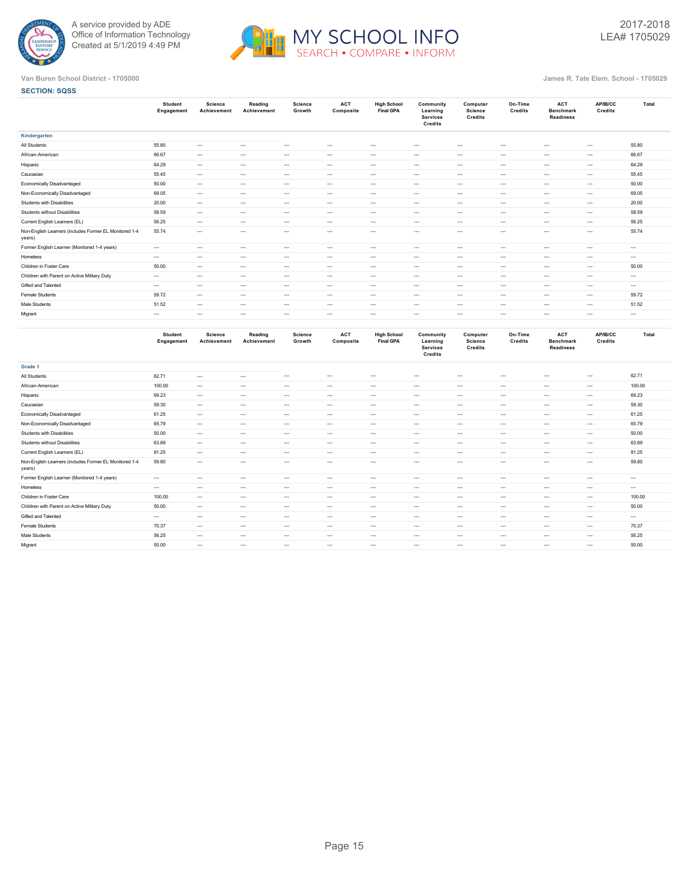

**SECTION: SQSS**



|                                                                  | <b>Student</b><br>Engagement | Science<br>Achievement | Reading<br>Achievement | Science<br>Growth | <b>ACT</b><br>Composite | <b>High School</b><br><b>Final GPA</b> | Community<br>Learning<br><b>Services</b><br>Credits | Computer<br>Science<br>Credits | On-Time<br>Credits | <b>ACT</b><br>Benchmark<br>Readiness | AP/IB/CC<br>Credits | Total    |
|------------------------------------------------------------------|------------------------------|------------------------|------------------------|-------------------|-------------------------|----------------------------------------|-----------------------------------------------------|--------------------------------|--------------------|--------------------------------------|---------------------|----------|
| Kindergarten                                                     |                              |                        |                        |                   |                         |                                        |                                                     |                                |                    |                                      |                     |          |
| All Students                                                     | 55.80                        | $\cdots$               | $\cdots$               | $\cdots$          | $\cdots$                | $---$                                  | $---$                                               | $---$                          | $\sim$             | $---$                                | $---$               | 55.80    |
| African-American                                                 | 66.67                        | $\cdots$               | $\cdots$               | $\cdots$          | $\cdots$                | $\cdots$                               | $\cdots$                                            | $\sim$ $\sim$                  | $\sim$             | $\sim$                               | $\cdots$            | 66.67    |
| Hispanic                                                         | 64.29                        | $\cdots$               | $\cdots$               | $\cdots$          | $\cdots$                | $---$                                  | $---$                                               | $---$                          | $\sim$             | $\cdots$                             | $---$               | 64.29    |
| Caucasian                                                        | 55.45                        | $\cdots$               | $\cdots$               | $\cdots$          | $\cdots$                | $\cdots$                               | $\cdots$                                            | $\cdots$                       | $\cdots$           | $\cdots$                             | $---$               | 55.45    |
| Economically Disadvantaged                                       | 50.00                        | $\cdots$               | $\cdots$               | $\cdots$          | $\cdots$                | $\cdots$                               | $\cdots$                                            | $---$                          | $\sim$             | $\sim$                               | $---$               | 50.00    |
| Non-Economically Disadvantaged                                   | 69.05                        | $\cdots$               | $\cdots$               | $\cdots$          | $\cdots$                | $\cdots$                               | $\cdots$                                            | $\sim$ $\sim$                  | $\sim$             | $\sim$                               | $\cdots$            | 69.05    |
| Students with Disabilities                                       | 20.00                        | $\cdots$               | $\cdots$               | $\cdots$          | $\cdots$                | $\cdots$                               | $\cdots$                                            | $\cdots$                       | $\sim$             | $\sim$                               | $---$               | 20.00    |
| Students without Disabilities                                    | 58.59                        | $\cdots$               | $\cdots$               | $\cdots$          | $\cdots$                | $\cdots$                               | $\cdots$                                            | $\cdots$                       | $\sim$             | $\cdots$                             | $---$               | 58.59    |
| Current English Learners (EL)                                    | 56.25                        | $\cdots$               | $\cdots$               | $\cdots$          | $\cdots$                | $\cdots$                               | $\cdots$                                            | $\cdots$                       | $\sim$             | $\sim$                               |                     | 56.25    |
| Non-English Learners (includes Former EL Monitored 1-4<br>years) | 55.74                        | $\cdots$               | $\cdots$               | $\cdots$          | $\cdots$                | $\cdots$                               | $\cdots$                                            | $\cdots$                       | $\cdots$           | $\cdots$                             | $\cdots$            | 55.74    |
| Former English Learner (Monitored 1-4 years)                     | $\cdots$                     | $\cdots$               | $\cdots$               | $\cdots$          | $\cdots$                | $\cdots$                               | $\cdots$                                            | $---$                          | $\sim$             | $\cdots$                             | $---$               | $---$    |
| Homeless                                                         | $\cdots$                     | $\cdots$               | $\cdots$               | $\cdots$          | $\cdots$                | $\cdots$                               | $\cdots$                                            | $\cdots$                       | $\cdots$           | $\sim$                               | $\cdots$            |          |
| Children in Foster Care                                          | 50.00                        | $\cdots$               | $\cdots$               | $\cdots$          | $\cdots$                | $\cdots$                               | $\cdots$                                            | $---$                          | $\sim$             | $\cdots$                             | $---$               | 50.00    |
| Children with Parent on Active Military Duty                     | $\cdots$                     | $\cdots$               | $\cdots$               | $\cdots$          | $\cdots$                | $\cdots$                               | $\cdots$                                            | $\cdots$                       | $\cdots$           | $\cdots$                             | $---$               | $\cdots$ |
| Gifted and Talented                                              | $\cdots$                     | $\cdots$               | $\cdots$               | $\cdots$          | $\cdots$                | $---$                                  | $---$                                               | $---$                          | $\sim$             | $---$                                | $---$               | $---$    |
| Female Students                                                  | 59.72                        | $\cdots$               | $\cdots$               | $\cdots$          | $\cdots$                | $\cdots$                               | $\cdots$                                            | $\cdots$                       | $\sim$             | $\cdots$                             | $---$               | 59.72    |
| Male Students                                                    | 51.52                        | $\cdots$               | $\cdots$               | $\cdots$          | $\cdots$                | $\cdots$                               | $\cdots$                                            | $\cdots$                       | $\cdots$           | $\cdots$                             | $---$               | 51.52    |
| Migrant                                                          | $\cdots$                     | $\cdots$               | $\cdots$               | $\cdots$          | $\cdots$                | $---$                                  | $---$                                               | $---$                          | $\sim$             | $\cdots$                             | $---$               | $---$    |
|                                                                  |                              |                        |                        |                   |                         |                                        |                                                     |                                |                    |                                      |                     |          |

|                                                                  | <b>Student</b><br>Engagement | Science<br>Achievement | Reading<br>Achievement | Science<br>Growth | <b>ACT</b><br>Composite | <b>High School</b><br><b>Final GPA</b> | Community<br>Learning<br><b>Services</b><br>Credits | Computer<br>Science<br>Credits | On-Time<br>Credits | <b>ACT</b><br><b>Benchmark</b><br><b>Readiness</b> | AP/IB/CC<br>Credits | Total    |
|------------------------------------------------------------------|------------------------------|------------------------|------------------------|-------------------|-------------------------|----------------------------------------|-----------------------------------------------------|--------------------------------|--------------------|----------------------------------------------------|---------------------|----------|
| Grade 1                                                          |                              |                        |                        |                   |                         |                                        |                                                     |                                |                    |                                                    |                     |          |
| All Students                                                     | 62.71                        | $---$                  | $\cdots$               | $\cdots$          | $\sim$                  | $\cdots$                               | $\cdots$                                            | $---$                          | $\cdots$           | $\sim$                                             | $---$               | 62.71    |
| African-American                                                 | 100.00                       | $---$                  | $\cdots$               | $\cdots$          | $\sim$                  | $\cdots$                               | $\cdots$                                            | $---$                          | $\cdots$           | $\cdots$                                           | $---$               | 100.00   |
| Hispanic                                                         | 69.23                        | $---$                  | $\cdots$               | $\cdots$          | $-1$                    | $\cdots$                               | $\cdots$                                            | $\cdots$                       | $\cdots$           | $\cdots$                                           | $---$               | 69.23    |
| Caucasian                                                        | 59.30                        | $\cdots$               | $\cdots$               | $\cdots$          | $\cdots$                | $\cdots$                               | $\cdots$                                            | $---$                          | $\cdots$           | $\cdots$                                           | $---$               | 59.30    |
| <b>Economically Disadvantaged</b>                                | 61.25                        | $---$                  | $\cdots$               | $\cdots$          | $\sim$                  | $\cdots$                               | $\cdots$                                            | $---$                          | $\cdots$           | $\cdots$                                           | $---$               | 61.25    |
| Non-Economically Disadvantaged                                   | 65.79                        | $---$                  | $\cdots$               | $\cdots$          | $\sim$                  | $\cdots$                               | $\cdots$                                            | $---$                          | $\cdots$           | $\cdots$                                           | $---$               | 65.79    |
| Students with Disabilities                                       | 50.00                        | $\cdots$               | $\cdots$               | $\cdots$          | $\sim$                  | $\cdots$                               | $\cdots$                                            | $\cdots$                       | $\cdots$           | $\cdots$                                           | $---$               | 50.00    |
| Students without Disabilities                                    | 63.89                        | $---$                  | $\cdots$               | $\cdots$          | $\sim$                  | $\cdots$                               | $\cdots$                                            | $\cdots$                       | $\cdots$           | $\cdots$                                           | $---$               | 63.89    |
| Current English Learners (EL)                                    | 81.25                        | $\cdots$               | $\cdots$               | $\cdots$          | $\sim$                  | $\cdots$                               | $\cdots$                                            | $---$                          | $\cdots$           | $\cdots$                                           | $---$               | 81.25    |
| Non-English Learners (includes Former EL Monitored 1-4<br>years) | 59.80                        | $\cdots$               | $---$                  | $\cdots$          | $\sim$                  | $\cdots$                               | $\cdots$                                            |                                | $\cdots$           | $\sim$                                             | $\cdots$            | 59.80    |
| Former English Learner (Monitored 1-4 years)                     | $\cdots$                     | $---$                  | $\cdots$               | $\cdots$          | $\sim$                  | $\cdots$                               | $\cdots$                                            | $---$                          | $\cdots$           | $\cdots$                                           | $---$               | $\cdots$ |
| Homeless                                                         | $-1$                         | $\cdots$               | $\cdots$               | $\cdots$          | $\sim$                  | $\cdots$                               | $\cdots$                                            | $---$                          | $\cdots$           | $\cdots$                                           | $---$               | $\cdots$ |
| Children in Foster Care                                          | 100.00                       | $---$                  | $\cdots$               | $\cdots$          | $\sim$                  | $\cdots$                               | $\cdots$                                            | $---$                          | $\cdots$           | $\cdots$                                           | $---$               | 100.00   |
| Children with Parent on Active Military Duty                     | 50.00                        | $---$                  | $\cdots$               | $\cdots$          | $\sim$                  | $\cdots$                               | $\cdots$                                            | $\cdots$                       | $\cdots$           | $\cdots$                                           | $---$               | 50.00    |
| Gifted and Talented                                              | $\cdots$                     | $---$                  | $\cdots$               | $\cdots$          | $\sim$                  | $\cdots$                               | $\cdots$                                            | $---$                          | $\cdots$           | $\cdots$                                           | $---$               | $\cdots$ |
| Female Students                                                  | 70.37                        | $---$                  | $\cdots$               | $\cdots$          | $\sim$                  | $\cdots$                               | $\cdots$                                            | $---$                          | $\cdots$           | $\cdots$                                           | $---$               | 70.37    |
| Male Students                                                    | 56.25                        | $\cdots$               | $\cdots$               | $\cdots$          | $\sim$                  | $\cdots$                               | $\cdots$                                            | $---$                          | $\cdots$           | $\cdots$                                           | $---$               | 56.25    |
| Migrant                                                          | 50.00                        | $---$                  | $\cdots$               | $\cdots$          | $\sim$                  | $\cdots$                               | $\cdots$                                            | $\cdots$                       | $\cdots$           | $\cdots$                                           | $---$               | 50.00    |
|                                                                  |                              |                        |                        |                   |                         |                                        |                                                     |                                |                    |                                                    |                     |          |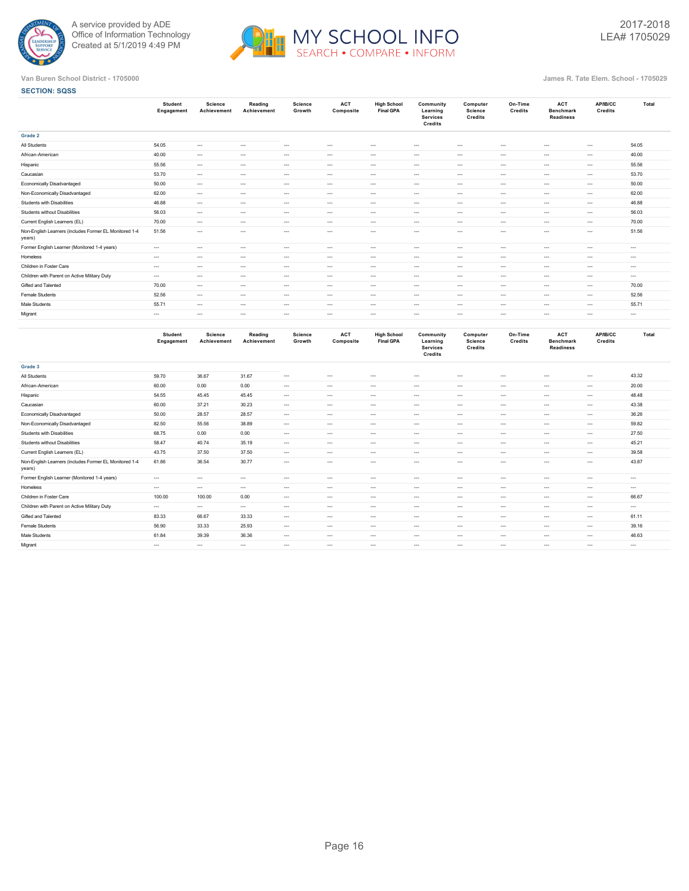

**SECTION: SQSS**



|                                                                  | <b>Student</b><br>Engagement | Science<br>Achievement | Reading<br>Achievement | Science<br>Growth | <b>ACT</b><br>Composite | <b>High School</b><br><b>Final GPA</b> | Community<br>Learning<br><b>Services</b><br>Credits | Computer<br>Science<br>Credits | On-Time<br>Credits | <b>ACT</b><br>Benchmark<br>Readiness | AP/IB/CC<br>Credits | Total    |
|------------------------------------------------------------------|------------------------------|------------------------|------------------------|-------------------|-------------------------|----------------------------------------|-----------------------------------------------------|--------------------------------|--------------------|--------------------------------------|---------------------|----------|
| Grade 2                                                          |                              |                        |                        |                   |                         |                                        |                                                     |                                |                    |                                      |                     |          |
| All Students                                                     | 54.05                        | $---$                  | $-1$                   | $\cdots$          | $\sim$ $\sim$           | $\cdots$                               | $\cdots$                                            | $\cdots$                       | $\cdots$           | $\cdots$                             | $---$               | 54.05    |
| African-American                                                 | 40.00                        | $---$                  | $-1$                   | $\sim$ $\sim$     | $\sim$ $\sim$           | $\cdots$                               | $\cdots$                                            | $\cdots$                       | $\cdots$           | $\cdots$                             | $---$               | 40.00    |
| Hispanic                                                         | 55.56                        | $---$                  | $-1$                   | $\sim$ $\sim$     | $\sim$                  | $\cdots$                               | $\cdots$                                            | $\cdots$                       | $\sim$             | $\cdots$                             | $---$               | 55.56    |
| Caucasian                                                        | 53.70                        | $---$                  | $-1$                   | $\sim$ $\sim$     | $\sim$ $\sim$           | $-1$                                   | $\cdots$                                            | $\cdots$                       | $\cdots$           | $\cdots$                             | $---$               | 53.70    |
| Economically Disadvantaged                                       | 50.00                        | $---$                  | $- - -$                | $\sim$ $\sim$     | $\sim$                  | $\cdots$                               | $\cdots$                                            | $\cdots$                       | $\sim$             | $\cdots$                             | $---$               | 50.00    |
| Non-Economically Disadvantaged                                   | 62.00                        | $---$                  | $- - -$                | $\sim$ $\sim$     | $-1$                    | $-1$                                   | $\cdots$                                            | $\cdots$                       | $\cdots$           | $\cdots$                             | $---$               | 62.00    |
| Students with Disabilities                                       | 46.88                        | $---$                  | $- - -$                | $\sim$ $\sim$     | $\sim$                  | $\cdots$                               | $\cdots$                                            | $\cdots$                       | $\sim$             | $\cdots$                             | $---$               | 46.88    |
| Students without Disabilities                                    | 56.03                        | $---$                  | $- - -$                | $\sim$ $\sim$     | $-1$                    | $\cdots$                               | $\cdots$                                            | $\cdots$                       | $\cdots$           | $\cdots$                             | $---$               | 56.03    |
| Current English Learners (EL)                                    | 70.00                        | $---$                  | $- - -$                | $\sim$ $\sim$     | $\sim$                  | $\cdots$                               | $\cdots$                                            | $\cdots$                       | $\sim$             | $\cdots$                             | $---$               | 70.00    |
| Non-English Learners (includes Former EL Monitored 1-4<br>years) | 51.56                        | $---$                  | $\cdots$               | $\cdots$          | $\cdots$                | $- - -$                                | $\cdots$                                            | $\cdots$                       | $\sim$             | $---$                                | $---$               | 51.56    |
| Former English Learner (Monitored 1-4 years)                     | $\sim$                       | $---$                  | $\cdots$               | $\sim$ $\sim$     | $\sim$                  | $\cdots$                               | $\cdots$                                            | $\cdots$                       | $\sim$             | $\cdots$                             | $---$               | $\cdots$ |
| Homeless                                                         | $\sim$                       | $---$                  | $- - -$                | $\sim$ $\sim$     | $-1$                    | $\cdots$                               | $\cdots$                                            | $\cdots$                       | $\cdots$           | $\cdots$                             | $---$               | $\cdots$ |
| Children in Foster Care                                          | $\sim$                       | $\cdots$               | $\cdots$               | $\cdots$          | $\sim$                  | $\cdots$                               | $\cdots$                                            | $\cdots$                       | $\cdots$           | $\cdots$                             | $\cdots$            | $\cdots$ |
| Children with Parent on Active Military Duty                     | $\cdots$                     | $\cdots$               | $- - -$                | $\cdots$          | $\sim$                  | $\cdots$                               | $\cdots$                                            | $\cdots$                       | $\sim$             | $\cdots$                             | $---$               | $\cdots$ |
| Gifted and Talented                                              | 70.00                        | $\cdots$               | $\cdots$               | $\cdots$          | $\sim$                  | $\cdots$                               | $\cdots$                                            | $\cdots$                       | $\cdots$           | $\cdots$                             | $\cdots$            | 70.00    |
| Female Students                                                  | 52.56                        | $---$                  | $\cdots$               | $\cdots$          | $\sim$                  | $\cdots$                               | $\cdots$                                            | $\cdots$                       | $\cdots$           | $\cdots$                             | $---$               | 52.56    |
| Male Students                                                    | 55.71                        | $\cdots$               | $\cdots$               | $\cdots$          | $\sim$                  | $\cdots$                               | $\cdots$                                            | $\cdots$                       | $\cdots$           | $\cdots$                             | $\cdots$            | 55.71    |
| Migrant                                                          | $\cdots$                     | $\cdots$               | $\cdots$               | $\cdots$          | $\sim$                  | $\cdots$                               | $\cdots$                                            | $\cdots$                       | $\sim$             | $\cdots$                             | $---$               | $\cdots$ |
|                                                                  |                              |                        |                        |                   |                         |                                        |                                                     |                                |                    |                                      |                     |          |

|                                                                  | <b>Student</b><br>Engagement | Science<br>Achievement | Reading<br>Achievement | Science<br>Growth | <b>ACT</b><br>Composite | <b>High School</b><br><b>Final GPA</b> | Community<br>Learning<br><b>Services</b><br>Credits | Computer<br>Science<br>Credits | On-Time<br>Credits | <b>ACT</b><br><b>Benchmark</b><br><b>Readiness</b> | AP/IB/CC<br>Credits | Total    |
|------------------------------------------------------------------|------------------------------|------------------------|------------------------|-------------------|-------------------------|----------------------------------------|-----------------------------------------------------|--------------------------------|--------------------|----------------------------------------------------|---------------------|----------|
| Grade 3                                                          |                              |                        |                        |                   |                         |                                        |                                                     |                                |                    |                                                    |                     |          |
| All Students                                                     | 59.70                        | 36.67                  | 31.67                  | $\sim$ $\sim$     | $\cdots$                | $\cdots$                               | $---$                                               | $\cdots$                       | $\sim$             | $\cdots$                                           | $---$               | 43.32    |
| African-American                                                 | 60.00                        | 0.00                   | 0.00                   | $\sim$ $\sim$     | $\sim$                  | $\cdots$                               | $\cdots$                                            | $---$                          | $\sim$             | $\cdots$                                           | $---$               | 20.00    |
| Hispanic                                                         | 54.55                        | 45.45                  | 45.45                  | $\sim$ $\sim$     | $\cdots$                | $\cdots$                               | $---$                                               | $\cdots$                       | $\cdots$           | $\cdots$                                           | $\cdots$            | 48.48    |
| Caucasian                                                        | 60.00                        | 37.21                  | 30.23                  | $\sim$ $\sim$     | $\cdots$                | $\cdots$                               | $---$                                               | $\cdots$                       | $\sim$             | $\cdots$                                           | $\cdots$            | 43.38    |
| <b>Economically Disadvantaged</b>                                | 50.00                        | 28.57                  | 28.57                  | $\sim$ $\sim$     | $\sim$                  | $\cdots$                               | $---$                                               | $\cdots$                       | $\sim$             | $\cdots$                                           | $\cdots$            | 36.26    |
| Non-Economically Disadvantaged                                   | 82.50                        | 55.56                  | 38.89                  | $\sim$ $\sim$     | $\cdots$                | $\cdots$                               | $\cdots$                                            | $---$                          | $\cdots$           | $\cdots$                                           | $\cdots$            | 59.82    |
| Students with Disabilities                                       | 68.75                        | 0.00                   | 0.00                   | $\sim$ $\sim$     | $\cdots$                | $\cdots$                               | $---$                                               | $---$                          | $\sim$             | $\cdots$                                           | $\cdots$            | 27.50    |
| Students without Disabilities                                    | 58.47                        | 40.74                  | 35.19                  | $\sim$ $\sim$     | $\sim$                  | $\cdots$                               | $\cdots$                                            | $---$                          | $\sim$             | $\cdots$                                           | $---$               | 45.21    |
| Current English Learners (EL)                                    | 43.75                        | 37.50                  | 37.50                  | $\sim$ $\sim$     | $\sim$                  | $\cdots$                               | $---$                                               | $\cdots$                       | $\sim$             | $\cdots$                                           | $\cdots$            | 39.58    |
| Non-English Learners (includes Former EL Monitored 1-4<br>years) | 61.86                        | 36.54                  | 30.77                  | $\cdots$          | $\cdots$                | $\cdots$                               | $\cdots$                                            | $\cdots$                       | $\cdots$           | $\cdots$                                           | $\cdots$            | 43.87    |
| Former English Learner (Monitored 1-4 years)                     | $- - -$                      | $\cdots$               | $-1$                   | $\sim$ $\sim$     | $\cdots$                | $\cdots$                               | $\cdots$                                            | $\cdots$                       | $\sim$             | $\cdots$                                           | $---$               | $\cdots$ |
| Homeless                                                         | $- - -$                      | $\cdots$               | $-1$                   | $\sim$ $\sim$     | $\sim$                  | $\cdots$                               | $\cdots$                                            | $\cdots$                       | $\sim$             | $\cdots$                                           | $---$               | $-1$     |
| Children in Foster Care                                          | 100.00                       | 100.00                 | 0.00                   | $\sim$ $\sim$     | $\sim$                  | $\cdots$                               | $---$                                               | $---$                          | $\sim$             | $\cdots$                                           | $\cdots$            | 66.67    |
| Children with Parent on Active Military Duty                     | $\cdots$                     | $\cdots$               | $\cdots$               | $\sim$ $\sim$     | $\cdots$                | $\cdots$                               | $---$                                               | $\cdots$                       | $\sim$             | $\cdots$                                           | $\cdots$            | $\cdots$ |
| Gifted and Talented                                              | 83.33                        | 66.67                  | 33.33                  | $\sim$ $\sim$     | $\sim$                  | $\cdots$                               | $\cdots$                                            | $---$                          | $\sim$             | $\cdots$                                           | $---$               | 61.11    |
| Female Students                                                  | 56.90                        | 33.33                  | 25.93                  | $\sim$ $\sim$     | $\cdots$                | $\cdots$                               | $---$                                               | $---$                          | $\sim$             | $\cdots$                                           | $\cdots$            | 39.16    |
| Male Students                                                    | 61.84                        | 39.39                  | 36.36                  | $\sim$            | $\sim$                  | $\cdots$                               | $\cdots$                                            | $\cdots$                       | $\sim$             | $\cdots$                                           | $---$               | 46.63    |
| Migrant                                                          | $- - -$                      | $---$                  | $\cdots$               | $\cdots$          | $\cdots$                | $\cdots$                               | $---$                                               | $---$                          | $\sim$             | $\cdots$                                           | $\cdots$            | $- - -$  |
|                                                                  |                              |                        |                        |                   |                         |                                        |                                                     |                                |                    |                                                    |                     |          |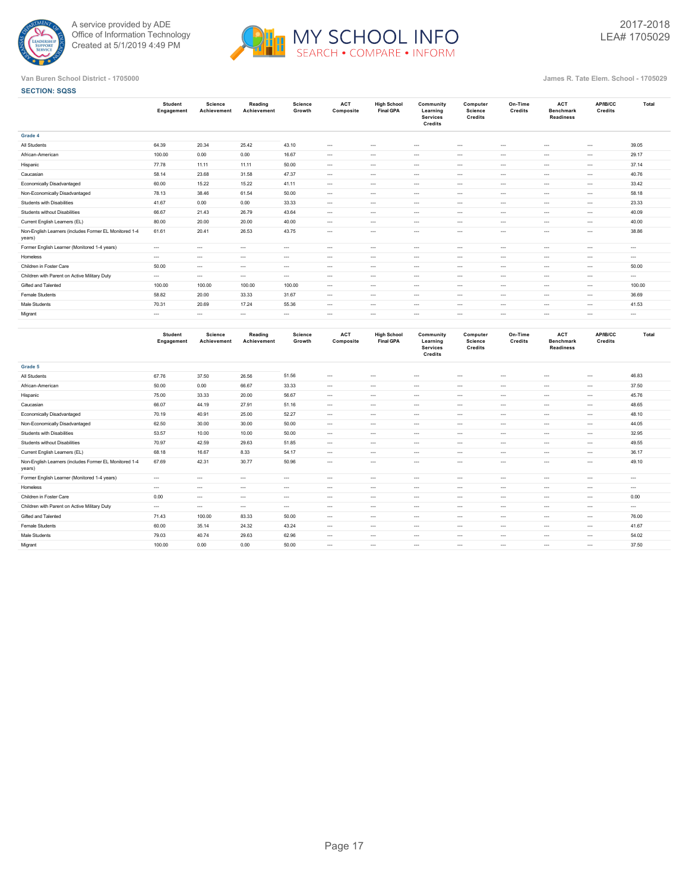

**SECTION: SQSS**



|                                                                  | Student<br>Engagement | Science<br>Achievement | Reading<br>Achievement | Science<br>Growth | <b>ACT</b><br>Composite | <b>High School</b><br><b>Final GPA</b> | Community<br>Learning<br><b>Services</b><br>Credits | Computer<br>Science<br>Credits | On-Time<br>Credits | <b>ACT</b><br><b>Benchmark</b><br><b>Readiness</b> | AP/IB/CC<br>Credits | Total    |
|------------------------------------------------------------------|-----------------------|------------------------|------------------------|-------------------|-------------------------|----------------------------------------|-----------------------------------------------------|--------------------------------|--------------------|----------------------------------------------------|---------------------|----------|
| Grade 4                                                          |                       |                        |                        |                   |                         |                                        |                                                     |                                |                    |                                                    |                     |          |
| All Students                                                     | 64.39                 | 20.34                  | 25.42                  | 43.10             | $\cdots$                | ---                                    | $---$                                               | $\cdots$                       | $\cdots$           | $\cdots$                                           | $\cdots$            | 39.05    |
| African-American                                                 | 100.00                | 0.00                   | 0.00                   | 16.67             | $---$                   | $\cdots$                               | $\cdots$                                            | $\cdots$                       | $\cdots$           | $\sim$                                             | $\cdots$            | 29.17    |
| Hispanic                                                         | 77.78                 | 11.11                  | 11.11                  | 50.00             | $---$                   | ---                                    | $---$                                               | $\cdots$                       | $\cdots$           | $\sim$                                             | $\cdots$            | 37.14    |
| Caucasian                                                        | 58.14                 | 23.68                  | 31.58                  | 47.37             | $---$                   | $- - -$                                | $\cdots$                                            | $\cdots$                       | $\cdots$           | $\sim$                                             | $\cdots$            | 40.76    |
| Economically Disadvantaged                                       | 60.00                 | 15.22                  | 15.22                  | 41.11             | $\sim$                  | $---$                                  | $\cdots$                                            | $\cdots$                       | $\sim$             | $\sim$                                             | $\cdots$            | 33.42    |
| Non-Economically Disadvantaged                                   | 78.13                 | 38.46                  | 61.54                  | 50.00             | $\cdots$                | $- - -$                                | $---$                                               | $\cdots$                       | $\cdots$           | $\sim$                                             | $\cdots$            | 58.18    |
| Students with Disabilities                                       | 41.67                 | 0.00                   | 0.00                   | 33.33             | $\sim$                  | $---$                                  | $---$                                               | $\cdots$                       | $\sim$             | $\sim$                                             | $\cdots$            | 23.33    |
| Students without Disabilities                                    | 66.67                 | 21.43                  | 26.79                  | 43.64             | $---$                   |                                        | $---$                                               | $\cdots$                       |                    | $\sim$                                             | $\cdots$            | 40.09    |
| Current English Learners (EL)                                    | 80.00                 | 20.00                  | 20.00                  | 40.00             | $\cdots$                | $- - -$                                | $\cdots$                                            | $\cdots$                       | $\cdots$           | $\sim$                                             | $\cdots$            | 40.00    |
| Non-English Learners (includes Former EL Monitored 1-4<br>years) | 61.61                 | 20.41                  | 26.53                  | 43.75             | $---$                   | $\cdots$                               | $\cdots$                                            | $\cdots$                       | $\cdots$           | $\sim$                                             | $\cdots$            | 38.86    |
| Former English Learner (Monitored 1-4 years)                     | $\cdots$              | $\cdots$               | $---$                  | $\cdots$          | $\cdots$                | $\cdots$                               | $\cdots$                                            | $\cdots$                       | $\sim$             | $-1$                                               | $\cdots$            | $\cdots$ |
| Homeless                                                         | $\sim$                | $\cdots$               | $---$                  | $---$             | $\cdots$                | $---$                                  | $\cdots$                                            | $\cdots$                       | $\sim$             | $-1$                                               | $\cdots$            | $\cdots$ |
| Children in Foster Care                                          | 50.00                 | $\cdots$               | $\cdots$               | $\cdots$          | $---$                   | $---$                                  | $---$                                               | $\cdots$                       | $\sim$             | $-1$                                               | $\cdots$            | 50.00    |
| Children with Parent on Active Military Duty                     | $\sim$                | $\cdots$               | $---$                  | $\cdots$          | $\cdots$                | $---$                                  | $---$                                               | $\cdots$                       | $\sim$             | $\sim$                                             | $\cdots$            | $\cdots$ |
| Gifted and Talented                                              | 100.00                | 100.00                 | 100.00                 | 100.00            | $\cdots$                | $---$                                  | $---$                                               | $\cdots$                       | $\sim$             | $\sim$ $\sim$                                      | $\cdots$            | 100.00   |
| Female Students                                                  | 58.82                 | 20.00                  | 33.33                  | 31.67             | $---$                   | $---$                                  | $---$                                               | $\cdots$                       | $\sim$             | $\sim$                                             | $\cdots$            | 36.69    |
| Male Students                                                    | 70.31                 | 20.69                  | 17.24                  | 55.36             | $---$                   | $- - -$                                | $\cdots$                                            | $\cdots$                       | $\cdots$           | $\sim$                                             | $---$               | 41.53    |
| Migrant                                                          | $\cdots$              | $\cdots$               | $\cdots$               | $\cdots$          | $\cdots$                | $- - -$                                | $\cdots$                                            | $\cdots$                       | $\cdots$           | $\sim$                                             | $\cdots$            | $\cdots$ |
|                                                                  |                       |                        |                        |                   |                         |                                        |                                                     |                                |                    |                                                    |                     |          |

|                                                                  | <b>Student</b><br>Engagement | Science<br>Achievement | Reading<br>Achievement | Science<br>Growth | <b>ACT</b><br>Composite | <b>High School</b><br><b>Final GPA</b> | Community<br>Learning<br><b>Services</b><br>Credits | Computer<br>Science<br><b>Credits</b> | On-Time<br>Credits | <b>ACT</b><br><b>Benchmark</b><br><b>Readiness</b> | AP/IB/CC<br>Credits | Total    |
|------------------------------------------------------------------|------------------------------|------------------------|------------------------|-------------------|-------------------------|----------------------------------------|-----------------------------------------------------|---------------------------------------|--------------------|----------------------------------------------------|---------------------|----------|
| Grade 5                                                          |                              |                        |                        |                   |                         |                                        |                                                     |                                       |                    |                                                    |                     |          |
| All Students                                                     | 67.76                        | 37.50                  | 26.56                  | 51.56             | $\sim$                  | $-1$                                   | $---$                                               | $\cdots$                              | $\sim$             | $\sim$ $\sim$                                      | $\cdots$            | 46.83    |
| African-American                                                 | 50.00                        | 0.00                   | 66.67                  | 33.33             | $\cdots$                | $\cdots$                               | $---$                                               | $\cdots$                              | $\sim$             | $\sim$ $\sim$                                      | $\cdots$            | 37.50    |
| Hispanic                                                         | 75.00                        | 33.33                  | 20.00                  | 56.67             | $\cdots$                | $-1$                                   | $\cdots$                                            | $\cdots$                              | $\sim$             | $\sim$                                             | $\cdots$            | 45.76    |
| Caucasian                                                        | 66.07                        | 44.19                  | 27.91                  | 51.16             | $\cdots$                | $-1$                                   | $---$                                               | $\cdots$                              | $\sim$             | $\sim$ $\sim$                                      | $\cdots$            | 48.65    |
| <b>Economically Disadvantaged</b>                                | 70.19                        | 40.91                  | 25.00                  | 52.27             | $\sim$                  | $-1$                                   | $---$                                               | $\cdots$                              | $\sim$             | $\sim$                                             | $\cdots$            | 48.10    |
| Non-Economically Disadvantaged                                   | 62.50                        | 30.00                  | 30.00                  | 50.00             | $\cdots$                | $\cdots$                               | $---$                                               |                                       | $\sim$             | $\sim$ $\sim$                                      | $\cdots$            | 44.05    |
| Students with Disabilities                                       | 53.57                        | 10.00                  | 10.00                  | 50.00             | $\cdots$                | $\cdots$                               | $\cdots$                                            | $- - -$                               | $\cdots$           | $\sim$                                             | $\cdots$            | 32.95    |
| Students without Disabilities                                    | 70.97                        | 42.59                  | 29.63                  | 51.85             | $\cdots$                | $\cdots$                               |                                                     | $\cdots$                              | $\sim$             | $-1$                                               | $\cdots$            | 49.55    |
| Current English Learners (EL)                                    | 68.18                        | 16.67                  | 8.33                   | 54.17             | $\cdots$                | $\cdots$                               | $---$                                               | $\cdots$                              | $\sim$             | $\sim$                                             | $\cdots$            | 36.17    |
| Non-English Learners (includes Former EL Monitored 1-4<br>years) | 67.69                        | 42.31                  | 30.77                  | 50.96             | $\sim$                  | $\cdots$                               | $\cdots$                                            | $\cdots$                              | $\sim$             | $-1$                                               | $\cdots$            | 49.10    |
| Former English Learner (Monitored 1-4 years)                     | $\cdots$                     | $\cdots$               | $\cdots$               | $\cdots$          | $\cdots$                | $- - -$                                | $\cdots$                                            | $\cdots$                              | $\sim$             | $\sim$                                             | $\cdots$            | $\cdots$ |
| Homeless                                                         | $\cdots$                     | $---$                  | $\cdots$               | $\cdots$          | $\cdots$                | $\cdots$                               | $\cdots$                                            | $- - -$                               | $\cdots$           | $\sim$                                             | $\cdots$            | $\cdots$ |
| Children in Foster Care                                          | 0.00                         | $\cdots$               | $\cdots$               | $\cdots$          | $\cdots$                | $\cdots$                               |                                                     | $\cdots$                              | $\sim$             | $\sim$                                             | $\cdots$            | 0.00     |
| Children with Parent on Active Military Duty                     | $- - -$                      | $---$                  | $\cdots$               | $\cdots$          | $\cdots$                | $\cdots$                               |                                                     | $\cdots$                              | $\sim$             | $-1$                                               | $\cdots$            | $---$    |
| Gifted and Talented                                              | 71.43                        | 100.00                 | 83.33                  | 50.00             | $\cdots$                | $-1$                                   | $---$                                               | $\cdots$                              | $\sim$             | $-1$                                               | $\cdots$            | 76.00    |
| Female Students                                                  | 60.00                        | 35.14                  | 24.32                  | 43.24             | $\sim$                  | $\cdots$                               |                                                     |                                       | $\sim$             | $-1$                                               | $\cdots$            | 41.67    |
| Male Students                                                    | 79.03                        | 40.74                  | 29.63                  | 62.96             | $\cdots$                | $\cdots$                               | $\cdots$                                            | $- - -$                               | $\cdots$           | $\sim$                                             | $\cdots$            | 54.02    |
| Migrant                                                          | 100.00                       | 0.00                   | 0.00                   | 50.00             | $\cdots$                | $-1$                                   | $---$                                               | $\cdots$                              | $\sim$             | $\sim$                                             | $\cdots$            | 37.50    |
|                                                                  |                              |                        |                        |                   |                         |                                        |                                                     |                                       |                    |                                                    |                     |          |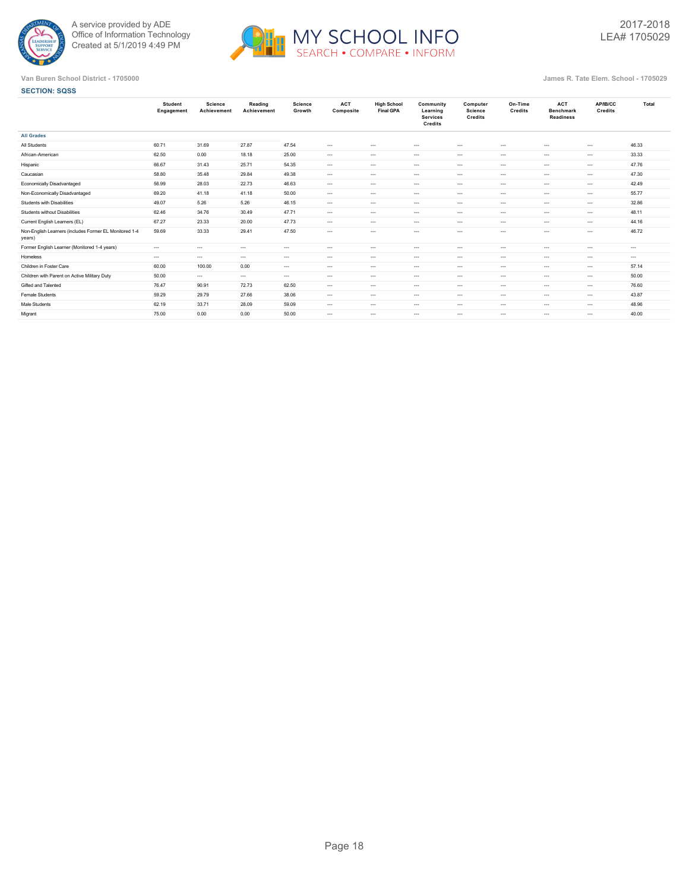



| <b>SECTION: SQSS</b>                                             |                              |                        |                        |                          |                         |                                        |                                                     |                                |                    |                                             |                     |          |
|------------------------------------------------------------------|------------------------------|------------------------|------------------------|--------------------------|-------------------------|----------------------------------------|-----------------------------------------------------|--------------------------------|--------------------|---------------------------------------------|---------------------|----------|
|                                                                  | <b>Student</b><br>Engagement | Science<br>Achievement | Reading<br>Achievement | <b>Science</b><br>Growth | <b>ACT</b><br>Composite | <b>High School</b><br><b>Final GPA</b> | Community<br>Learning<br><b>Services</b><br>Credits | Computer<br>Science<br>Credits | On-Time<br>Credits | <b>ACT</b><br><b>Benchmark</b><br>Readiness | AP/IB/CC<br>Credits | Total    |
| <b>All Grades</b>                                                |                              |                        |                        |                          |                         |                                        |                                                     |                                |                    |                                             |                     |          |
| All Students                                                     | 60.71                        | 31.69                  | 27.87                  | 47.54                    | $\sim$                  | $---$                                  | $---$                                               | $\cdots$                       | $\cdots$           | $\sim$                                      | $\cdots$            | 46.33    |
| African-American                                                 | 62.50                        | 0.00                   | 18.18                  | 25.00                    | $\sim$                  | $\cdots$                               | $\cdots$                                            | $\cdots$                       | $\cdots$           | $\sim$                                      | $\cdots$            | 33.33    |
| Hispanic                                                         | 66.67                        | 31.43                  | 25.71                  | 54.35                    | $\cdots$                | $\cdots$                               | $\cdots$                                            | $\cdots$                       | $\cdots$           | $\sim$                                      | $\cdots$            | 47.76    |
| Caucasian                                                        | 58.80                        | 35.48                  | 29.84                  | 49.38                    | $\cdots$                | $\cdots$                               | $\cdots$                                            | $\cdots$                       | $\sim$             | $\sim$                                      | $\cdots$            | 47.30    |
| Economically Disadvantaged                                       | 56.99                        | 28.03                  | 22.73                  | 46.63                    | $\cdots$                | $\cdots$                               | $\cdots$                                            | $\cdots$                       | $\cdots$           | $\sim$                                      | $\cdots$            | 42.49    |
| Non-Economically Disadvantaged                                   | 69.20                        | 41.18                  | 41.18                  | 50.00                    | $\cdots$                | $\cdots$                               | $\cdots$                                            | $\cdots$                       | $\cdots$           | $\sim$                                      | $\cdots$            | 55.77    |
| Students with Disabilities                                       | 49.07                        | 5.26                   | 5.26                   | 46.15                    | $\cdots$                | $\cdots$                               | $\cdots$                                            | $\cdots$                       | $\sim$             | $\sim$                                      | $\cdots$            | 32.86    |
| Students without Disabilities                                    | 62.46                        | 34.76                  | 30.49                  | 47.71                    | $\cdots$                | $\cdots$                               | $\cdots$                                            | $\cdots$                       | $\cdots$           | $\sim$                                      | $\cdots$            | 48.11    |
| Current English Learners (EL)                                    | 67.27                        | 23.33                  | 20.00                  | 47.73                    | $\cdots$                | $\cdots$                               | $\cdots$                                            | $\cdots$                       | $\sim$             | $\sim$                                      | $\cdots$            | 44.16    |
| Non-English Learners (includes Former EL Monitored 1-4<br>years) | 59.69                        | 33.33                  | 29.41                  | 47.50                    | $\cdots$                | $\cdots$                               | $\cdots$                                            | $\cdots$                       | $\sim$             | $\sim$                                      | $\cdots$            | 46.72    |
| Former English Learner (Monitored 1-4 years)                     | $\cdots$                     | $\cdots$               | $\cdots$               | $\cdots$                 | $\sim$                  | $\cdots$                               | $\cdots$                                            | $\cdots$                       | $\cdots$           | $\sim$                                      | $\cdots$            | $\cdots$ |
| Homeless                                                         | $\cdots$                     | $\cdots$               | $\cdots$               | $\cdots$                 | $\cdots$                | $\cdots$                               | $\cdots$                                            | $\cdots$                       | $\sim$             | $\sim$                                      | $\cdots$            | $\cdots$ |
| Children in Foster Care                                          | 60.00                        | 100.00                 | 0.00                   | $\cdots$                 | $\sim$                  | $\cdots$                               | $\cdots$                                            | $\cdots$                       | $\cdots$           | $\sim$                                      | $\cdots$            | 57.14    |
| Children with Parent on Active Military Duty                     | 50.00                        | $---$                  | $\cdots$               | $\cdots$                 | $\cdots$                | $\cdots$                               | $\cdots$                                            | $\cdots$                       | $\sim$             | $\cdots$                                    | $\cdots$            | 50.00    |
| Gifted and Talented                                              | 76.47                        | 90.91                  | 72.73                  | 62.50                    | $\sim$                  | $\cdots$                               | $\cdots$                                            | $\cdots$                       | $\sim$             | $\sim$                                      | $\cdots$            | 76.60    |
| Female Students                                                  | 59.29                        | 29.79                  | 27.66                  | 38.06                    | $\cdots$                | $\cdots$                               | $\cdots$                                            | $\cdots$                       | $\cdots$           | $\sim$                                      | $\cdots$            | 43.87    |
| Male Students                                                    | 62.19                        | 33.71                  | 28.09                  | 59.09                    | $\sim$                  | $\cdots$                               | $\cdots$                                            | $\cdots$                       | $\sim$             | $\sim$                                      | $\cdots$            | 48.96    |
| Migrant                                                          | 75.00                        | 0.00                   | 0.00                   | 50.00                    | $\sim$                  | $\cdots$                               | $\cdots$                                            | $\cdots$                       | $\cdots$           | $\sim$                                      | $\cdots$            | 40.00    |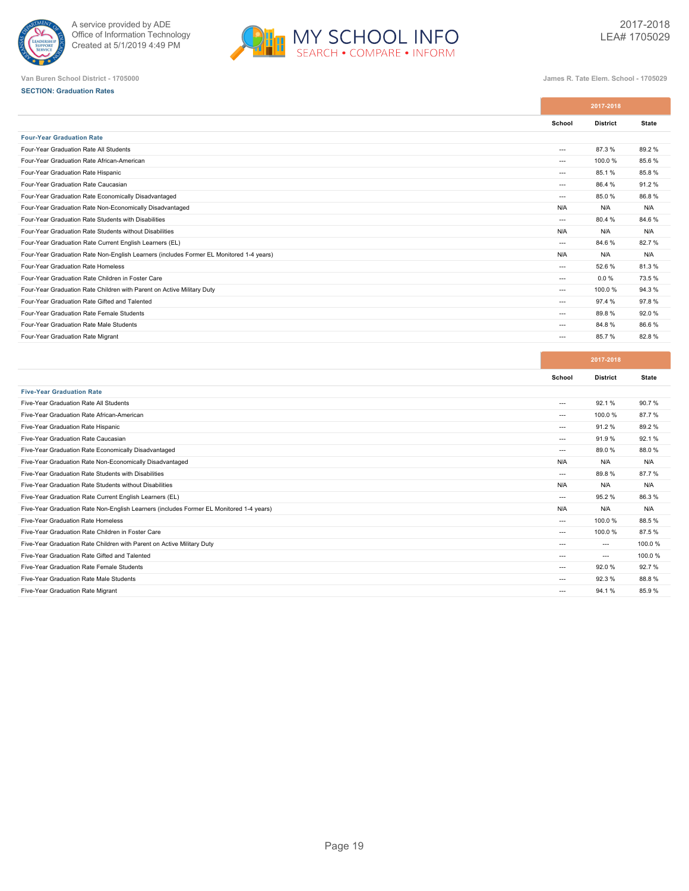



# **SECTION: Graduation Rates**

|                                                                                         |                          | 2017-2018       |              |
|-----------------------------------------------------------------------------------------|--------------------------|-----------------|--------------|
|                                                                                         | School                   | <b>District</b> | <b>State</b> |
| <b>Four-Year Graduation Rate</b>                                                        |                          |                 |              |
| Four-Year Graduation Rate All Students                                                  | $\hspace{0.05cm} \ldots$ | 87.3%           | 89.2%        |
| Four-Year Graduation Rate African-American                                              | $---$                    | 100.0%          | 85.6%        |
| Four-Year Graduation Rate Hispanic                                                      | $\cdots$                 | 85.1%           | 85.8%        |
| Four-Year Graduation Rate Caucasian                                                     | $---$                    | 86.4 %          | 91.2%        |
| Four-Year Graduation Rate Economically Disadvantaged                                    | $\hspace{0.05cm} \ldots$ | 85.0%           | 86.8%        |
| Four-Year Graduation Rate Non-Economically Disadvantaged                                | <b>N/A</b>               | N/A             | N/A          |
| Four-Year Graduation Rate Students with Disabilities                                    | $---$                    | 80.4%           | 84.6%        |
| Four-Year Graduation Rate Students without Disabilities                                 | N/A                      | N/A             | N/A          |
| Four-Year Graduation Rate Current English Learners (EL)                                 | $\hspace{0.05cm} \ldots$ | 84.6%           | 82.7%        |
| Four-Year Graduation Rate Non-English Learners (includes Former EL Monitored 1-4 years) | N/A                      | N/A             | N/A          |
| Four-Year Graduation Rate Homeless                                                      | $\hspace{0.05cm} \ldots$ | 52.6%           | 81.3%        |
| Four-Year Graduation Rate Children in Foster Care                                       | $---$                    | 0.0%            | 73.5 %       |
| Four-Year Graduation Rate Children with Parent on Active Military Duty                  | $\cdots$                 | 100.0%          | 94.3%        |
| Four-Year Graduation Rate Gifted and Talented                                           | $---$                    | 97.4 %          | 97.8%        |
| Four-Year Graduation Rate Female Students                                               | $---$                    | 89.8%           | 92.0%        |
| Four-Year Graduation Rate Male Students                                                 | $---$                    | 84.8%           | 86.6%        |
| Four-Year Graduation Rate Migrant                                                       | $\cdots$                 | 85.7 %          | 82.8%        |
|                                                                                         |                          |                 |              |

|                                                                                         |                          | 2017-2018       |              |
|-----------------------------------------------------------------------------------------|--------------------------|-----------------|--------------|
|                                                                                         | School                   | <b>District</b> | <b>State</b> |
| <b>Five-Year Graduation Rate</b>                                                        |                          |                 |              |
| Five-Year Graduation Rate All Students                                                  | $---$                    | 92.1%           | 90.7%        |
| Five-Year Graduation Rate African-American                                              | $---$                    | 100.0%          | 87.7%        |
| Five-Year Graduation Rate Hispanic                                                      | $---$                    | 91.2%           | 89.2%        |
| Five-Year Graduation Rate Caucasian                                                     | $---$                    | 91.9%           | 92.1%        |
| Five-Year Graduation Rate Economically Disadvantaged                                    | $---$                    | 89.0%           | 88.0%        |
| Five-Year Graduation Rate Non-Economically Disadvantaged                                | N/A                      | N/A             | N/A          |
| Five-Year Graduation Rate Students with Disabilities                                    | $\hspace{0.05cm} \ldots$ | 89.8%           | 87.7%        |
| Five-Year Graduation Rate Students without Disabilities                                 | N/A                      | N/A             | N/A          |
| Five-Year Graduation Rate Current English Learners (EL)                                 | $---$                    | 95.2%           | 86.3%        |
| Five-Year Graduation Rate Non-English Learners (includes Former EL Monitored 1-4 years) | N/A                      | N/A             | N/A          |
| Five-Year Graduation Rate Homeless                                                      | $\hspace{0.05cm} \ldots$ | 100.0%          | 88.5%        |
| Five-Year Graduation Rate Children in Foster Care                                       | $---$                    | 100.0%          | 87.5%        |
| Five-Year Graduation Rate Children with Parent on Active Military Duty                  | $---$                    | $---$           | 100.0%       |
| Five-Year Graduation Rate Gifted and Talented                                           | $---$                    | $---$           | 100.0%       |
| Five-Year Graduation Rate Female Students                                               | $\cdots$                 | 92.0%           | 92.7%        |
| Five-Year Graduation Rate Male Students                                                 | $---$                    | 92.3%           | 88.8%        |
| Five-Year Graduation Rate Migrant                                                       | $---$                    | 94.1%           | 85.9%        |
|                                                                                         |                          |                 |              |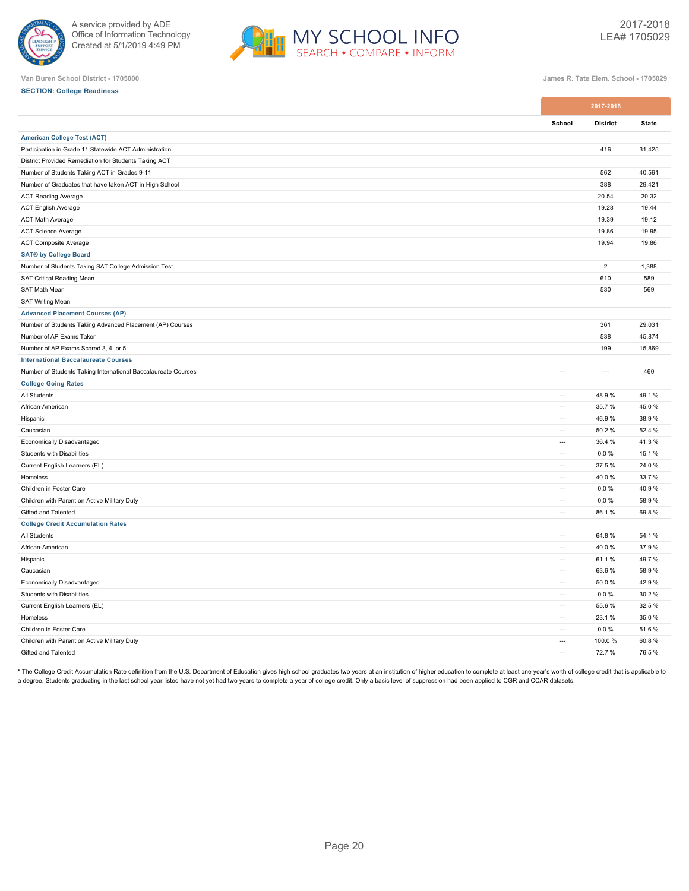



#### **SECTION: College Readiness**

**School District State American College Test (ACT)** Participation in Grade 11 Statewide ACT Administration 416 31,425 District Provided Remediation for Students Taking ACT Number of Students Taking ACT in Grades 9-11 662 40,561 and the Students Taking ACT in Grades 9-11 562 40,561 Number of Graduates that have taken ACT in High School 388 29,421 ACT Reading Average 20.54 20.32 ACT English Average 19.28 19.44 ACT Math Average 19.39 19.12 ACT Science Average 19.86 19.95 ACT Composite Average **19.94** 19.86 **SAT® by College Board** Number of Students Taking SAT College Admission Test 2 1,388 SAT Critical Reading Mean 610 589 SAT Math Mean 530 569 SAT Writing Mean **Advanced Placement Courses (AP)** Number of Students Taking Advanced Placement (AP) Courses 361 29,031 Number of AP Exams Taken 538 the state of the state of the state of the state of the state of the state of the state of the state of the state of the state of the state of the state of the state of the state of the state o Number of AP Exams Scored 3, 4, or 5 199 15,869 **International Baccalaureate Courses** Number of Students Taking International Baccalaureate Courses --- 460 **College Going Rates** All Students --- 48.9 % 49.1 % African-American --- 35.7 % 45.0 % Hispanic --- 46.9 % 38.9 % Caucasian --- 50.2 % 52.4 % Economically Disadvantaged 41.3 % 41.3 % 41.3 % 41.3 % 41.3 % 41.3 % 41.3 % 41.3 % 41.3 % 41.3 % 41.3 % 41.3 % 41.3 % 41.3 % 41.3 % 41.3 % 41.3 % 41.3 % 41.3 % 41.3 % 41.3 % 41.3 % 41.3 % 41.3 % 41.3 % 41.3 % 41.3 % 41.3 % Students with Disabilities --- 0.0 % 15.1 % Current English Learners (EL) --- 37.5 % 24.0 % Homeless --- 40.0 % 33.7 % Children in Foster Care --- 0.0 % 40.9 % Children with Parent on Active Military Duty of the State of the State of the State of the State of the State of the State of the State of the State of the State of the State of the State of the State of the State of the S Gifted and Talented --- 86.1 % 69.8 % **College Credit Accumulation Rates** All Students --- 64.8 % 54.1 % African-American --- 40.0 % 37.9 % Hispanic --- 61.1 % 49.7 % Caucasian --- 63.6 % 58.9 % Economically Disadvantaged and the state of the state of the state of the state of the state of the state of the state of the state of the state of the state of the state of the state of the state of the state of the state Students with Disabilities **2008** 10.0 % 30.2 % 30.2 % 30.2 % 30.2 % 30.2 % 30.2 % 30.2 % 30.2 % 30.2 % 30.2 % 30.2 % 30.2 % 30.2 % 30.2 % 30.2 % 30.2 % 30.2 % 30.2 % 30.2 % 30.2 % 30.2 % 30.2 % 30.2 % 30.3 % 30.2 % 30.3 % Current English Learners (EL) 32.5 % 32.5 % 32.5 % 32.5 % 32.5 % 32.5 % 32.5 % 32.5 % 32.5 % 32.5 % 32.5 % 32.5 % 32.5 % 32.5 % 32.5 % 32.5 % 32.5 % 32.5 % 32.5 % 32.5 % 32.5 % 32.5 % 32.5 % 32.5 % 32.5 % 32.5 % 32.5 % 32. Homeless --- 23.1 % 35.0 % Children in Foster Care --- 0.0 % 51.6 % Children with Parent on Active Military Duty --- 100.0 % 60.8 % Gifted and Talented --- 72.7 % 76.5 %

\* The College Credit Accumulation Rate definition from the U.S. Department of Education gives high school graduates two years at an institution of higher education to complete at least one year's worth of college credit th a degree. Students graduating in the last school year listed have not yet had two years to complete a year of college credit. Only a basic level of suppression had been applied to CGR and CCAR datasets.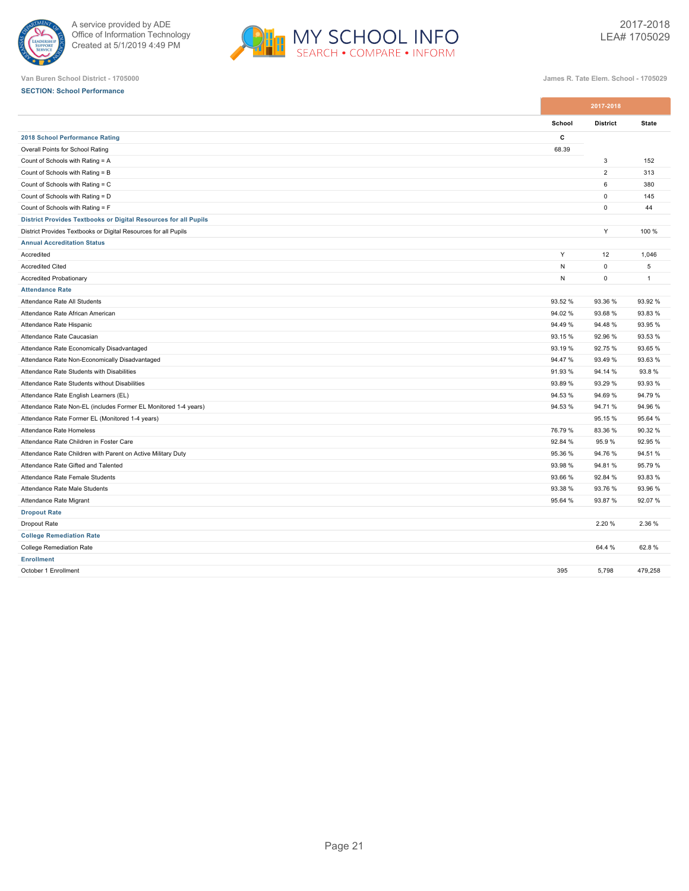



**SECTION: School Performance**

|                                                                 |           | 2017-2018       |              |
|-----------------------------------------------------------------|-----------|-----------------|--------------|
|                                                                 | School    | <b>District</b> | <b>State</b> |
| 2018 School Performance Rating                                  | c         |                 |              |
| Overall Points for School Rating                                | 68.39     |                 |              |
| Count of Schools with Rating = A                                |           | 3               | 152          |
| Count of Schools with Rating = B                                |           | $\overline{2}$  | 313          |
| Count of Schools with Rating = C                                |           | 6               | 380          |
| Count of Schools with Rating = D                                |           | $\mathbf 0$     | 145          |
| Count of Schools with Rating = F                                |           | $\mathbf 0$     | 44           |
| District Provides Textbooks or Digital Resources for all Pupils |           |                 |              |
| District Provides Textbooks or Digital Resources for all Pupils |           | Y               | 100 %        |
| <b>Annual Accreditation Status</b>                              |           |                 |              |
| Accredited                                                      | Y         | 12              | 1,046        |
| <b>Accredited Cited</b>                                         | ${\sf N}$ | 0               | 5            |
| <b>Accredited Probationary</b>                                  | ${\sf N}$ | $\mathbf 0$     | $\mathbf{1}$ |
| <b>Attendance Rate</b>                                          |           |                 |              |
| Attendance Rate All Students                                    | 93.52%    | 93.36 %         | 93.92 %      |
| Attendance Rate African American                                | 94.02%    | 93.68%          | 93.83 %      |
| Attendance Rate Hispanic                                        | 94.49%    | 94.48%          | 93.95 %      |
| Attendance Rate Caucasian                                       | 93.15 %   | 92.96 %         | 93.53 %      |
| Attendance Rate Economically Disadvantaged                      | 93.19%    | 92.75 %         | 93.65 %      |
| Attendance Rate Non-Economically Disadvantaged                  | 94.47%    | 93.49 %         | 93.63%       |
| Attendance Rate Students with Disabilities                      | 91.93%    | 94.14 %         | 93.8%        |
| Attendance Rate Students without Disabilities                   | 93.89%    | 93.29 %         | 93.93 %      |
| Attendance Rate English Learners (EL)                           | 94.53%    | 94.69%          | 94.79%       |
| Attendance Rate Non-EL (includes Former EL Monitored 1-4 years) | 94.53 %   | 94.71%          | 94.96 %      |
| Attendance Rate Former EL (Monitored 1-4 years)                 |           | 95.15 %         | 95.64 %      |
| Attendance Rate Homeless                                        | 76.79%    | 83.36 %         | 90.32 %      |
| Attendance Rate Children in Foster Care                         | 92.84 %   | 95.9%           | 92.95 %      |
| Attendance Rate Children with Parent on Active Military Duty    | 95.36%    | 94.76%          | 94.51 %      |
| Attendance Rate Gifted and Talented                             | 93.98%    | 94.81%          | 95.79%       |
| Attendance Rate Female Students                                 | 93.66%    | 92.84 %         | 93.83 %      |
| Attendance Rate Male Students                                   | 93.38%    | 93.76 %         | 93.96 %      |
| Attendance Rate Migrant                                         | 95.64 %   | 93.87 %         | 92.07%       |
| <b>Dropout Rate</b>                                             |           |                 |              |
| Dropout Rate                                                    |           | 2.20%           | 2.36 %       |
| <b>College Remediation Rate</b>                                 |           |                 |              |
| College Remediation Rate                                        |           | 64.4%           | 62.8%        |
| <b>Enrollment</b>                                               |           |                 |              |
| October 1 Enrollment                                            | 395       | 5,798           | 479,258      |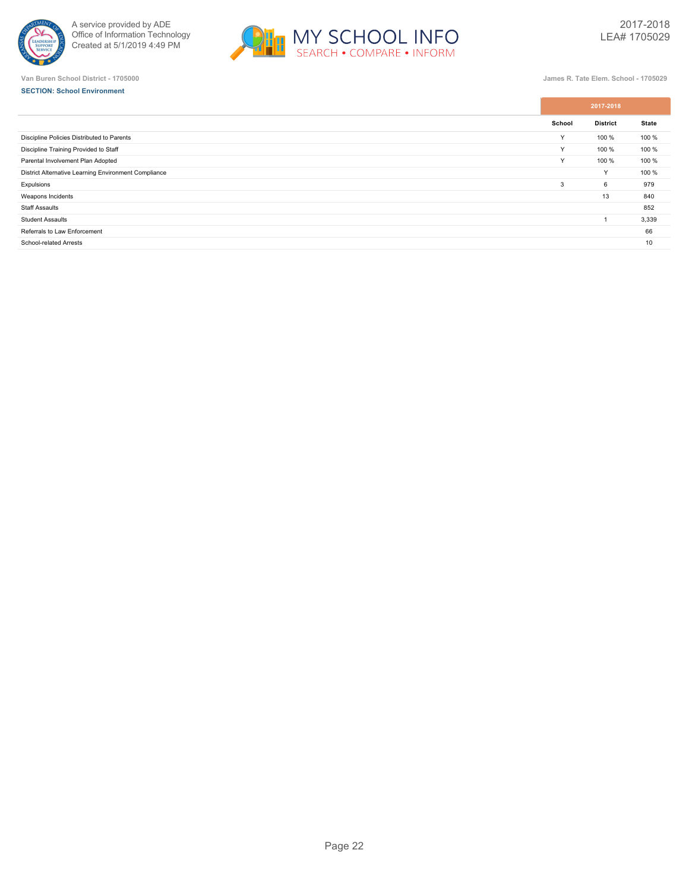



# **SECTION: School Environment**

|                                                      | School | <b>District</b> | <b>State</b> |
|------------------------------------------------------|--------|-----------------|--------------|
| Discipline Policies Distributed to Parents           | Y      | 100 %           | 100 %        |
| Discipline Training Provided to Staff                | Y      | 100 %           | 100 %        |
| Parental Involvement Plan Adopted                    | Y      | 100 %           | 100 %        |
| District Alternative Learning Environment Compliance |        | Y               | 100 %        |
| Expulsions                                           | 3      | 6               | 979          |
| Weapons Incidents                                    |        | 13              | 840          |
| <b>Staff Assaults</b>                                |        |                 | 852          |
| <b>Student Assaults</b>                              |        |                 | 3,339        |
| Referrals to Law Enforcement                         |        |                 | 66           |
| School-related Arrests                               |        |                 | 10           |
|                                                      |        |                 |              |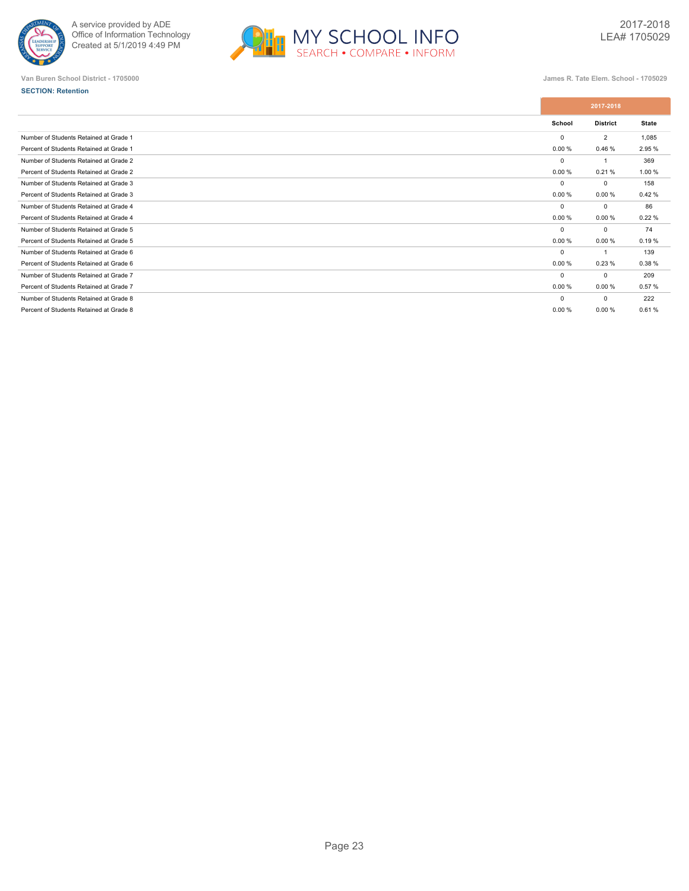



**SEC** 

| <b>SECTION: Retention</b>               |             |                 |              |
|-----------------------------------------|-------------|-----------------|--------------|
|                                         |             | 2017-2018       |              |
|                                         | School      | <b>District</b> | <b>State</b> |
| Number of Students Retained at Grade 1  | 0           | $\overline{2}$  | 1,085        |
| Percent of Students Retained at Grade 1 | 0.00%       | 0.46%           | 2.95 %       |
| Number of Students Retained at Grade 2  | $\mathbf 0$ | -1              | 369          |
| Percent of Students Retained at Grade 2 | 0.00%       | 0.21%           | 1.00 %       |
| Number of Students Retained at Grade 3  | $\mathbf 0$ | 0               | 158          |
| Percent of Students Retained at Grade 3 | 0.00%       | 0.00%           | 0.42%        |
| Number of Students Retained at Grade 4  | 0           | 0               | 86           |
| Percent of Students Retained at Grade 4 | 0.00%       | 0.00%           | 0.22%        |
| Number of Students Retained at Grade 5  | 0           | $\mathbf 0$     | 74           |
| Percent of Students Retained at Grade 5 | 0.00%       | 0.00%           | 0.19%        |
| Number of Students Retained at Grade 6  | $\mathbf 0$ | $\overline{1}$  | 139          |
| Percent of Students Retained at Grade 6 | 0.00%       | 0.23%           | 0.38%        |
| Number of Students Retained at Grade 7  | $\mathbf 0$ | 0               | 209          |
| Percent of Students Retained at Grade 7 | 0.00%       | 0.00%           | 0.57%        |
| Number of Students Retained at Grade 8  | $\mathbf 0$ | 0               | 222          |
| Percent of Students Retained at Grade 8 | 0.00%       | 0.00%           | 0.61%        |
|                                         |             |                 |              |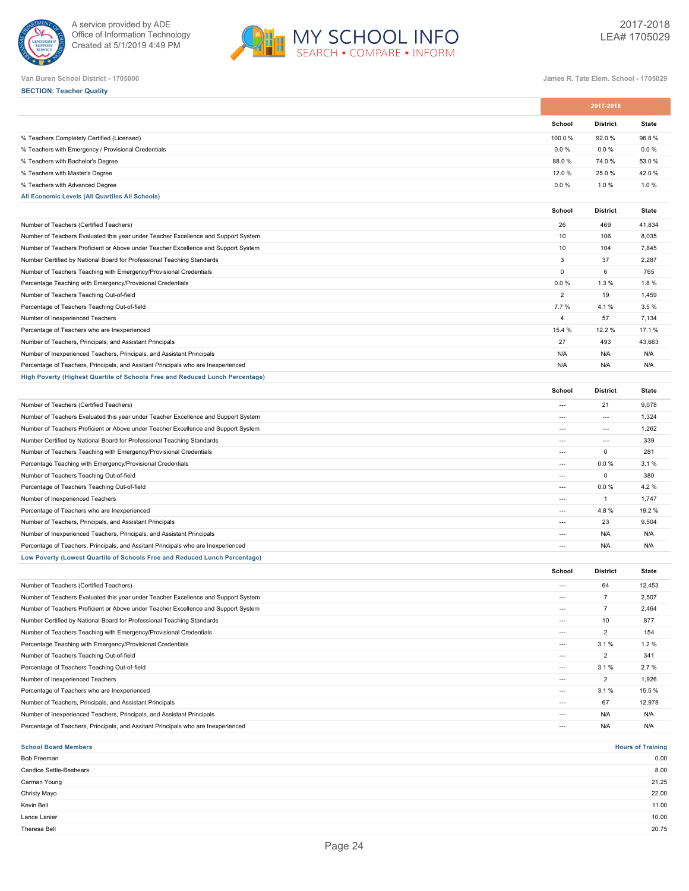



# **SECTION: Teacher Quality**

|                                                                                    | 2017-2018                |                          |                          |
|------------------------------------------------------------------------------------|--------------------------|--------------------------|--------------------------|
|                                                                                    | School                   | <b>District</b>          | <b>State</b>             |
| % Teachers Completely Certified (Licensed)                                         | 100.0%                   | 92.0%                    | 96.8%                    |
| % Teachers with Emergency / Provisional Credentials                                | 0.0%                     | 0.0%                     | 0.0 %                    |
| % Teachers with Bachelor's Degree                                                  | 88.0%                    | 74.0%                    | 53.0 %                   |
| % Teachers with Master's Degree                                                    | 12.0 %                   | 25.0%                    | 42.0%                    |
| % Teachers with Advanced Degree                                                    | 0.0%                     | 1.0%                     | 1.0%                     |
| All Economic Levels (All Quartiles All Schools)                                    |                          |                          |                          |
|                                                                                    | School                   | <b>District</b>          | <b>State</b>             |
| Number of Teachers (Certified Teachers)                                            | 26                       | 469                      | 41,834                   |
| Number of Teachers Evaluated this year under Teacher Excellence and Support System | 10                       | 106                      | 8,035                    |
| Number of Teachers Proficient or Above under Teacher Excellence and Support System | 10                       | 104                      | 7,845                    |
| Number Certified by National Board for Professional Teaching Standards             | 3                        | 37                       | 2,287                    |
| Number of Teachers Teaching with Emergency/Provisional Credentials                 | 0                        | 6                        | 765                      |
| Percentage Teaching with Emergency/Provisional Credentials                         | 0.0%                     | 1.3%                     | 1.8%                     |
| Number of Teachers Teaching Out-of-field                                           | $\overline{2}$           | 19                       | 1,459                    |
| Percentage of Teachers Teaching Out-of-field                                       | 7.7 %                    | 4.1%                     | 3.5%                     |
| Number of Inexperienced Teachers                                                   | 4                        | 57                       | 7,134                    |
| Percentage of Teachers who are Inexperienced                                       | 15.4 %                   | 12.2 %                   | 17.1 %                   |
| Number of Teachers, Principals, and Assistant Principals                           | 27                       | 493                      | 43,663                   |
| Number of Inexperienced Teachers, Principals, and Assistant Principals             | N/A                      | N/A                      | N/A                      |
| Percentage of Teachers, Principals, and Assitant Principals who are Inexperienced  | N/A                      | N/A                      | N/A                      |
| High Poverty (Highest Quartile of Schools Free and Reduced Lunch Percentage)       |                          |                          |                          |
|                                                                                    | School                   | <b>District</b>          | <b>State</b>             |
| Number of Teachers (Certified Teachers)                                            | ---                      | 21                       | 9,078                    |
| Number of Teachers Evaluated this year under Teacher Excellence and Support System | $\hspace{0.05cm} \ldots$ | $\hspace{0.05cm} \ldots$ | 1,324                    |
| Number of Teachers Proficient or Above under Teacher Excellence and Support System | ---                      | $\overline{a}$           | 1,262                    |
| Number Certified by National Board for Professional Teaching Standards             | $\hspace{0.05cm} \ldots$ | $\hspace{0.05cm} \ldots$ | 339                      |
| Number of Teachers Teaching with Emergency/Provisional Credentials                 | ---                      | 0                        | 281                      |
| Percentage Teaching with Emergency/Provisional Credentials                         | $\overline{\phantom{a}}$ | 0.0%                     | 3.1%                     |
| Number of Teachers Teaching Out-of-field                                           | ---                      | $\mathsf 0$              | 380                      |
| Percentage of Teachers Teaching Out-of-field                                       | $\overline{\phantom{a}}$ | 0.0%                     | 4.2%                     |
| Number of Inexperienced Teachers                                                   | ---                      | $\mathbf{1}$             | 1,747                    |
| Percentage of Teachers who are Inexperienced                                       | $\hspace{0.05cm} \ldots$ | 4.8%                     | 19.2 %                   |
| Number of Teachers, Principals, and Assistant Principals                           | ---                      | 23                       | 9,504                    |
| Number of Inexperienced Teachers, Principals, and Assistant Principals             | $\hspace{0.05cm} \ldots$ | N/A                      | N/A                      |
| Percentage of Teachers, Principals, and Assitant Principals who are Inexperienced  | ---                      | N/A                      | N/A                      |
| Low Poverty (Lowest Quartile of Schools Free and Reduced Lunch Percentage)         |                          |                          |                          |
|                                                                                    | School                   | <b>District</b>          | <b>State</b>             |
| Number of Teachers (Certified Teachers)                                            | $\overline{a}$           | 64                       | 12,453                   |
| Number of Teachers Evaluated this year under Teacher Excellence and Support System | $\overline{a}$           | $\overline{7}$           | 2,507                    |
| Number of Teachers Proficient or Above under Teacher Excellence and Support System | ---                      | $7^{\circ}$              | 2,464                    |
| Number Certified by National Board for Professional Teaching Standards             | $---$                    | 10                       | 877                      |
| Number of Teachers Teaching with Emergency/Provisional Credentials                 | $\overline{a}$           | $\overline{2}$           | 154                      |
| Percentage Teaching with Emergency/Provisional Credentials                         | ---                      | 3.1%                     | 1.2%                     |
| Number of Teachers Teaching Out-of-field                                           | $\overline{a}$           | $\overline{2}$           | 341                      |
| Percentage of Teachers Teaching Out-of-field                                       | ---                      | 3.1%                     | 2.7%                     |
| Number of Inexperienced Teachers                                                   | $\overline{a}$           | $\overline{2}$           | 1,926                    |
| Percentage of Teachers who are Inexperienced                                       | $---$                    | 3.1%                     | 15.5 %                   |
| Number of Teachers, Principals, and Assistant Principals                           | ---                      | 67                       | 12,978                   |
| Number of Inexperienced Teachers, Principals, and Assistant Principals             | ---                      | N/A                      | N/A                      |
| Percentage of Teachers, Principals, and Assitant Principals who are Inexperienced  | $---$                    | N/A                      | N/A                      |
| <b>School Board Members</b>                                                        |                          |                          | <b>Hours of Training</b> |
| Bob Freeman                                                                        |                          |                          | 0.00                     |
| Candice Settle-Beshears                                                            |                          |                          | 8.00                     |
| Carman Young                                                                       |                          |                          | 21.25                    |
| Christy Mayo                                                                       |                          |                          | 22.00                    |
| Kevin Bell                                                                         |                          |                          | 11.00                    |

Theresa Bell 20.75 Page 24

Lance Lanier 10.00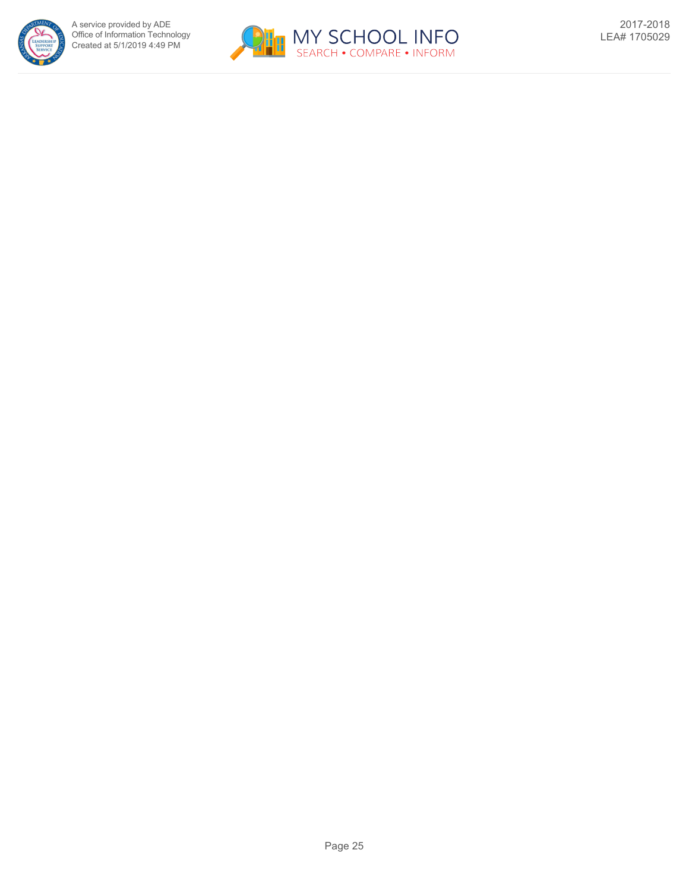

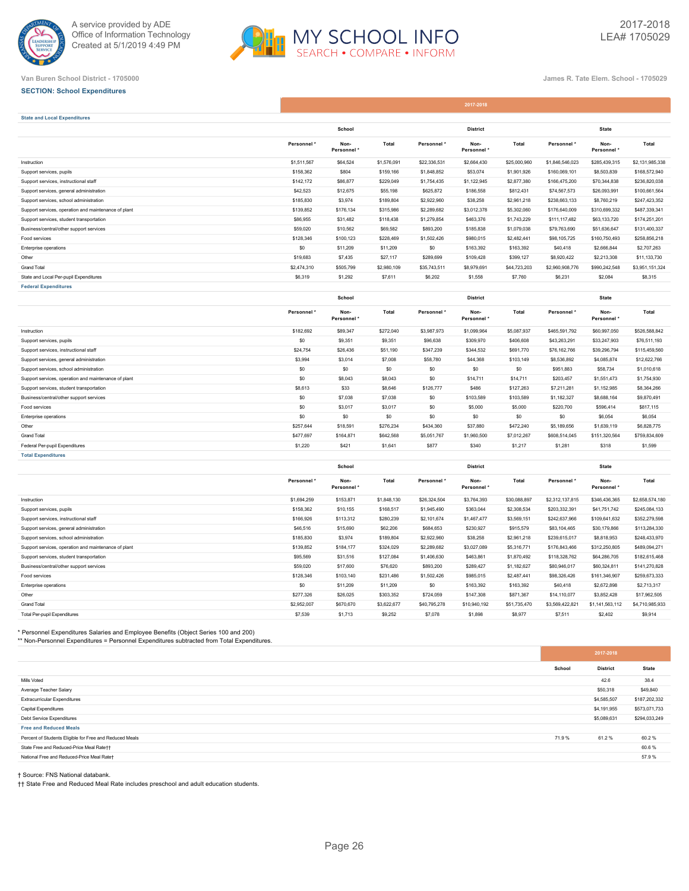



# **SECTION: School Expenditures**

|                                                      |                        |                                |             |              | 2017-2018           |              |                        |                                |                 |
|------------------------------------------------------|------------------------|--------------------------------|-------------|--------------|---------------------|--------------|------------------------|--------------------------------|-----------------|
| <b>State and Local Expenditures</b>                  |                        |                                |             |              |                     |              |                        |                                |                 |
|                                                      |                        | School                         |             |              | <b>District</b>     |              |                        | <b>State</b>                   |                 |
|                                                      | Personnel <sup>®</sup> | Non-<br>Personnel <sup>'</sup> | Total       | Personnel *  | Non-<br>Personnel*  | Total        | Personnel <sup>'</sup> | Non-<br>Personnel <sup>*</sup> | Total           |
| Instruction                                          | \$1,511,567            | \$64,524                       | \$1,576,091 | \$22,336,531 | \$2,664,430         | \$25,000,960 | \$1,846,546,023        | \$285,439,315                  | \$2,131,985,338 |
| Support services, pupils                             | \$158,362              | \$804                          | \$159,166   | \$1,848,852  | \$53,074            | \$1,901,926  | \$160,069,101          | \$8,503,839                    | \$168,572,940   |
| Support services, instructional staff                | \$142,172              | \$86,877                       | \$229,049   | \$1,754,435  | \$1,122,945         | \$2,877,380  | \$166,475,200          | \$70,344,838                   | \$236,820,038   |
| Support services, general administration             | \$42,523               | \$12,675                       | \$55,198    | \$625,872    | \$186,558           | \$812,431    | \$74,567,573           | \$26,093,991                   | \$100,661,564   |
| Support services, school administration              | \$185,830              | \$3,974                        | \$189,804   | \$2,922,960  | \$38,258            | \$2,961,218  | \$238,663,133          | \$8,760,219                    | \$247,423,352   |
| Support services, operation and maintenance of plant | \$139,852              | \$176,134                      | \$315,986   | \$2,289,682  | \$3,012,378         | \$5,302,060  | \$176,640,009          | \$310,699,332                  | \$487,339,341   |
| Support services, student transportation             | \$86,955               | \$31,482                       | \$118,438   | \$1,279,854  | \$463,376           | \$1,743,229  | \$111,117,482          | \$63,133,720                   | \$174,251,201   |
| Business/central/other support services              | \$59,020               | \$10,562                       | \$69,582    | \$893,200    | \$185,838           | \$1,079,038  | \$79,763,690           | \$51,636,647                   | \$131,400,337   |
| Food services                                        | \$128,346              | \$100,123                      | \$228,469   | \$1,502,426  | \$980,015           | \$2,482,441  | \$98,105,725           | \$160,750,493                  | \$258,856,218   |
| Enterprise operations                                | \$0                    | \$11,209                       | \$11,209    | \$0          | \$163,392           | \$163,392    | \$40,418               | \$2,666,844                    | \$2,707,263     |
| Other                                                | \$19,683               | \$7,435                        | \$27,117    | \$289,699    | \$109,428           | \$399,127    | \$8,920,422            | \$2,213,308                    | \$11,133,730    |
| <b>Grand Total</b>                                   | \$2,474,310            | \$505,799                      | \$2,980,109 | \$35,743,511 | \$8,979,691         | \$44,723,203 | \$2,960,908,776        | \$990,242,548                  | \$3,951,151,324 |
| State and Local Per-pupil Expenditures               | \$6,319                | \$1,292                        | \$7,611     | \$6,202      | \$1,558             | \$7,760      | \$6,231                | \$2,084                        | \$8,315         |
| <b>Federal Expenditures</b>                          |                        |                                |             |              |                     |              |                        |                                |                 |
|                                                      |                        | School                         |             |              | <b>District</b>     |              |                        | <b>State</b>                   |                 |
|                                                      | Personnel *            | Non-<br>Personnel <sup>'</sup> | Total       | Personnel *  | Non-<br>Personnel*  | Total        | Personnel *            | Non-<br>Personnel <sup>*</sup> | Total           |
| Instruction                                          | \$182,692              | \$89,347                       | \$272,040   | \$3,987,973  | \$1,099,964         | \$5,087,937  | \$465,591,792          | \$60,997,050                   | \$526,588,842   |
| Support services, pupils                             | \$0                    | \$9,351                        | \$9,351     | \$96,638     | \$309,970           | \$406,608    | \$43,263,291           | \$33,247,903                   | \$76,511,193    |
| Support services, instructional staff                | \$24,754               | \$26,436                       | \$51,190    | \$347,239    | \$344,532           | \$691,770    | \$76,162,766           | \$39,296,794                   | \$115,459,560   |
| Support services, general administration             | \$3,994                | \$3,014                        |             |              |                     |              |                        |                                |                 |
|                                                      |                        |                                | \$7,008     | \$58,780     | \$44,368            | \$103,149    | \$8,536,892            | \$4,085,874                    | \$12,622,766    |
| Support services, school administration              | \$0                    | \$0                            | \$0         | \$0          | \$0                 | \$0          | \$951,883              | \$58,734                       | \$1,010,618     |
| Support services, operation and maintenance of plant | \$0                    | \$8,043                        | \$8,043     | \$0          | \$14,711            | \$14,711     | \$203,457              | \$1,551,473                    | \$1,754,930     |
| Support services, student transportation             | \$8,613                | \$33                           | \$8,646     | \$126,777    | \$486               | \$127,263    | \$7,211,281            | \$1,152,985                    | \$8,364,266     |
| Business/central/other support services              | \$0                    | \$7,038                        | \$7,038     | \$0          | \$103,589           | \$103,589    | \$1,182,327            | \$8,688,164                    | \$9,870,491     |
| Food services                                        | \$0                    | \$3,017                        | \$3,017     | \$0          | \$5,000             | \$5,000      | \$220,700              | \$596,414                      | \$817,115       |
| Enterprise operations                                | \$0                    | \$0                            | \$0         | \$0          | \$0                 | \$0          | \$0                    | \$6,054                        | \$6,054         |
| Other                                                | \$257,644              | \$18,591                       | \$276,234   | \$434,360    | \$37,880            | \$472,240    | \$5,189,656            | \$1,639,119                    | \$6,828,775     |
| <b>Grand Total</b>                                   | \$477,697              | \$164,871                      | \$642,568   | \$5,051,767  | \$1,960,500         | \$7,012,267  | \$608,514,045          | \$151,320,564                  | \$759,834,609   |
| Federal Per-pupil Expenditures                       | \$1,220                | \$421                          | \$1,641     | \$877        | \$340               | \$1,217      | \$1,281                | \$318                          | \$1,599         |
| <b>Total Expenditures</b>                            |                        |                                |             |              |                     |              |                        |                                |                 |
|                                                      |                        | School                         |             |              | <b>District</b>     |              |                        | <b>State</b>                   |                 |
|                                                      | Personnel *            | Non-<br>Personnel*             | Total       | Personnel *  | Non-<br>Personnel * | Total        | Personnel *            | Non-<br>Personnel *            | Total           |
| Instruction                                          | \$1,694,259            | \$153,871                      | \$1,848,130 | \$26,324,504 | \$3,764,393         | \$30,088,897 | \$2,312,137,815        | \$346,436,365                  | \$2,658,574,180 |
| Support services, pupils                             | \$158,362              | \$10,155                       | \$168,517   | \$1,945,490  | \$363,044           | \$2,308,534  | \$203,332,391          | \$41,751,742                   | \$245,084,133   |

| Support services, general administration             | \$46,516    | \$15,690  | \$62,206    | \$684,653    | \$230,927    | \$915,579    | \$83,104,465    | \$30,179,866    | \$113,284,330   |
|------------------------------------------------------|-------------|-----------|-------------|--------------|--------------|--------------|-----------------|-----------------|-----------------|
| Support services, school administration              | \$185,830   | \$3,974   | \$189,804   | \$2,922,960  | \$38,258     | \$2,961.218  | \$239,615,017   | \$8,818,953     | \$248,433,970   |
| Support services, operation and maintenance of plant | \$139,852   | \$184,177 | \$324.029   | \$2,289,682  | \$3.027.089  | \$5,316,771  | \$176,843,466   | \$312,250,805   | \$489.094.271   |
| Support services, student transportation             | \$95,569    | \$31,516  | \$127,084   | \$1,406,630  | \$463,861    | \$1,870,492  | \$118,328,762   | \$64,286,705    | \$182,615,468   |
| Business/central/other support services              | \$59,020    | \$17,600  | \$76,620    | \$893,200    | \$289,427    | \$1,182,627  | \$80,946,017    | \$60,324,811    | \$141.270.828   |
| Food services                                        | \$128,346   | \$103,140 | \$231,486   | \$1,502.426  | \$985,015    | \$2,487,441  | \$98,326,426    | \$161.346.907   | \$259,673,333   |
| Enterprise operations                                | \$0         | \$11.209  | \$11,209    | \$0          | \$163,392    | \$163,392    | \$40,418        | \$2,672,898     | \$2,713,317     |
| Other                                                | \$277,326   | \$26,025  | \$303.352   | \$724,059    | \$147,308    | \$871.367    | \$14,110,077    | \$3,852,428     | \$17,962,505    |
| <b>Grand Total</b>                                   | \$2,952,007 | \$670,670 | \$3,622,677 | \$40,795,278 | \$10,940.192 | \$51,735,470 | \$3,569,422.821 | \$1,141,563,112 | \$4,710,985,933 |
| <b>Total Per-pupil Expenditures</b>                  | \$7,539     | \$1,713   | \$9,252     | \$7,078      | \$1,898      | \$8,977      | \$7.511         | \$2,402         | \$9,914         |

\* Personnel Expenditures Salaries and Employee Benefits (Object Series 100 and 200)

\*\* Non-Personnel Expenditures = Personnel Expenditures subtracted from Total Expenditures.

|                                                         | School | <b>District</b> | State         |
|---------------------------------------------------------|--------|-----------------|---------------|
| Mills Voted                                             |        | 42.6            | 38.4          |
| Average Teacher Salary                                  |        | \$50,318        | \$49,840      |
| <b>Extracurricular Expenditures</b>                     |        | \$4,585,507     | \$187,202,332 |
| Capital Expenditures                                    |        | \$4,191,955     | \$573,071,733 |
| Debt Service Expenditures                               |        | \$5,089,631     | \$294,033,249 |
| <b>Free and Reduced Meals</b>                           |        |                 |               |
| Percent of Students Eligible for Free and Reduced Meals | 71.9%  | 61.2%           | 60.2%         |
| State Free and Reduced-Price Meal Rate++                |        |                 | 60.6%         |
| National Free and Reduced-Price Meal Rate+              |        |                 | 57.9%         |
|                                                         |        |                 |               |

† Source: FNS National databank.

†† State Free and Reduced Meal Rate includes preschool and adult education students.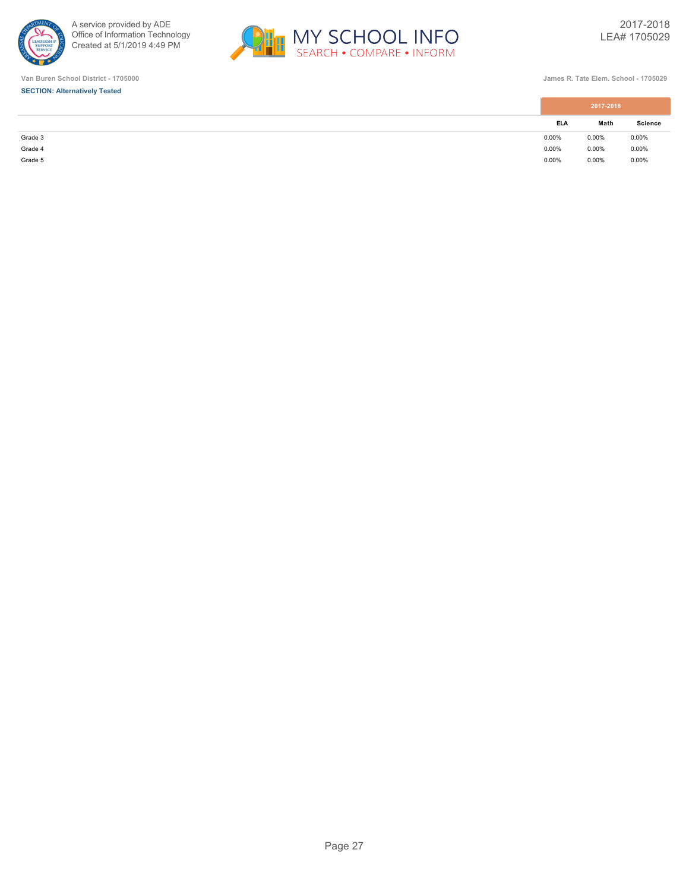





|                    | 2017-2018  |          |                |
|--------------------|------------|----------|----------------|
|                    | <b>ELA</b> | Math     | <b>Science</b> |
| Grade 3<br>Grade 4 | 0.00%      | 0.00%    | 0.00%          |
|                    | 0.00%      | 0.00%    | 0.00%          |
| Grade 5            | 0.00%      | $0.00\%$ | 0.00%          |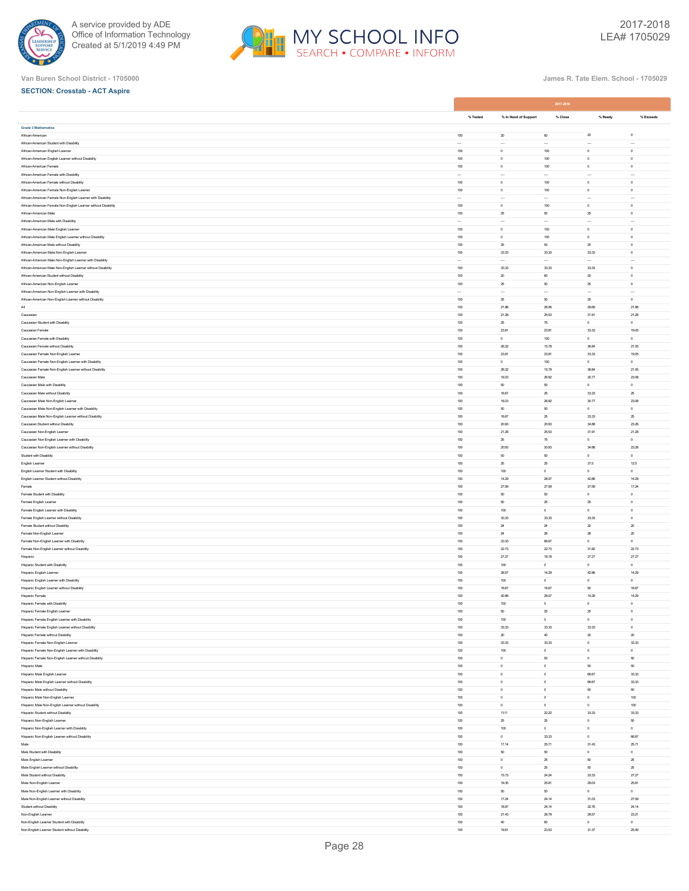



|                                                                                                             |                |                        | 2017-2018                  |                         |                          |
|-------------------------------------------------------------------------------------------------------------|----------------|------------------------|----------------------------|-------------------------|--------------------------|
|                                                                                                             | % Tested       | % In Need of Support   | % Close                    | % Ready                 | % Exceeds                |
| <b>Grade 3 Mathematics</b>                                                                                  |                |                        |                            |                         |                          |
| African-American                                                                                            | 100            | 20                     | $60\,$                     | $\rm{20}$               | $\,$ 0 $\,$              |
| African-American Student with Disability                                                                    | $\cdots$       | $\cdots$               | $\cdots$                   | $\cdots$                | $\cdots$                 |
| African-American English Learner                                                                            | 100            | $\,$ 0 $\,$            | 100                        | $\mathbb O$             | $\,$ 0 $\,$              |
| African-American English Learner without Disability                                                         | 100            | $^{\circ}$             | 100                        | $\circ$                 | $^{\circ}$               |
| African-American Female                                                                                     | $100\,$        | $\,0\,$                | $100\,$                    | $\,$ 0 $\,$             | $\,0\,$                  |
| African-American Female with Disability                                                                     | $\sim$         | $\ddotsc$              | $\sim$                     |                         |                          |
| African-American Female without Disability                                                                  | 100            | $\,$ 0 $\,$            | 100                        | $\,$ 0 $\,$             | $\,$ 0 $\,$              |
| African-American Female Non-English Learner                                                                 | $100\,$        | $\,$ 0 $\,$            | $100\,$                    | $\mathbb O$             | $\,$ 0 $\,$              |
| African-American Female Non-English Learner with Disability                                                 | $\cdots$       | $\cdots$               | $\cdots$                   | $\cdots$                | $\cdots$                 |
| African-American Female Non-English Learner without Disability                                              | 100            | $\,$ 0 $\,$            | 100                        | $\,$ 0 $\,$             | $\,$ 0 $\,$              |
| African-American Male                                                                                       | 100            | $\rm{25}$              | $_{50}$                    | $\rm 25$                | $\,0\,$                  |
| African-American Male with Disability                                                                       | $\cdots$       | $\cdots$               | $\cdots$                   | $\cdots$                | $\cdots$                 |
| African-American Male English Learner                                                                       | $100\,$        | $\,$ 0 $\,$            | 100                        | $\,$ 0 $\,$             | $\,$ 0 $\,$              |
| African-American Male English Learner without Disability<br>African-American Male without Disability        | 100<br>100     | $\,0\,$<br>$\rm{z}$    | 100<br>$_{50}$             | $\,$ 0 $\,$<br>$\rm 25$ | $\,0\,$<br>$\,$ 0 $\,$   |
| African-American Male Non-English Learner                                                                   | $100\,$        | 33.33                  | 33.33                      | 33.33                   | $\,$ 0 $\,$              |
| African-American Male Non-English Learner with Disability                                                   | $\cdots$       | $\cdots$               | $\ddotsc$                  | $\cdots$                | $\cdots$                 |
| African-American Male Non-English Learner without Disability                                                | 100            | 33.33                  | 33.33                      | 33.33                   | $\circ$                  |
| African-American Student without Disability                                                                 | 100            | $\rm{20}$              | $60\,$                     | $\rm{20}$               | $\,$ 0 $\,$              |
| African-American Non-English Learner                                                                        | 100            | $\rm{z}$               | 60                         | $\rm{25}$               | $^{\circ}$               |
| African-American Non-English Learner with Disability                                                        |                |                        |                            |                         | $\ddot{\phantom{0}}$     |
| African-American Non-English Learner without Disability                                                     | 100            | $\rm{25}$              | $_{50}$                    | $\rm 25$                | $\,$ 0 $\,$              |
| $\mathsf{All}$                                                                                              | 100            | 21.88                  | 26.56                      | 29.69                   | 21.88                    |
| Caucasian                                                                                                   | $100\,$        | 21.28                  | 25.53                      | 31.91                   | 21.28                    |
| Caucasian Student with Disability                                                                           | 100            | 25                     | 75                         | $\circ$                 | $^{\circ}$               |
| Caucasian Female                                                                                            | 100            | 23.81                  | 23.81                      | 33.33                   | 19.05                    |
| Caucasian Female with Disability                                                                            | 100            | $\,0\,$                | 100                        | $\circ$                 | $\,$ 0                   |
| Caucasian Female without Disability                                                                         | 100            | 26.32                  | 15.79                      | 36.84                   | 21.05                    |
| Caucasian Female Non-English Learner                                                                        | $100\,$        | 23.81                  | 23.81                      | 33.33                   | 19.05                    |
| Caucasian Female Non-English Learner with Disability                                                        | 100            | $\circ$                | 100                        | $\circ$                 | $^{\circ}$               |
| Caucasian Female Non-English Learner without Disability                                                     | 100            | 26.32                  | 15.79                      | 36.84                   | 21.05                    |
| Caucasian Male                                                                                              | $100\,$        | 19.23                  | 26.92                      | 30.77                   | 23.08                    |
| Caucasian Male with Disability                                                                              | 100            | 50                     | 60                         | $\circ$                 | $^{\circ}$               |
| Caucasian Male without Disability                                                                           | 100            | 16.67                  | $\rm{2S}$                  | 33.33                   | $\rm{25}$                |
| Caucasian Male Non-English Learner                                                                          | 100<br>100     | 19.23<br>$_{50}$       | 26.92<br>$_{50}$           | 30.77<br>$\circ$        | 23.08<br>$^{\circ}$      |
| Caucasian Male Non-English Learner with Disability<br>Caucasian Male Non-English Learner without Disability | $100\,$        | 16.67                  | $\rm{2S}$                  | 33.33                   | $\rm 25$                 |
| Caucasian Student without Disability                                                                        | 100            | 20.93                  | 20.93                      | 34.88                   | 23.26                    |
| Caucasian Non-English Learner                                                                               | 100            | 21.28                  | 25.53                      | 31.91                   | 21.28                    |
| Caucasian Non-English Learner with Disability                                                               | $100\,$        | $\rm{25}$              | $\rm 75$                   | $\,$ 0 $\,$             | $\,$ 0 $\,$              |
| Caucasian Non-English Learner without Disability                                                            | 100            | 20.93                  | 20.93                      | 34.88                   | 23.26                    |
| Student with Disability                                                                                     | 100            | $_{50}$                | $_{50}$                    | $\mathbb O$             | $\,$ 0 $\,$              |
| English Learner                                                                                             | 100            | $\rm{25}$              | $\rm{2S}$                  | 37.5                    | 12.5                     |
| English Learner Student with Disability                                                                     | 100            | 100                    | $\circ$                    | $\circ$                 | $^{\circ}$               |
| English Learner Student without Disability                                                                  | $100\,$        | 14.29                  | 28.57                      | 42.86                   | 14.29                    |
| Female                                                                                                      | 100            | 27.59                  | 27.59                      | 27.59                   | 17.24                    |
| Female Student with Disability                                                                              | 100            | $_{50}$                | $_{50}$                    | $\,$ 0 $\,$             | $\,$ 0 $\,$              |
| Female English Learner                                                                                      | $100\,$        | $_{50}$                | $\rm{2S}$                  | $\rm 25$                | $\,$ 0 $\,$              |
| Female English Learner with Disability                                                                      | 100            | 100                    | $\circ$                    | $\circ$                 | $^{\circ}$               |
| Female English Learner without Disability                                                                   | 100            | 33.33                  | 33.33                      | 33.33                   | $\circ$                  |
| Female Student without Disability                                                                           | 100            | $24\,$<br>24           | $24\,$<br>28               | $\mathfrak V$           | $\rm{20}$                |
| Female Non-English Learner<br>Female Non-English Learner with Disability                                    | 100<br>$100\,$ | 33.33                  | 66.67                      | $\rm 28$<br>$\mathbb O$ | $\rm{20}$<br>$\,$ 0 $\,$ |
| Female Non-English Learner without Disability                                                               | 100            | 22.73                  | 22.73                      | 31.82                   | 22.73                    |
| Hispanic                                                                                                    | 100            | 27.27                  | 18.18                      | 27.27                   | 27.27                    |
| Hispanic Student with Disability                                                                            | $100\,$        | $100\,$                | $\,$ 0 $\,$                | $\,$ 0 $\,$             | $\,0\,$                  |
| Hispanic English Learner                                                                                    | 100            | 28.57                  | 14.29                      | 42.86                   | 14.29                    |
| Hispanic English Learner with Disability                                                                    | 100            | 100                    | $\,$ 0 $\,$                | $\,$ 0 $\,$             | $\,$ 0 $\,$              |
| Hispanic English Learner without Disability                                                                 | 100            | 16.67                  | 16.67                      | 50                      | 16.67                    |
| Hispanic Female                                                                                             | 100            | 42.86                  | 28.57                      | 14.29                   | 14.29                    |
| Hispanic Female with Disability                                                                             | 100            | 100                    | $\,$ 0 $\,$                | $\,$ 0 $\,$             | $\,$ 0 $\,$              |
| Hispanic Female English Learne                                                                              | 100            | 60                     | $\rm{2S}$                  | $\rm 25$                | $\,$ 0                   |
| Hispanic Female English Learner with Disability                                                             | 100            | 100                    | $\,0\,$                    | $\circ$                 | $\,$ 0                   |
| Hispanic Female English Learner without Disability                                                          | $100\,$        | 33.33                  | 33.33                      | 33.33                   | $\,$ 0 $\,$              |
| Hispanic Female without Disability                                                                          | 100            | 20                     | 40                         | $\rm{20}$               | 20                       |
| Hispanic Female Non-English Learner                                                                         | 100            | 33.33                  | 33.33                      | $\circ$                 | 33.33                    |
| Hispanic Female Non-English Learner with Disability                                                         | 100            | 100                    | $\,$ 0 $\,$                | $\mathbb O$             | $\,$ 0 $\,$              |
| Hispanic Female Non-English Learner without Disability                                                      | 100            | $\circ$                | 60                         | $\circ$<br>$_{50}$      | 50<br>$_{50}$            |
| Hispanic Male<br>Hispanic Male English Learner                                                              | $100\,$<br>100 | $\,$ 0 $\,$<br>$\circ$ | $\,$ 0 $\,$                | 66.67                   | 33.33                    |
| Hispanic Male English Learner without Disability                                                            | 100            | $\,$ 0 $\,$            | $\,$ 0 $\,$<br>$\,$ 0 $\,$ | 66.67                   | 33.33                    |
| Hispanic Male without Disability                                                                            | $100\,$        | $\,$ 0 $\,$            | $\,$ 0 $\,$                | $_{\rm 50}$             | $_{\rm 50}$              |
| Hispanic Male Non-English Learner                                                                           | 100            | $\circ$                | $\mathbf 0$                | $\circ$                 | 100                      |
| Hispanic Male Non-English Learner without Disability                                                        | 100            | $\,$ 0 $\,$            | $\,$ 0 $\,$                | $\mathbb O$             | 100                      |
| Hispanic Student without Disability                                                                         | 100            | 11.11                  | 22.22                      | 33.33                   | 33.33                    |
| Hispanic Non-English Learner                                                                                | 100            | 25                     | 25                         | $\circ$                 | 50                       |
| Hispanic Non-English Learner with Disability                                                                | $100\,$        | 100                    | $\,$ 0 $\,$                | $\,$ 0 $\,$             | $\,$ 0 $\,$              |
| Hispanic Non-English Learner without Disability                                                             | 100            | $\circ$                | 33.33                      | $\circ$                 | 66.67                    |
| Male                                                                                                        | 100            | 17.14                  | 25.71                      | 31.43                   | 25.71                    |
| Male Student with Disability                                                                                | $100\,$        | $_{50}$                | $_{\rm S0}$                | $\,$ 0 $\,$             | $\,$ 0 $\,$              |
| Male English Learner                                                                                        | 100            | $^{\circ}$             | $\overline{\mathbf{z}}$    | 50                      | 25                       |
| Male English Learner without Disability                                                                     | 100            | $\circ$                | 25                         | 50                      | 25                       |
| Male Student without Disability                                                                             | 100            | 15.15                  | 24.24                      | 33.33                   | 27.27                    |
| Male Non-English Learner                                                                                    | 100            | 19.35                  | 25.81                      | 29.03                   | 25.81                    |
| Male Non-English Learner with Disability                                                                    | $100\,$        | $_{50}$                | $_{\rm S0}$                | $\,$ 0 $\,$             | $\,$ 0 $\,$              |
| Male Non-English Learner without Disability<br>Student without Disability                                   | 100<br>100     | 17.24<br>18.97         | 24.14<br>24.14             | 31.03<br>32.76          | 27.59<br>24.14           |
| Non-English Learner                                                                                         | $100\,$        | 21.43                  | 26.79                      | 28.57                   | 23.21                    |
| Non-English Learner Student with Disability                                                                 | 100            | 40                     | 60                         | $\circ$                 | $\circ$                  |
| Non-English Learner Student without Disability                                                              | 100            | 19.61                  | 23.53                      | 31.37                   | 25.49                    |
|                                                                                                             |                |                        |                            |                         |                          |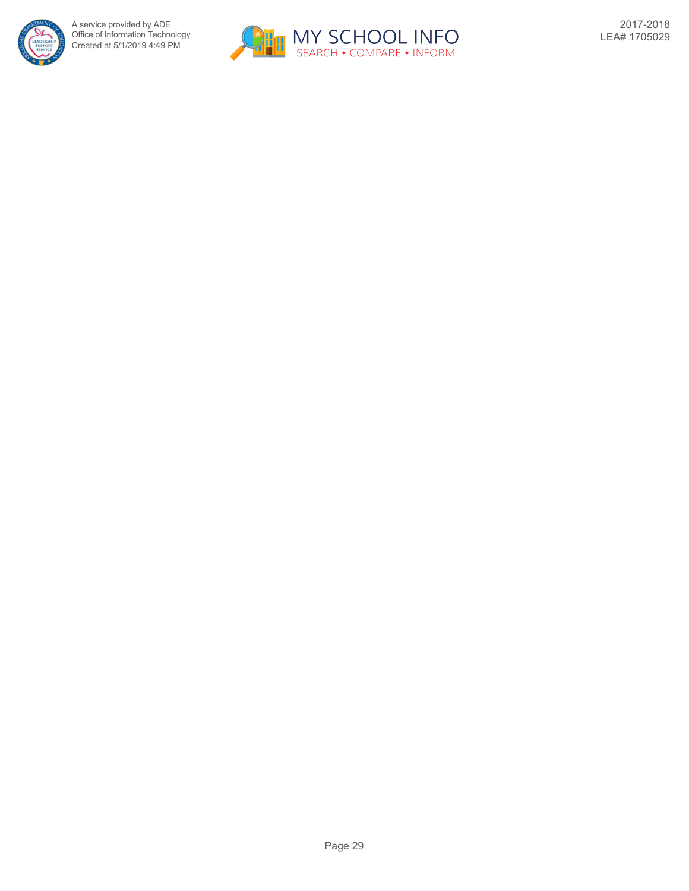

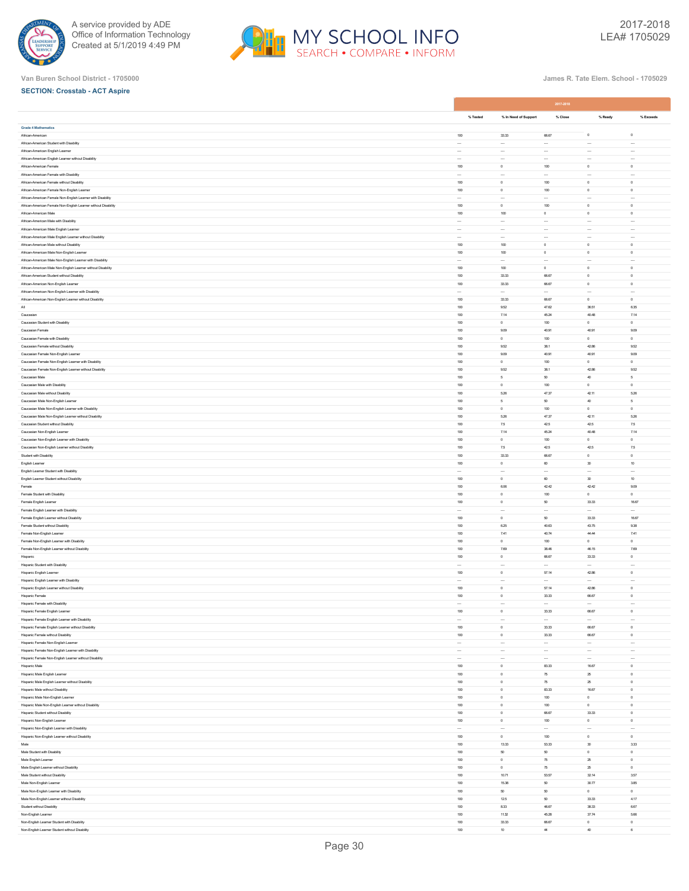



|                                                                                                                 |                  |                         | 2017-2018                           |                            |                            |
|-----------------------------------------------------------------------------------------------------------------|------------------|-------------------------|-------------------------------------|----------------------------|----------------------------|
|                                                                                                                 | % Tested         | % In Need of Support    | % Close                             | % Ready                    | % Exceeds                  |
| <b>Grade 4 Mathematics</b>                                                                                      |                  |                         |                                     |                            |                            |
| African-American                                                                                                | 100              | 33.33                   | 66.67                               | $\,$ 0                     | $\,$ 0                     |
| African-American Student with Disability                                                                        | $\cdots$         | $\sim$                  | $\cdots$                            | $\ddotsc$                  | $\ddotsc$                  |
| African-American English Learner                                                                                | $\cdots$         | $\cdots$                | $\ddotsc$                           | $\cdots$                   | $\cdots$                   |
| African-American English Learner without Disability<br>African-American Female                                  | $\cdots$<br>100  | $\cdots$<br>$\,0\,$     | $\cdots$<br>100                     | $\cdots$<br>$\,$ 0 $\,$    | $\cdots$<br>$\,$ 0 $\,$    |
| African-American Female with Disability                                                                         | $\cdots$         | $\cdots$                | $\cdots$                            | $\cdots$                   | $\cdots$                   |
| African-American Female without Disability                                                                      | $100\,$          | $\,$ 0 $\,$             | 100                                 | $\,$ 0                     | $\mathbb O$                |
| African-American Female Non-English Learner                                                                     | 100              | $\,$ 0 $\,$             | 100                                 | $\,$ 0 $\,$                | $\,$ 0 $\,$                |
| African-American Female Non-English Learner with Disability                                                     | $\cdots$         | $\cdots$                | $\cdots$                            | $\cdots$                   | $\cdots$                   |
| African-American Female Non-English Learner without Disability<br>African-American Male                         | $100\,$<br>100   | $\,$ 0 $\,$<br>100      | 100<br>$\circ$                      | $\,$ 0<br>$^{\circ}$       | $\,$ 0 $\,$<br>$^{\circ}$  |
| African-American Male with Disability                                                                           | $\cdots$         | $\cdots$                | $\cdots$                            | $\cdots$                   | $\cdots$                   |
| African-American Male English Learner                                                                           | $\cdots$         | $\cdots$                | $\cdots$                            | $\cdots$                   | $\cdots$                   |
| African-American Male English Learner without Disability                                                        | $\cdots$         | $\cdots$                | $\ddotsc$                           | $\cdots$                   | $\cdots$                   |
| African-American Male without Disability                                                                        | $100\,$          | 100                     | $\,$ 0 $\,$                         | $\,$ 0 $\,$                | $\,$ 0                     |
| African-American Male Non-English Learner<br>African-American Male Non-English Learner with Disability          | 100<br>$\cdots$  | 100<br>$\ddotsc$        | $\,$ 0 $\,$<br>$\ddot{\phantom{0}}$ | $\,$ 0 $\,$<br>$\cdots$    | $\,$ 0 $\,$<br>$\cdots$    |
| African-American Male Non-English Learner without Disability                                                    | $100\,$          | $100\,$                 | $\,$ 0 $\,$                         | $\,$ 0                     | $\,$ 0 $\,$                |
| African-American Student without Disability                                                                     | 100              | 33.33                   | 66.67                               | $\mathbb O$                | $\mathbb O$                |
| African-American Non-English Learner                                                                            | 100              | 33.33                   | 66.67                               | $\,$ 0 $\,$                | $\,$ 0 $\,$                |
| African-American Non-English Learner with Disability                                                            |                  | $\sim$                  | $\ddotsc$                           | $\ddotsc$                  | $\ddotsc$                  |
| African-American Non-English Learner without Disability<br>$\mathsf{All}$                                       | 100<br>$100\,$   | 33.33<br>9.52           | 66.67<br>47.62                      | $\mathbb O$<br>36.51       | $\mathbb O$<br>6.35        |
| Caucasian                                                                                                       | 100              | 7.14                    | 45.24                               | 40.48                      | 7.14                       |
| Caucasian Student with Disability                                                                               | 100              | $\circ$                 | 100                                 | $\mathbb O$                | $\,$ 0 $\,$                |
| Caucasian Female                                                                                                | $100\,$          | 9.09                    | 40.91                               | 40.91                      | 9.09                       |
| Caucasian Female with Disability                                                                                | 100              | $^{\circ}$              | 100                                 | $\circ$                    | $^{\circ}$                 |
| Caucasian Female without Disability                                                                             | 100              | 9.52                    | 38.1                                | 42.86                      | 9.52                       |
| Caucasian Female Non-English Learner                                                                            | 100<br>100       | 9.09<br>$\circ$         | 40.91<br>100                        | 40.91<br>$\mathbf{0}$      | 9.09<br>$\mathbf{0}$       |
| Caucasian Female Non-English Learner with Disability<br>Caucasian Female Non-English Learner without Disability | $100\,$          | 9.52                    | 38.1                                | 42.86                      | $9.52\,$                   |
| Caucasian Male                                                                                                  | 100              | $\sqrt{5}$              | $_{50}$                             | $40\,$                     | $\mathsf{s}$               |
| Caucasian Male with Disability                                                                                  | 100              | $\,$ 0 $\,$             | 100                                 | $\,$ 0 $\,$                | $\,$ 0 $\,$                |
| Caucasian Male without Disability                                                                               | $100\,$          | 5.26                    | 47.37                               | 42.11                      | $_{\rm 5.26}$              |
| Caucasian Male Non-English Learner                                                                              | 100              | 5                       | 50                                  | 40                         | $\,$ 5                     |
| Caucasian Male Non-English Learner with Disability                                                              | 100              | $\,$ 0 $\,$             | 100                                 | $\,$ 0 $\,$                | $\,$ 0 $\,$                |
| Caucasian Male Non-English Learner without Disability<br>Caucasian Student without Disability                   | 100<br>100       | 5.26<br>7.5             | 47.37<br>425                        | 42.11<br>42.5              | 5.26<br>7.5                |
| Caucasian Non-English Learner                                                                                   | $100\,$          | 7.14                    | 45.24                               | 40.48                      | 7.14                       |
| Caucasian Non-English Learner with Disability                                                                   | 100              | $\,$ 0 $\,$             | 100                                 | $\,$ 0 $\,$                | $\,$ 0 $\,$                |
| Caucasian Non-English Learner without Disability                                                                | 100              | 7.5                     | 42.5                                | 42.5                       | $7.5\,$                    |
| Student with Disability                                                                                         | $100\,$          | 33.33                   | 66.67                               | $\,$ 0 $\,$                | $\,$ 0 $\,$                |
| English Learner                                                                                                 | 100              | $^{\circ}$              | $60\,$                              | $30\,$                     | $10\,$                     |
| English Learner Student with Disability                                                                         | $\cdots$         | $\cdots$                | $\cdots$                            | $\cdots$                   | $\cdots$                   |
| English Learner Student without Disability<br>Female                                                            | 100<br>100       | $\,$ 0 $\,$<br>6.06     | $60\,$<br>42.42                     | $30\,$<br>42.42            | $10\,$<br>9.09             |
| Female Student with Disability                                                                                  | $100\,$          | $\,$ 0 $\,$             | $100\,$                             | $\,$ 0                     | $\,$ 0                     |
| Female English Learner                                                                                          | 100              | $\,$ 0 $\,$             | $_{50}$                             | 33.33                      | 16.67                      |
| Female English Learner with Disability                                                                          | $\cdots$         | $\cdots$                | $\ddot{\phantom{0}}$                |                            | $\cdots$                   |
| Female English Learner without Disability                                                                       | $100\,$          | $\,$ 0 $\,$             | $_{\rm S0}$                         | 33.33                      | 16.67                      |
| Female Student without Disability                                                                               | 100              | 625                     | 40.63                               | 43.75                      | 9.38                       |
| Female Non-English Learner<br>Female Non-English Learner with Disability                                        | 100<br>100       | 7.41<br>$\,0\,$         | 40.74<br>100                        | 44.44<br>$\,$ 0 $\,$       | 7.41<br>$\,$ 0             |
| Female Non-English Learner without Disability                                                                   | 100              | 7.69                    | 38.46                               | 46.15                      | 7.69                       |
| Hispanic                                                                                                        | $100\,$          | $\,$ 0 $\,$             | 66.67                               | 33.33                      | $\,$ 0 $\,$                |
| Hispanic Student with Disability                                                                                | $\ddotsc$        | $\sim$                  |                                     |                            | $\ddotsc$                  |
| Hispanic English Learner                                                                                        | 100              | $\,$ 0 $\,$             | 57.14                               | 42.86                      | $\,$ 0 $\,$                |
| Hispanic English Learner with Disability<br>Hispanic English Learner without Disability                         | $\ddotsc$<br>100 | $\ddotsc$<br>$^{\circ}$ | $\cdots$<br>57.14                   | $\cdots$<br>42.86          | $\cdots$<br>$^{\circ}$     |
| Hispanic Female                                                                                                 | 100              | $\,0\,$                 | 33.33                               | 66.67                      | $\,$ 0 $\,$                |
| Hispanic Female with Disability                                                                                 |                  |                         |                                     |                            |                            |
| Hispanic Female English Learner                                                                                 | 100              | $^{\circ}$              | 33.33                               | 66.67                      | $^{\circ}$                 |
| Hispanic Female English Learner with Disability                                                                 | $\sim$           |                         |                                     |                            | $\ddotsc$                  |
| Hispanic Female English Learner without Disability                                                              | 100              | $\,$ 0 $\,$             | 33.33                               | 66.67                      | $\mathbb O$                |
| Hispanic Female without Disability<br>Hispanic Female Non-English Learner                                       | 100<br>$\cdots$  | $\,$ 0 $\,$<br>$\cdots$ | 33.33<br>$\cdots$                   | 66.67<br>$\cdots$          | $\,$ 0 $\,$<br>$\cdots$    |
| Hispanic Female Non-English Learner with Disability                                                             | $\cdots$         | $\cdots$                | $\cdots$                            | $\cdots$                   | $\cdots$                   |
| Hispanic Female Non-English Learner without Disability                                                          | $\cdots$         | $\cdots$                | $\cdots$                            | $\cdots$                   | $\cdots$                   |
| Hispanic Male                                                                                                   | 100              | $\,0\,$                 | 83.33                               | 16.67                      | $\,$ 0 $\,$                |
| Hispanic Male English Learner                                                                                   | 100              | $\circ$                 | 75                                  | $\rm{25}$                  | $\circ$                    |
| Hispanic Male English Learner without Disability                                                                | $100\,$          | $\,$ 0 $\,$             | $\rm 75$                            | $\rm{25}$<br>16.67         | $\,$ 0 $\,$                |
| Hispanic Male without Disability<br>Hispanic Male Non-English Learner                                           | 100<br>100       | $\,$ 0 $\,$<br>$\,0\,$  | 83.33<br>100                        | $\mathbb O$                | $\,$ 0 $\,$<br>$\mathbb O$ |
| Hispanic Male Non-English Learner without Disability                                                            | $100\,$          | $\,$ 0 $\,$             | $100\,$                             | $\,$ 0 $\,$                | $\,$ 0 $\,$                |
| Hispanic Student without Disability                                                                             | 100              | $^{\circ}$              | 66.67                               | 33.33                      | $^{\circ}$                 |
| Hispanic Non-English Learner                                                                                    | 100              | $\,$ 0 $\,$             | 100                                 | $\,$ 0 $\,$                | $\,$ 0 $\,$                |
| Hispanic Non-English Learner with Disability                                                                    | $\sim$           | $\cdots$                | $\ddotsc$                           | $\cdots$                   | $\cdots$                   |
| Hispanic Non-English Learner without Disability                                                                 | 100              | $^{\circ}$              | 100                                 | $\circ$                    | $\circ$                    |
| Male<br>Male Student with Disability                                                                            | $100\,$<br>100   | 13.33<br>60             | 53.33<br>$_{50}$                    | $_{\rm 30}$<br>$\,$ 0 $\,$ | 3.33<br>$\,$ 0 $\,$        |
| Male English Learner                                                                                            | 100              | $\,$ 0 $\,$             | 75                                  | $\rm{25}$                  | $\,$ 0 $\,$                |
| Male English Learner without Disability                                                                         | $100\,$          | $\,$ 0 $\,$             | $\rm 75$                            | $\rm{25}$                  | $\,$ 0                     |
| Male Student without Disability                                                                                 | 100              | 10.71                   | 53.57                               | 32.14                      | 3.57                       |
| Male Non-English Learner                                                                                        | 100              | 15.38                   | $_{50}$                             | 30.77                      | 3.85                       |
| Male Non-English Learner with Disability                                                                        | 100              | $_{50}$                 | $_{50}$                             | $\mathbb O$                | $\mathbb O$                |
| Male Non-English Learner without Disability<br>Student without Disability                                       | 100<br>$100\,$   | 12.5<br>8.33            | 50<br>46.67                         | 33.33<br>38.33             | 4.17<br>6.67               |
| Non-English Learner                                                                                             | 100              | 11.32                   | 45.28                               | 37.74                      | 5.66                       |
| Non-English Learner Student with Disability                                                                     | 100              | 33.33                   | 66.67                               | $\,$ 0 $\,$                | $\,$ 0 $\,$                |
| Non-English Learner Student without Disability                                                                  | 100              | $10$                    | $\bf{44}$                           | $40\,$                     | $\mathbf 6$                |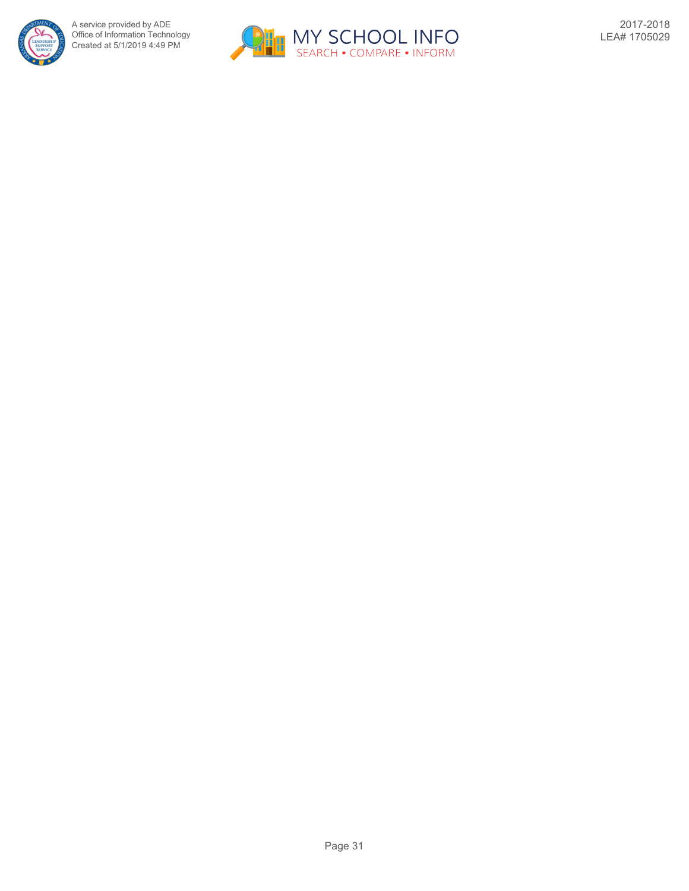

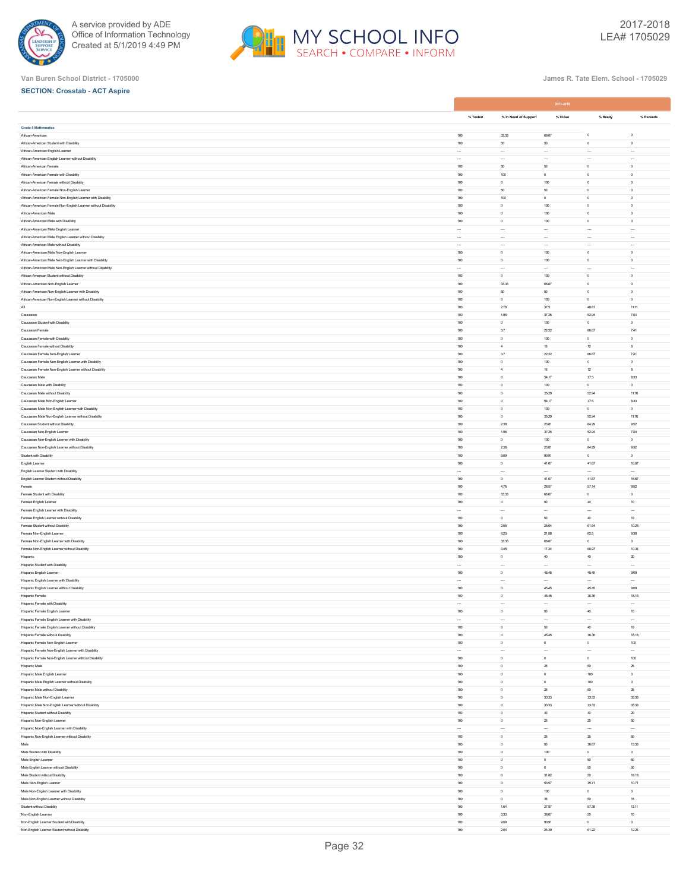



|                                                                                                                           |                     |                         | 2017-2018                   |                           |                            |
|---------------------------------------------------------------------------------------------------------------------------|---------------------|-------------------------|-----------------------------|---------------------------|----------------------------|
|                                                                                                                           | % Tested            | % In Need of Support    | % Close                     | % Ready                   | % Exceeds                  |
| <b>Grade 5 Mathematics</b>                                                                                                |                     |                         |                             |                           |                            |
| African-American                                                                                                          | 100                 | 33.33                   | 66.67                       | $\mathbb O$               | $\,$ 0                     |
| African-American Student with Disability                                                                                  | $100\,$             | $_{50}$                 | $_{\rm S0}$                 | $\mathbb O$               | $\mathbb O$                |
| African-American English Learner                                                                                          | $\cdots$            | $\cdots$                | $\ddotsc$                   | $\cdots$                  | $\cdots$                   |
| African-American English Learner without Disability                                                                       | $\cdots$            | $\cdots$                | $\cdots$                    | $\cdots$                  | $\cdots$                   |
| African-American Female                                                                                                   | 100                 | 60                      | $_{50}$                     | $\,$ 0 $\,$               | $\,$ 0 $\,$                |
| African-American Female with Disability                                                                                   | 100                 | 100<br>$\,$ 0 $\,$      | $\circ$                     | $^{\circ}$<br>$\mathbb O$ | $\circ$                    |
| African-American Female without Disability<br>African-American Female Non-English Learner                                 | $100\,$<br>100      | $_{50}$                 | $100\,$<br>$_{\rm S0}$      | $\,$ 0 $\,$               | $\,$ 0 $\,$<br>$\,$ 0 $\,$ |
| African-American Female Non-English Learner with Disability                                                               | 100                 | 100                     | $\,$ 0 $\,$                 | $\,$ 0 $\,$               | $\,$ 0 $\,$                |
| African-American Female Non-English Learner without Disability                                                            | $100\,$             | $\circ$                 | $100\,$                     | $\mathbb O$               | $\,$ 0 $\,$                |
| African-American Male                                                                                                     | 100                 | $\circ$                 | 100                         | $\circ$                   | $\circ$                    |
| African-American Male with Disability                                                                                     | 100                 | $\,$ 0 $\,$             | 100                         | $\,$ 0 $\,$               | $\,$ 0 $\,$                |
| African-American Male English Learner                                                                                     | à.                  | $\sim$                  | $\ddot{\phantom{a}}$        | $\ddotsc$                 | $\ddotsc$                  |
| African-American Male English Learner without Disability                                                                  | $\cdots$            | $\cdots$                | $\cdots$                    | $\cdots$                  | $\cdots$                   |
| African-American Male without Disability                                                                                  | $\cdots$            | $\ddotsc$               | $\cdots$                    | $\ddotsc$                 | $\ldots$                   |
| African-American Male Non-English Learner                                                                                 | 100                 | $\circ$                 | 100                         | $\mathbb O$               | $\mathbb O$                |
| African-American Male Non-English Learner with Disability<br>African-American Male Non-English Learner without Disability | 100<br>$\ddotsc$    | $\circ$<br>$\ddotsc$    | 100<br>$\ddot{\phantom{0}}$ | $\mathbb O$<br>$\ddotsc$  | $\mathbb O$<br>$\cdots$    |
| African-American Student without Disability                                                                               | 100                 | $^{\circ}$              | 100                         | $\circ$                   | $\circ$                    |
| African-American Non-English Learner                                                                                      | 100                 | 33.33                   | 66.67                       | $\,$ 0 $\,$               | $\,$ 0 $\,$                |
| African-American Non-English Learner with Disability                                                                      | 100                 | 60                      | $_{50}$                     | $\mathbb O$               | $\mathsf{O}$               |
| African-American Non-English Learner without Disability                                                                   | 100                 | $^{\circ}$              | 100                         | $\circ$                   | $\circ$                    |
| $\mathsf{All}\xspace$                                                                                                     | $100\,$             | 2.78                    | $37.5\,$                    | 48.61                     | $11.11\,$                  |
| Caucasian                                                                                                                 | 100                 | 1.96                    | 37.25                       | 52.94                     | 7.84                       |
| Caucasian Student with Disability                                                                                         | 100                 | $\,$ 0 $\,$             | 100                         | $\,$ 0 $\,$               | $\,$ 0 $\,$                |
| Caucasian Female                                                                                                          | $100\,$             | $3.7\,$                 | $22.22\,$                   | 66.67                     | $7.41\,$                   |
| Caucasian Female with Disability                                                                                          | 100                 | $\circ$                 | 100                         | $\circ$                   | $\circ$                    |
| Caucasian Female without Disability<br>Caucasian Female Non-English Learner                                               | 100<br>100          | $\,$ 4 $\,$<br>3.7      | $16\,$<br>22.22             | $\rm 72$<br>66.67         | $\bf8$<br>$7.41\,$         |
| Caucasian Female Non-English Learner with Disability                                                                      | 100                 | $\circ$                 | 100                         | $\circ$                   | $\circ$                    |
| Caucasian Female Non-English Learner without Disability                                                                   | $100\,$             | $\,$ 4 $\,$             | $16\,$                      | $\scriptstyle\rm 72$      | $\bf8$                     |
| Caucasian Male                                                                                                            | 100                 | $^{\circ}$              | 54.17                       | 37.5                      | 8.33                       |
| Caucasian Male with Disability                                                                                            | 100                 | $\,$ 0 $\,$             | 100                         | $\,$ 0 $\,$               | $\,$ 0 $\,$                |
| Caucasian Male without Disability                                                                                         | $100\,$             | $\,$ 0 $\,$             | 35.29                       | 52.94                     | 11.76                      |
| Caucasian Male Non-English Learner                                                                                        | 100                 | $\circ$                 | 54.17                       | 37.5                      | 8.33                       |
| Caucasian Male Non-English Learner with Disability                                                                        | 100                 | $\circ$                 | 100                         | $\mathbb O$               | $\mathbb O$                |
| Caucasian Male Non-English Learner without Disability                                                                     | 100                 | $\circ$                 | 35.29                       | 52.94                     | 11.76                      |
| Caucasian Student without Disability                                                                                      | 100                 | 238                     | 23.81                       | 64.29                     | 9.52                       |
| Caucasian Non-English Learner<br>Caucasian Non-English Learner with Disability                                            | $100\,$<br>100      | 1.96<br>$\,$ 0 $\,$     | 37.25<br>100                | 52.94<br>$\mathbb O$      | $7.84\,$<br>$\,$ 0 $\,$    |
| Caucasian Non-English Learner without Disability                                                                          | 100                 | 2.38                    | 23.81                       | 64.29                     | 9.52                       |
| Student with Disability                                                                                                   | $100\,$             | 9.09                    | 90.91                       | $\mathbb O$               | $\,$ 0                     |
| English Learner                                                                                                           | 100                 | $\circ$                 | 41.67                       | 41.67                     | 16.67                      |
| English Learner Student with Disability                                                                                   | $\cdots$            | $\cdots$                | $\ddot{\phantom{0}}$        | $\ddotsc$                 | $\cdots$                   |
| English Learner Student without Disability                                                                                | 100                 | $^{\circ}$              | 41.67                       | 41.67                     | 16.67                      |
| Female                                                                                                                    | 100                 | 4.76                    | 28.57                       | 57.14                     | 9.52                       |
| Female Student with Disability                                                                                            | $100\,$             | 33.33                   | 66.67                       | $\,$ 0 $\,$               | $\,$ 0 $\,$                |
| Female English Learner                                                                                                    | 100                 | $\circ$                 | $_{50}$                     | $40\,$                    | $10\,$                     |
| Female English Learner with Disability<br>Female English Learner without Disability                                       | $\cdots$<br>$100\,$ | $\cdots$<br>$\,$ 0 $\,$ | $\cdots$<br>$_{\rm S0}$     | $\cdots$<br>$40\,$        | $\cdots$<br>$10\,$         |
| Female Student without Disability                                                                                         | 100                 | 256                     | 25.64                       | 61.54                     | 10.26                      |
| Female Non-English Learner                                                                                                | 100                 | 6.25                    | 21.88                       | 62.5                      | 9.38                       |
| Female Non-English Learner with Disability                                                                                | 100                 | 33.33                   | 66.67                       | $\mathbb O$               | $\mathsf{O}$               |
| Female Non-English Learner without Disability                                                                             | 100                 | 3.45                    | 17.24                       | 68.97                     | 10.34                      |
| Hispanic                                                                                                                  | $100\,$             | $\,$ 0                  | $40\,$                      | $40\,$                    | $\rm{20}$                  |
| Hispanic Student with Disability                                                                                          | $\ddotsc$           | $\sim$                  | $\sim$                      | $\ddotsc$                 | $\cdots$                   |
| Hispanic English Learner                                                                                                  | 100                 | $\,$ 0 $\,$             | 45.45                       | 45.45                     | 9.09                       |
| Hispanic English Learner with Disability                                                                                  |                     |                         | 45.45                       |                           | 9.09                       |
| Hispanic English Learner without Disability<br>Hispanic Female                                                            | 100<br>100          | $\circ$<br>$\,$ 0 $\,$  | 45.45                       | 45.45<br>36.36            | 18.18                      |
| Hispanic Female with Disability                                                                                           |                     | $\sim$                  |                             |                           |                            |
| Hispanic Female English Learner                                                                                           | 100                 | $\circ$                 | 60                          | 40                        | 10                         |
| Hispanic Female English Learner with Disability                                                                           | $\ddotsc$           | $\ddotsc$               | $\ddot{\phantom{0}}$        |                           | $\cdots$                   |
| Hispanic Female English Learner without Disability                                                                        | 100                 | $\circ$                 | 50                          | 40                        | $10\,$                     |
| Hispanic Female without Disability                                                                                        | 100                 | $\,$ 0 $\,$             | 45.45                       | 36.36                     | 18.18                      |
| Hispanic Female Non-English Learner                                                                                       | $100\,$             | $\,$ 0 $\,$             | $\,$ 0 $\,$                 | $\mathbb O$               | $100\,$                    |
| Hispanic Female Non-English Learner with Disability                                                                       | $\sim$              | $\cdots$                | $\ddotsc$                   | $\cdots$                  | $\cdots$                   |
| Hispanic Female Non-English Learner without Disability                                                                    | 100<br>100          | $\circ$<br>$\circ$      | $\circ$<br>25               | $\mathbb O$<br>50         | 100                        |
| Hispanic Male                                                                                                             | 100                 | $^{\circ}$              | $\circ$                     | 100                       | $\rm 25$<br>$^{\circ}$     |
| Hispanic Male English Learner<br>Hispanic Male English Learner without Disability                                         | $100\,$             | $\,0\,$                 | $\,$ 0 $\,$                 | $100\,$                   | $\,$ 0 $\,$                |
| Hispanic Male without Disability                                                                                          | 100                 | $\,$ 0 $\,$             | $\rm{2S}$                   | $_{50}$                   | $\rm 25$                   |
| Hispanic Male Non-English Learner                                                                                         | 100                 | $\,$ 0 $\,$             | 33.33                       | 33.33                     | 33.33                      |
| Hispanic Male Non-English Learner without Disability                                                                      | $100\,$             | $\circ$                 | 33.33                       | 33.33                     | 33.33                      |
| Hispanic Student without Disability                                                                                       | 100                 | $^{\circ}$              | 40                          | $40\,$                    | 20                         |
| Hispanic Non-English Learner                                                                                              | 100                 | $\,$ 0 $\,$             | $\rm{z}\rm{s}$              | $\rm 25$                  | $_{\rm 50}$                |
| Hispanic Non-English Learner with Disability                                                                              | à.                  | $\sim$                  |                             | $\ddotsc$                 |                            |
| Hispanic Non-English Learner without Disability                                                                           | 100                 | $\circ$                 | 25                          | 25                        | 50                         |
| Male                                                                                                                      | $100\,$             | $\,$ 0 $\,$             | $_{\rm S0}$                 | 36.67                     | 13.33                      |
| Male Student with Disability<br>Male English Learner                                                                      | 100<br>100          | $^{\circ}$<br>$\circ$   | 100<br>$\mathbf 0$          | $\mathbb O$<br>$_{50}$    | $\mathbb O$<br>$_{\rm 50}$ |
| Male English Learner without Disability                                                                                   | 100                 | $\,$ 0 $\,$             | $\,$ 0 $\,$                 | $_{\rm 50}$               | $_{\rm 50}$                |
| Male Student without Disability                                                                                           | 100                 | $\circ$                 | 31.82                       | 50                        | 18.18                      |
| Male Non-English Learner                                                                                                  | 100                 | $\circ$                 | 53.57                       | 35.71                     | 10.71                      |
| Male Non-English Learner with Disability                                                                                  | 100                 | $\,$ 0 $\,$             | 100                         | $\mathbb O$               | $\mathsf{O}$               |
| Male Non-English Learner without Disability                                                                               | 100                 | $^{\circ}$              | 35                          | 50                        | 15                         |
| Student without Disability                                                                                                | $100\,$             | 1.64                    | 27.87                       | 57.38                     | 13.11                      |
| Non-English Learner                                                                                                       | 100                 | 3.33                    | 36.67                       | $_{50}$                   | $10\,$                     |
| Non-English Learner Student with Disability                                                                               | 100                 | 9.09                    | 90.91                       | $\,$ 0 $\,$               | $\mathsf{O}$               |
| Non-English Learner Student without Disability                                                                            | $100\,$             | 2.04                    | 24.49                       | 61.22                     | 12.24                      |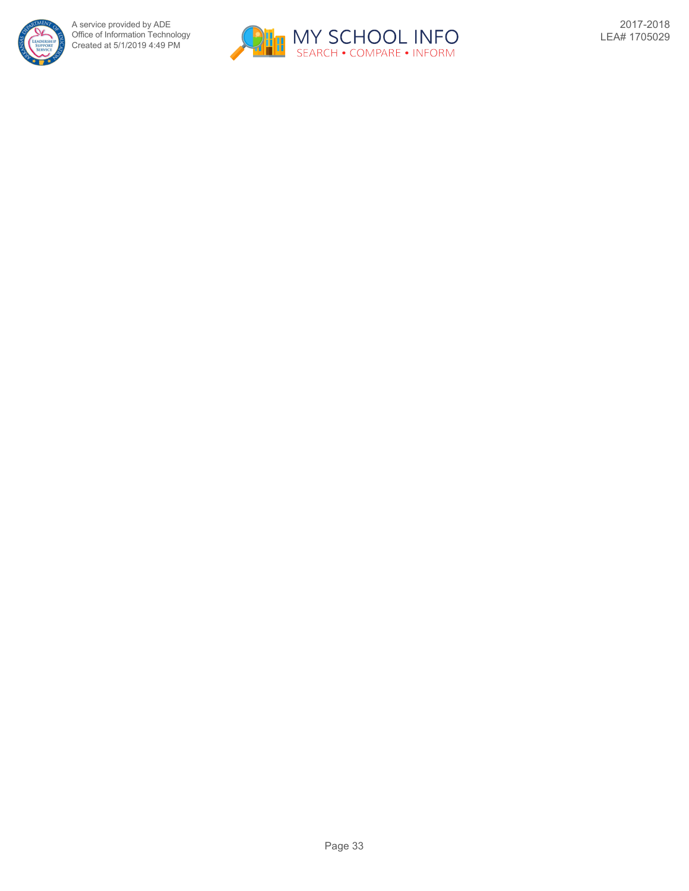

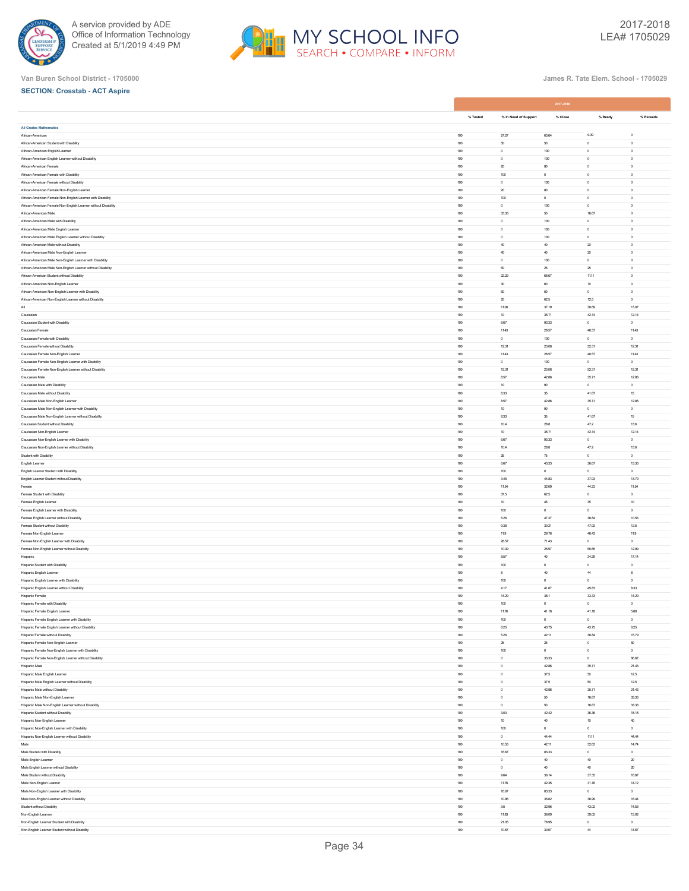



|                                                                                                        |                |                       | 2017-2018             |                         |                       |
|--------------------------------------------------------------------------------------------------------|----------------|-----------------------|-----------------------|-------------------------|-----------------------|
|                                                                                                        | $\%$ Tested    | % In Need of Support  | % Close               | % Ready                 | % Exceeds             |
| <b>All Grades Mathematics</b>                                                                          |                |                       |                       |                         |                       |
| African-American                                                                                       | 100            | 27.27                 | 63.64                 | 9.09                    | $^{\circ}$            |
| African-American Student with Disability                                                               | 100            | $_{50}$               | 50                    | $\circ$                 | $^{\circ}$            |
| African-American English Learner                                                                       | $100\,$        | $\bf{0}$<br>$\,$ 0    | $100\,$<br>100        | $\mathsf{o}$<br>$\circ$ | $\mathbb O$<br>$\,$ 0 |
| African-American English Learner without Disability<br>African-American Female                         | 100<br>100     | $\rm{20}$             | $80\,$                | $\circ$                 | $\circ$               |
| African-American Female with Disability                                                                | $100\,$        | $100\,$               | $\circ$               | $\mathbb O$             | $\circ$               |
| African-American Female without Disability                                                             | 100            | $\,0\,$               | 100                   | $\circ$                 | $\,$ 0                |
| African-American Female Non-English Learner                                                            | 100            | $\rm{20}$             | $80\,$                | $\circ$                 | $\circ$               |
| African-American Female Non-English Learner with Disability                                            | 100            | 100                   | $\circ$               | $\circ$                 | $\circ$               |
| African-American Female Non-English Learner without Disability<br>African-American Male                | 100<br>$100\,$ | $^{\circ}$<br>33.33   | 100<br>$_{\rm 50}$    | $\circ$<br>16.67        | $^{\circ}$<br>$\circ$ |
| African-American Male with Disability                                                                  | 100            | $\,0\,$               | $100\,$               | $\circ$                 | $\,$ 0                |
| African-American Male English Learner                                                                  | 100            | $\circ$               | 100                   | $\mathbb O$             | $\circ$               |
| African-American Male English Learner without Disability                                               | $100\,$        | $\bf{0}$              | $100\,$               | $\mathbb O$             | $\circ$               |
| African-American Male without Disability                                                               | 100            | 40                    | 40                    | 20                      | $\circ$               |
| African-American Male Non-English Learner<br>African-American Male Non-English Learner with Disability | 100<br>100     | $40\,$<br>$\,$ 0 $\,$ | $40\,$<br>$100\,$     | $\rm{20}$<br>$\circ$    | $\circ$<br>$\,$ 0     |
| African-American Male Non-English Learner without Disability                                           | 100            | 60                    | 25                    | $\overline{\mathbf{z}}$ | $\circ$               |
| African-American Student without Disability                                                            | $100\,$        | $22\,22$              | 66.67                 | 11.11                   | $\circ$               |
| African-American Non-English Learner                                                                   | 100            | $30\,$                | $60\,$                | $10\,$                  | $\,$ 0                |
| African-American Non-English Learner with Disability                                                   | 100            | $_{50}$               | $_{50}$               | $\mathbb O$             | $\circ$               |
| African-American Non-English Learner without Disability                                                | $100\,$        | $\rm{25}$             | 62.5                  | 12.5                    | $\mathbf 0$           |
| All                                                                                                    | 100<br>100     | 11.06<br>$10\,$       | 37.19<br>35.71        | 38.69<br>42.14          | 13.07<br>12.14        |
| Caucasian<br>Caucasian Student with Disability                                                         | 100            | 6.67                  | 93.33                 | $\circ$                 | $\circ$               |
| Caucasian Female                                                                                       | 100            | 11.43                 | 28.57                 | 48.57                   | 11.43                 |
| Caucasian Female with Disability                                                                       | $100\,$        | $\,$ 0 $\,$           | $100\,$               | $\mathbb O$             | $\circ$               |
| Caucasian Female without Disability                                                                    | 100            | 12.31                 | 23.08                 | 52.31                   | 12.31                 |
| Caucasian Female Non-English Learner                                                                   | 100            | 11.43                 | 28.57                 | 48.57                   | 11.43                 |
| Caucasian Female Non-English Learner with Disability                                                   | $100\,$        | $\,$ 0 $\,$           | $100\,$<br>23.08      | $\mathbb O$<br>52.31    | $\circ$               |
| Caucasian Female Non-English Learner without Disability<br>Caucasian Male                              | 100<br>100     | 12.31<br>8.57         | 42.86                 | 35.71                   | 12.31<br>12.86        |
| Caucasian Male with Disability                                                                         | 100            | $10\,$                | $90\,$                | $\,0\,$                 | $\,0\,$               |
| Caucasian Male without Disability                                                                      | 100            | 8.33                  | 35                    | 41.67                   | 15                    |
| Caucasian Male Non-English Learner                                                                     | $100\,$        | $8.57\,$              | 42.86                 | 35.71                   | 12.86                 |
| Caucasian Male Non-English Learner with Disability                                                     | 100            | $10\,$                | $90\,$                | $\,0\,$                 | $\circ$               |
| Caucasian Male Non-English Learner without Disability                                                  | 100            | 8.33                  | $35\,$                | 41.67                   | $15\,$                |
| Caucasian Student without Disability<br>Caucasian Non-English Learner                                  | $100\,$<br>100 | $10.4\,$<br>$10\,$    | $28.8\,$<br>35.71     | 47.2<br>42.14           | 13.6<br>12.14         |
| Caucasian Non-English Learner with Disability                                                          | 100            | 6.67                  | 93.33                 | $\,$ 0                  | $\circ$               |
| Caucasian Non-English Learner without Disability                                                       | 100            | $10.4\,$              | 28.8                  | 47.2                    | 13.6                  |
| Student with Disability                                                                                | 100            | 25                    | 75                    | $\circ$                 | $\circ$               |
| English Learner                                                                                        | $100\,$        | 6.67                  | 43.33                 | 36.67                   | 13.33                 |
| English Learner Student with Disability                                                                | 100            | 100                   | $\circ$               | $\circ$                 | $\circ$               |
| English Learner Student without Disability<br>Female                                                   | 100<br>$100\,$ | 3.45<br>11.54         | 44.83<br>32.69        | 37.93<br>44.23          | 13.79<br>11.54        |
| Female Student with Disability                                                                         | 100            | 37.5                  | 625                   | $\circ$                 | $\circ$               |
| Female English Learner                                                                                 | 100            | $10\,$                | $45\,$                | $35\,$                  | $10\,$                |
| Female English Learner with Disability                                                                 | 100            | 100                   | $\mathbf 0$           | $\circ$                 | $\,0\,$               |
| Female English Learner without Disability                                                              | 100            | 5.26                  | 47.37                 | 36.84                   | 10.53                 |
| Female Student without Disability                                                                      | $100\,$        | $9.38\,$              | 30.21                 | 47.92                   | 12.5                  |
| Female Non-English Learner<br>Female Non-English Learner with Disability                               | 100<br>100     | 11.9<br>28.57         | 29.76<br>71.43        | 46.43<br>$\,$ 0         | 11.9<br>$\,$ 0 $\,$   |
| Female Non-English Learner without Disability                                                          | $100\,$        | 10.39                 | 25.97                 | 50.65                   | 12.99                 |
| Hispanic                                                                                               | 100            | 8.57                  | 40                    | 34.29                   | 17.14                 |
| Hispanic Student with Disability                                                                       | 100            | 100                   | $\mathbf 0$           | $\circ$                 | $\circ$               |
| Hispanic English Learner                                                                               | 100            | 8                     | $40\,$                | 44                      | 8                     |
| Hispanic English Learner with Disability                                                               | 100            | 100                   | $\mathbf{0}$          | $\circ$                 | $\,$ 0                |
| Hispanic English Learner without Disability<br>Hispanic Female                                         | $100\,$<br>100 | 4.17<br>14.29         | 41.67<br>38.1         | 45.83<br>33.33          | 8.33<br>14.29         |
| Hispanic Female with Disability                                                                        | 100            | 100                   | $\mathbb O$           | $\circ$                 | $\mathsf{O}\xspace$   |
| Hispanic Female English Learner                                                                        | $100\,$        | 11.76                 | 41.18                 | 41.18                   | 5.88                  |
| Hispanic Female English Learner with Disability                                                        | 100            | 100                   | $\mathbf{0}$          | $\circ$                 | $\circ$               |
| Hispanic Female English Learner without Disability                                                     | 100            | 625                   | 43.75                 | 43.75                   | 6.25                  |
| Hispanic Female without Disability                                                                     | 100<br>100     | 5.26<br>$\rm{25}$     | 42.11<br>$\mathbf{z}$ | 36.84<br>$\circ$        | 15.79<br>50           |
| Hispanic Female Non-English Learner<br>Hispanic Female Non-English Learner with Disability             | $100\,$        | $100\,$               | $\mathbf 0$           | $\mathsf{o}$            | $\mathbf 0$           |
| Hispanic Female Non-English Learner without Disability                                                 | 100            | $\,$ 0                | 33.33                 | $\circ$                 | 66.67                 |
| Hispanic Male                                                                                          | 100            | $\circ$               | 42.86                 | 35.71                   | 21.43                 |
| Hispanic Male English Learner                                                                          | $100\,$        | $\bf{0}$              | $37.5\,$              | $_{50}$                 | 12.5                  |
| Hispanic Male English Learner without Disability                                                       | 100            | $\,0\,$               | 37.5                  | 60                      | 12.5                  |
| Hispanic Male without Disability<br>Hispanic Male Non-English Learner                                  | 100<br>100     | $\,$ 0 $\,$<br>$\,$ 0 | 42.86<br>50           | 35.71<br>16.67          | 21.43<br>33.33        |
| Hispanic Male Non-English Learner without Disability                                                   | 100            | $\circ$               | 50                    | 16.67                   | 33.33                 |
| Hispanic Student without Disability                                                                    | $100\,$        | $3.03\,$              | 42.42                 | 36.36                   | 18.18                 |
| Hispanic Non-English Learner                                                                           | 100            | $10\,$                | $40\,$                | $10$                    | 40                    |
| Hispanic Non-English Learner with Disability                                                           | 100            | 100                   | $\mathbf 0$           | $\circ$                 | $\mathbb O$           |
| Hispanic Non-English Learner without Disability                                                        | $100\,$        | $\,$ 0 $\,$           | 44.44                 | 11.11                   | 44.44                 |
| Male                                                                                                   | 100            | 10.53                 | 42.11                 | 32.63                   | 14.74                 |
| Male Student with Disability<br>Male English Learner                                                   | 100<br>100     | 16.67<br>$\,$ 0 $\,$  | 83.33<br>$40\,$       | $\circ$<br>$40\,$       | $\circ$<br>$20\,$     |
| Male English Learner without Disability                                                                | 100            | $^{\circ}$            | 40                    | 40                      | 20                    |
| Male Student without Disability                                                                        | $100\,$        | 9.64                  | 36.14                 | 37.35                   | 16.87                 |
| Male Non-English Learner                                                                               | 100            | 11.76                 | 42.35                 | 31.76                   | 14.12                 |
| Male Non-English Learner with Disability                                                               | 100            | 16.67                 | 83.33                 | $\,$ 0 $\,$             | $\,$ 0 $\,$           |
| Male Non-English Learner without Disability                                                            | $100\,$        | 10.96                 | 35.62                 | 36.99                   | 16.44                 |
| Student without Disability<br>Non-English Learner                                                      | 100<br>100     | 9.5<br>11.83          | 32.96<br>36.09        | 43.02<br>39.05          | 14.53<br>13.02        |
| Non-English Learner Student with Disability                                                            | 100            | 21.05                 | 78.95                 | $\mathsf{O}\xspace$     | $\mathbb O$           |
| Non-English Learner Student without Disability                                                         | 100            | 10.67                 | 30.67                 | 44                      | 14.67                 |
|                                                                                                        |                |                       |                       |                         |                       |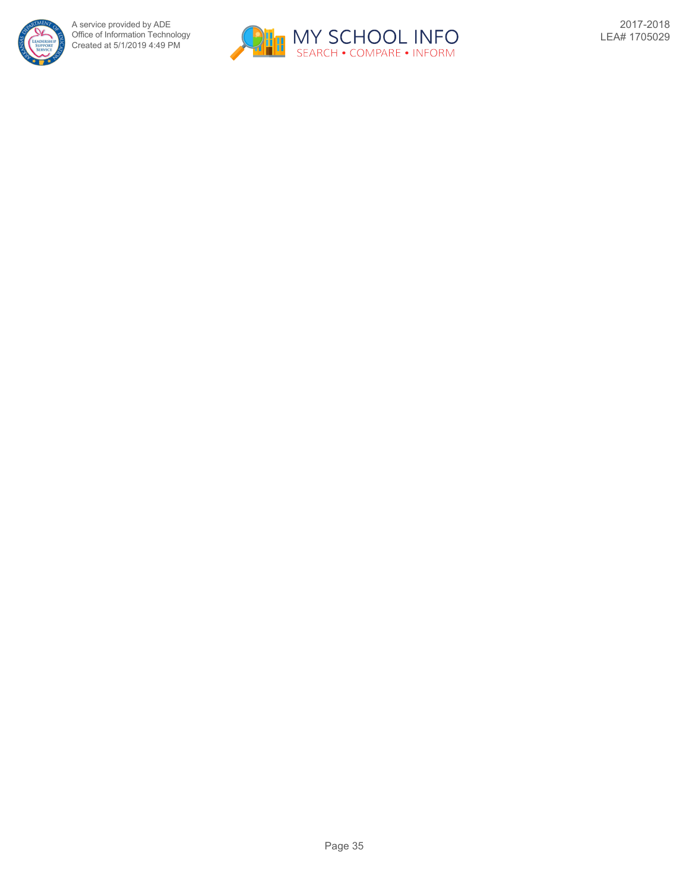

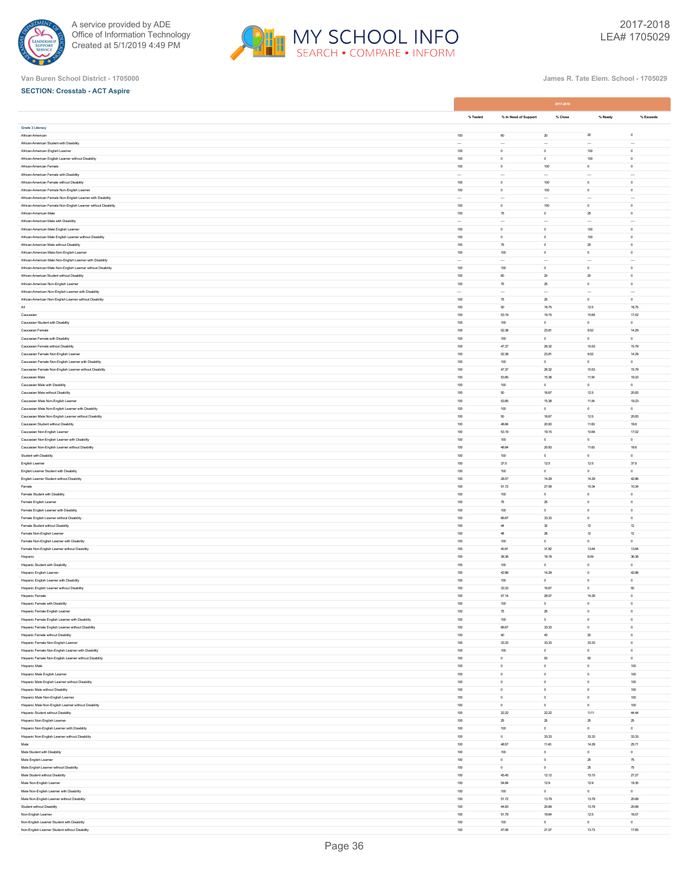



|                                                                                                        |                |                          | 2017-2018                           |                          |                          |
|--------------------------------------------------------------------------------------------------------|----------------|--------------------------|-------------------------------------|--------------------------|--------------------------|
|                                                                                                        | % Tested       | % In Need of Support     | % Close                             | % Ready                  | % Exceeds                |
| <b>Grade 3 Literacy</b>                                                                                |                |                          |                                     |                          |                          |
| African-American                                                                                       | 100            | $_{60}$                  | $\rm{20}$                           | 20                       | $\,$ 0 $\,$              |
| African-American Student with Disability                                                               | $\cdots$       | $\cdots$                 | $\ddotsc$                           | $\cdots$                 | $\cdots$                 |
| African-American English Learner                                                                       | $100\,$        | $\,$ 0 $\,$              | $\,$ 0 $\,$                         | $100\,$                  | $\,$ 0 $\,$              |
| African-American English Learner without Disability                                                    | 100            | $\,0\,$                  | $\,0\,$                             | 100                      | $\mathbb O$              |
| African-American Female                                                                                | 100            | $\,$ 0 $\,$              | 100                                 | $\,$ 0 $\,$              | $\,$ 0 $\,$              |
| African-American Female with Disability                                                                | $\ddotsc$      | $\overline{\phantom{a}}$ | $\ddot{\phantom{0}}$                |                          |                          |
| African-American Female without Disability                                                             | 100            | $^{\circ}$               | 100                                 | $\mathbf{0}$             | $\mathbf{0}$             |
| African-American Female Non-English Learner                                                            | 100            | $\circ$                  | 100                                 | $\,$ 0 $\,$              | $\,$ 0 $\,$              |
| African-American Female Non-English Learner with Disability                                            | $\cdots$       | $\cdots$                 | $\ddotsc$                           | $\cdots$                 | $\cdots$                 |
| African-American Female Non-English Learner without Disability                                         | 100            | $^{\circ}$               | 100                                 | $\mathbf{0}$             | $\mathbf{0}$             |
| African-American Male                                                                                  | $100\,$        | $7\!$                    | $\,$ 0 $\,$                         | $\rm{25}$                | $\,$ 0                   |
| African-American Male with Disability                                                                  |                |                          | $\ddotsc$                           | $\ddotsc$                | $\cdots$                 |
| African-American Male English Learner                                                                  | 100            | $\,$ 0 $\,$              | $\,$ 0 $\,$                         | 100                      | $\,$ 0 $\,$              |
| African-American Male English Learner without Disability                                               | $100\,$        | $\,$ 0 $\,$              | $\,$ 0 $\,$                         | $100\,$                  | $\,$ 0                   |
| African-American Male without Disability                                                               | 100            | $7\!$                    | $\mathbf 0$                         | $\rm{25}$                | $\mathbb O$              |
| African-American Male Non-English Learner<br>African-American Male Non-English Learner with Disability | 100<br>$\sim$  | 100<br>$\sim$            | $\mathbf 0$<br>$\ddot{\phantom{a}}$ | $\,$ 0 $\,$<br>$\ddotsc$ | $\,$ 0 $\,$<br>$\ddotsc$ |
| African-American Male Non-English Learner without Disability                                           | 100            | 100                      | $\circ$                             | $\circ$                  | $\circ$                  |
| African-American Student without Disability                                                            | $100\,$        | $_{60}$                  | $\rm{20}$                           | $\rm{20}$                | $\,$ 0 $\,$              |
| African-American Non-English Learner                                                                   | 100            | $75\,$                   | $\rm{2S}$                           | $\,$ 0 $\,$              | $\,$ 0 $\,$              |
| African-American Non-English Learner with Disability                                                   | $\cdots$       | $\cdots$                 | $\cdots$                            | $\cdots$                 | $\cdots$                 |
| African-American Non-English Learner without Disability                                                | $100\,$        | $7\!$                    | $\rm{2S}$                           | $\,$ 0 $\,$              | $\,$ 0 $\,$              |
| All                                                                                                    | 100            | 50                       | 18.75                               | 12.5                     | 18.75                    |
| Caucasian                                                                                              | 100            | 53.19                    | 19.15                               | 10.64                    | 17.02                    |
| Caucasian Student with Disability                                                                      | 100            | 100                      | $\,$ 0 $\,$                         | $\,$ 0 $\,$              | $\,$ 0 $\,$              |
| Caucasian Female                                                                                       | 100            | 52.38                    | 23.81                               | 9.52                     | 14.29                    |
| Caucasian Female with Disability                                                                       | $100\,$        | $100\,$                  | $\,$ 0 $\,$                         | $\,$ 0                   | $\mathbb O$              |
| Caucasian Female without Disability                                                                    | 100            | 47.37                    | 26.32                               | 10.53                    | 15.79                    |
| Caucasian Female Non-English Learner                                                                   | 100            | 52.38                    | 23.81                               | 9.52                     | 14.29                    |
| Caucasian Female Non-English Learner with Disability                                                   | $100\,$        | $100\,$                  | $\,$ 0 $\,$                         | $\mathbb O$              | $\,$ 0                   |
| Caucasian Female Non-English Learner without Disability                                                | 100            | 47.37                    | 26.32                               | 10.53                    | 15.79                    |
| Caucasian Male                                                                                         | 100            | 53.85                    | 15.38                               | 11.54                    | 19.23                    |
| Caucasian Male with Disability                                                                         | 100            | 100                      | $\,0\,$                             | $\mathbb O$              | $\mathbb O$              |
| Caucasian Male without Disability                                                                      | 100            | $_{\rm S0}$              | 16.67                               | 12.5                     | 20.83                    |
| Caucasian Male Non-English Learner                                                                     | $100\,$        | 53.85                    | 15.38                               | 11.54                    | 19.23                    |
| Caucasian Male Non-English Learner with Disability                                                     | 100            | 100                      | $\,0\,$                             | $\mathbb O$              | $\mathbb O$              |
| Caucasian Male Non-English Learner without Disability<br>Caucasian Student without Disability          | 100<br>$100\,$ | $_{\rm S0}$<br>48.84     | 16.67<br>20.93                      | 12.5<br>11.63            | 20.83<br>18.6            |
| Caucasian Non-English Learner                                                                          | 100            | 53.19                    | 19.15                               | 10.64                    | 17.02                    |
| Caucasian Non-English Learner with Disability                                                          | 100            | 100                      | $\mathbf 0$                         | $\mathbb O$              | $\mathbb O$              |
| Caucasian Non-English Learner without Disability                                                       | 100            | 48.84                    | 20.93                               | 11.63                    | 18.6                     |
| Student with Disability                                                                                | 100            | 100                      | $\circ$                             | $\mathbf{0}$             | $\mathbf{0}$             |
| English Learner                                                                                        | $100\,$        | 37.5                     | 12.5                                | 12.5                     | 37.5                     |
| English Learner Student with Disability                                                                | 100            | 100                      | $\,$ 0 $\,$                         | $\,$ 0 $\,$              | $\,$ 0 $\,$              |
| English Learner Student without Disability                                                             | 100            | 28.57                    | 14.29                               | 14.29                    | 42.86                    |
| Female                                                                                                 | $100\,$        | 51.72                    | 27.59                               | 10.34                    | 10.34                    |
| Female Student with Disability                                                                         | 100            | 100                      | $\mathbf 0$                         | $\mathbb O$              | $\mathbb O$              |
| Female English Learner                                                                                 | 100            | $7\!$                    | $\rm{z}\rm{s}$                      | $\,$ 0 $\,$              | $\,$ 0 $\,$              |
| Female English Learner with Disability                                                                 | 100            | 100                      | $\,0\,$                             | $\circ$                  | $\circ$                  |
| Female English Learner without Disability                                                              | 100            | 66.67                    | 33.33                               | $\mathbb O$              | $^{\circ}$               |
| Female Student without Disability                                                                      | $100\,$        | $_{\rm 44}$              | $\mathbf{\bar x}$                   | $\mathbf{12}$            | $\mathbf{12}$            |
| Female Non-English Learner                                                                             | 100            | 48                       | $\rm 28$                            | $12\,$                   | $12\,$                   |
|                                                                                                        |                | 100                      |                                     |                          | $\,$ 0 $\,$              |
| Female Non-English Learner with Disability                                                             | 100            |                          | $\mathbf 0$                         | $\,$ 0 $\,$              |                          |
| Female Non-English Learner without Disability                                                          | $100\,$        | 40.91                    | 31.82                               | 13.64                    | 13.64                    |
| Hispanic                                                                                               | 100            | 36.36                    | 18.18                               | 9.09                     | 36.36                    |
| Hispanic Student with Disability                                                                       | 100            | 100                      | $\,0\,$                             | $\mathbb O$              | $\mathbb O$              |
| Hispanic English Learner                                                                               | 100            | 42.86                    | 14.29                               | $\,$ 0 $\,$              | 42.86                    |
| Hispanic English Learner with Disability                                                               | 100            | 100                      | $\circ$                             | $\mathbf{0}$             | $^{\circ}$               |
| Hispanic English Learner without Disability                                                            | $100\,$        | 33.33                    | 16.67                               | $\mathbb O$              | $_{\rm 50}$              |
| Hispanic Female                                                                                        | 100            | 57.14                    | 28.57                               | 14.29                    | $\,$ 0 $\,$              |
| Hispanic Female with Disability<br>Hispanic Female English Learner                                     | 100            | 100                      | $\,$ 0 $\,$                         | $\circ$<br>$\,$ 0        | $\,$ 0 $\,$<br>$\,$ 0    |
|                                                                                                        | $100\,$<br>100 | $75\,$<br>100            | $\rm{2S}$<br>$\circ$                | $\mathbb O$              | $^{\circ}$               |
| Hispanic Female English Learner with Disability<br>Hispanic Female English Learner without Disability  | 100            | 66.67                    | 33.33                               | $\,$ 0 $\,$              | $\,$ 0 $\,$              |
| Hispanic Female without Disability                                                                     | 100            | 40                       | $40\,$                              | $\rm{20}$                | $\mathbb O$              |
| Hispanic Female Non-English Learner                                                                    | 100            | 33.33                    | 33.33                               | 33.33                    | $\,$ 0 $\,$              |
| Hispanic Female Non-English Learner with Disability                                                    | $100\,$        | $100\,$                  | $\,$ 0 $\,$                         | $\,$ 0 $\,$              | $\,$ 0 $\,$              |
| Hispanic Female Non-English Learner without Disability                                                 | 100            | $\,0\,$                  | $_{50}$                             | $_{\rm 50}$              | $\mathbb O$              |
| Hispanic Male                                                                                          | 100            | $\,0\,$                  | $\,0\,$                             | $\mathbb O$              | 100                      |
| Hispanic Male English Learner                                                                          | $100\,$        | $\,$ 0 $\,$              | $\,$ 0 $\,$                         | $\,$ 0                   | $100\,$                  |
| Hispanic Male English Learner without Disability                                                       | 100            | $^{\circ}$               | $\circ$                             | $^{\circ}$               | 100                      |
| Hispanic Male without Disability                                                                       | 100            | $\,$ 0 $\,$              | $\,$ 0 $\,$                         | $\,$ 0 $\,$              | 100                      |
| Hispanic Male Non-English Learner                                                                      | 100            | $\,$ 0 $\,$              | $\,$ 0 $\,$                         | $\,$ 0 $\,$              | 100                      |
| Hispanic Male Non-English Learner without Disability                                                   | 100            | $\circ$                  | $\circ$                             | $\mathbf{0}$             | 100                      |
| Hispanic Student without Disability                                                                    | $100\,$        | $22\,22$                 | $\mathbf{222}$                      | 11.11                    | 44.44                    |
| Hispanic Non-English Learner                                                                           | 100            | $\rm{2S}$                | $\rm{2S}$                           | $\rm 25$                 | $\rm 25$                 |
| Hispanic Non-English Learner with Disability                                                           | 100            | 100                      | $\mathbf 0$                         | $\,$ 0 $\,$              | $\,$ 0 $\,$              |
| Hispanic Non-English Learner without Disability                                                        | $100\,$        | $\,$ 0 $\,$              | 33.33                               | 33.33                    | 33.33                    |
| Male                                                                                                   | 100            | 48.57                    | 11.43                               | 14.29                    | 25.71                    |
| Male Student with Disability                                                                           | 100            | 100                      | $\mathbf 0$                         | $\,$ 0 $\,$              | $\,$ 0 $\,$              |
| Male English Learner                                                                                   | 100<br>100     | $\,0\,$<br>$^{\circ}$    | $\,0\,$<br>$\circ$                  | 25<br>25                 | $75\,$                   |
| Male English Learner without Disability                                                                |                |                          |                                     |                          | 75                       |
| Male Student without Disability                                                                        | $100\,$        | 45.45                    | 12.12                               | 15.15                    | 27.27                    |
| Male Non-English Learner<br>Male Non-English Learner with Disability                                   | 100<br>100     | 54.84<br>100             | 12.9<br>$\mathbf 0$                 | 12.9<br>$\,$ 0 $\,$      | 19.35<br>$\mathbb O$     |
| Male Non-English Learner without Disability                                                            | $100\,$        | 51.72                    | 13.79                               | 13.79                    | 20.69                    |
| Student without Disability                                                                             | 100            | 44.83                    | 20.69                               | 13.79                    | 20.69                    |
| Non-English Learner                                                                                    | 100            | 51.79                    | 19.64                               | 12.5                     | 16.07                    |
| Non-English Learner Student with Disability<br>Non-English Learner Student without Disability          | 100<br>100     | 100<br>47.06             | $\,$ 0 $\,$<br>21.57                | $\mathsf{O}$<br>13.73    | $\mathsf{O}$<br>17.65    |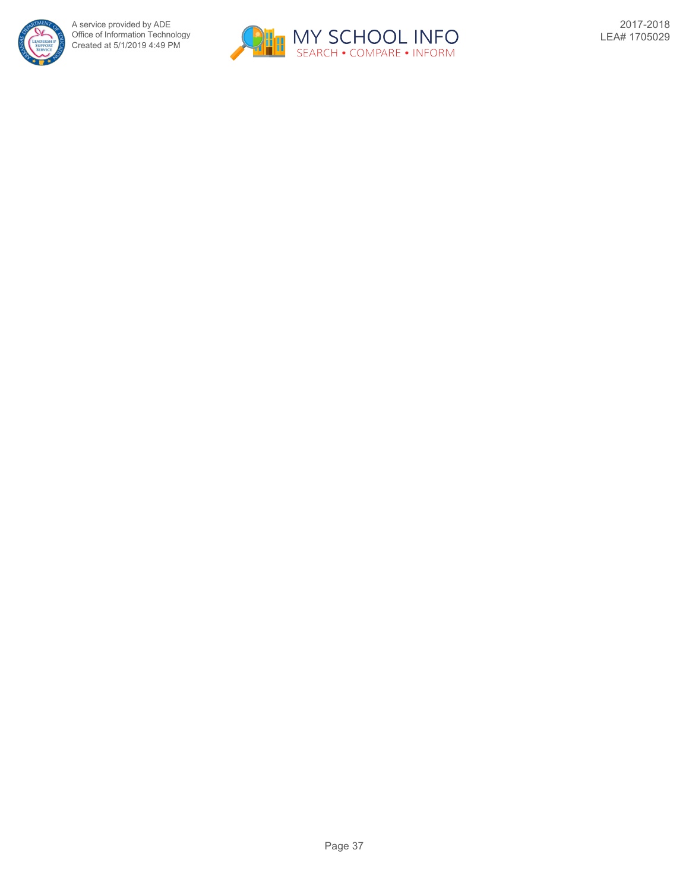

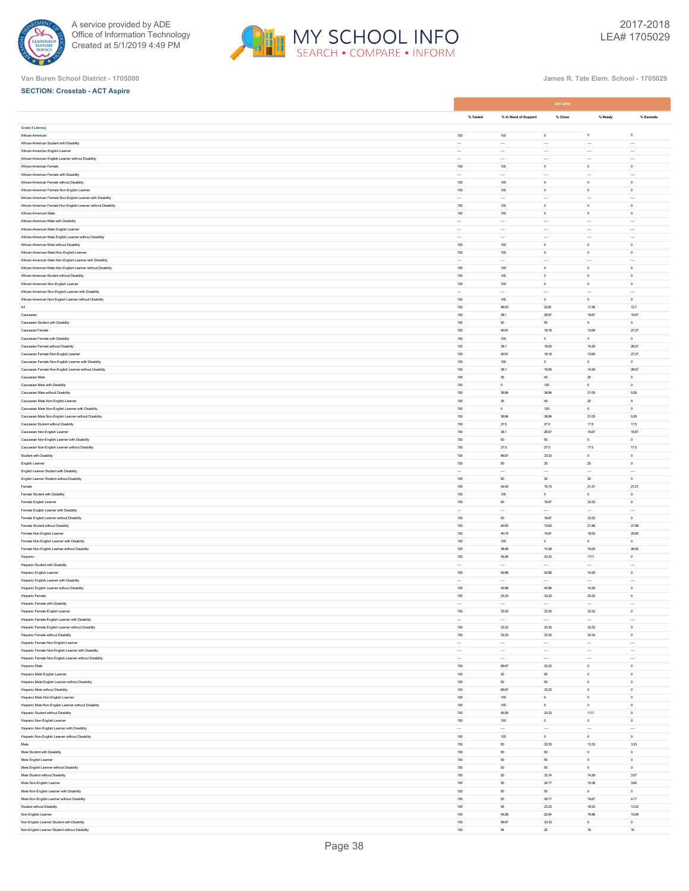



|                                                                                                                 |                      |                      | 2017-2018                           |                            |                                         |
|-----------------------------------------------------------------------------------------------------------------|----------------------|----------------------|-------------------------------------|----------------------------|-----------------------------------------|
|                                                                                                                 | $%$ Tested           | % In Need of Support | $\%$ Close                          | % Ready                    | % Exceeds                               |
| Grade 4 Literacy                                                                                                |                      |                      |                                     |                            |                                         |
| African-American                                                                                                | 100                  | 100                  | $\,$ 0 $\,$                         | $\,$ 0 $\,$                | $\mathbb O$                             |
| African-American Student with Disability                                                                        | $\cdots$             | $\cdots$             | $\ddotsc$                           | $\cdots$                   | $\cdots$                                |
| African-American English Learner                                                                                | $\cdots$<br>$\cdots$ | $\sim$<br>$\sim$     | $\cdots$<br>$\ddot{\phantom{0}}$    | $\cdots$<br>$\cdots$       | $\cdots$<br>$\cdots$                    |
| African-American English Learner without Disability<br>African-American Female                                  | 100                  | 100                  | $\,$ 0 $\,$                         | $\,$ 0 $\,$                | $\,$ 0 $\,$                             |
| African-American Female with Disability                                                                         | $\sim$               | $\ddot{\phantom{a}}$ | $\ddot{\phantom{0}}$                | $\ddotsc$                  | $\cdots$                                |
| African-American Female without Disability                                                                      | 100                  | 100                  | $\mathbf 0$                         | $\mathbb O$                | $\circ$                                 |
| African-American Female Non-English Learner                                                                     | 100                  | 100                  | $\,$ 0 $\,$                         | $\mathbb O$                | $\mathsf{O}$                            |
| African-American Female Non-English Learner with Disability                                                     | à.<br>100            | $\sim$<br>100        | $\ddotsc$                           | $\ddotsc$                  | $\ddotsc$                               |
| African-American Female Non-English Learner without Disability<br>African-American Male                         | $100\,$              | $100\,$              | $\circ$<br>$\,$ 0 $\,$              | $\mathbb O$<br>$\mathbb O$ | $\mathbb O$<br>$\mathbb O$              |
| African-American Male with Disability                                                                           | $\ddot{\phantom{a}}$ | $\sim$               | $\sim$                              | $\ddotsc$                  | $\overline{\phantom{a}}$                |
| African-American Male English Learner                                                                           | $\cdots$             | $\cdots$             | $\cdots$                            | $\cdots$                   | $\cdots$                                |
| African-American Male English Learner without Disability                                                        | $\cdots$             | $\cdots$             | $\cdots$                            | $\ddot{\phantom{0}}$       | $\cdots$                                |
| African-American Male without Disability                                                                        | 100                  | 100                  | $\circ$                             | $\ddot{\phantom{0}}$       | $^{\circ}$                              |
| African-American Male Non-English Learner<br>African-American Male Non-English Learner with Disability          | 100<br>$\cdots$      | 100<br>$\sim$        | $\mathbf 0$<br>$\ddot{\phantom{0}}$ | $\,$ 0 $\,$<br>$\ddotsc$   | $\mathbb O$<br>$\cdots$                 |
| African-American Male Non-English Learner without Disability                                                    | 100                  | 100                  | $\circ$                             | $^{\circ}$                 | $\circ$                                 |
| African-American Student without Disability                                                                     | $100\,$              | $100\,$              | $\,$ 0 $\,$                         | $\mathbb O$                | $\mathbb O$                             |
| African-American Non-English Learner                                                                            | 100                  | 100                  | $\,$ 0 $\,$                         | $\mathbb O$                | $\mathsf{O}$                            |
| African-American Non-English Learner with Disability                                                            | $\cdots$             | $\ddot{\phantom{0}}$ | $\ddotsc$                           | $\cdots$                   | $\cdots$                                |
| African-American Non-English Learner without Disability<br>All                                                  | $100\,$<br>100       | 100<br>46.03         | $\,$ 0 $\,$<br>23.81                | $\mathbb O$<br>17.46       | $\circ$<br>12.7                         |
| Caucasian                                                                                                       | 100                  | 38.1                 | 28.57                               | 16.67                      | 16.67                                   |
| Caucasian Student with Disability                                                                               | 100                  | 60                   | $_{50}$                             | $\mathbb O$                | $\mathbb O$                             |
| Caucasian Female                                                                                                | 100                  | 40.91                | 18.18                               | 13.64                      | 27.27                                   |
| Caucasian Female with Disability                                                                                | $100\,$              | $100\,$              | $\,$ 0 $\,$                         | $\mathbb O$                | $\mathbb O$                             |
| Caucasian Female without Disability                                                                             | 100                  | 38.1                 | 19.05                               | 14.29                      | 28.57                                   |
| Caucasian Female Non-English Learner                                                                            | 100                  | 40.91                | 18.18                               | 13.64                      | 27.27                                   |
| Caucasian Female Non-English Learner with Disability<br>Caucasian Female Non-English Learner without Disability | $100\,$<br>100       | $100\,$<br>38.1      | $\,$ 0 $\,$<br>19.05                | $\mathbb O$<br>14.29       | $\mathbb O$<br>28.57                    |
| Caucasian Male                                                                                                  | 100                  | $_{35}$              | $40\,$                              | $\rm{20}$                  | $\sqrt{5}$                              |
| Caucasian Male with Disability                                                                                  | 100                  | $\,$ 0 $\,$          | 100                                 | $\mathbb O$                | $\,$ 0 $\,$                             |
| Caucasian Male without Disability                                                                               | 100                  | 36.84                | 36.84                               | 21.05                      | 5.26                                    |
| Caucasian Male Non-English Learner                                                                              | $100\,$              | $_{35}$              | $40\,$                              | $\rm{20}$                  | $\sqrt{5}$                              |
| Caucasian Male Non-English Learner with Disability                                                              | 100                  | $\,$ 0 $\,$          | 100                                 | $\mathbb O$                | $\,$ 0 $\,$                             |
| Caucasian Male Non-English Learner without Disability<br>Caucasian Student without Disability                   | 100<br>$100\,$       | 36.84<br>$37.5\,$    | 36.84<br>$27.5\,$                   | 21.05<br>17.5              | 5.26<br>17.5                            |
| Caucasian Non-English Learner                                                                                   | 100                  | 38.1                 | 28.57                               | 16.67                      | 16.67                                   |
| Caucasian Non-English Learner with Disability                                                                   | 100                  | $_{50}$              | $_{50}$                             | $\mathbb O$                | $\,$ 0 $\,$                             |
| Caucasian Non-English Learner without Disability                                                                | 100                  | 37.5                 | 27.5                                | 17.5                       | 17.5                                    |
| Student with Disability                                                                                         | 100                  | 66.67                | 33.33                               | $\mathbb O$                | $\mathbb O$                             |
| English Learner                                                                                                 | $100\,$              | $_{50}$              | $_{30}$                             | $\rm{20}$                  | $\mathbb O$                             |
| English Learner Student with Disability<br>English Learner Student without Disability                           | $\sim$<br>100        | $\sim$<br>$_{50}$    | $\ddot{\phantom{a}}$<br>$_{30}$     | $\ddotsc$<br>$\rm{20}$     | $\overline{\phantom{a}}$<br>$\mathbb O$ |
| Female                                                                                                          | $100\,$              | 42.42                | 15.15                               | 21.21                      | 21.21                                   |
| Female Student with Disability                                                                                  | 100                  | 100                  | $\circ$                             | $\circ$                    | $\ddot{\phantom{0}}$                    |
| Female English Learner                                                                                          | 100                  | $_{50}$              | 16.67                               | 33.33                      | $\mathbb O$                             |
| Female English Learner with Disability                                                                          | $\cdots$             | $\sim$               | $\sim$                              | $\ddotsc$                  | $\cdots$                                |
| Female English Learner without Disability                                                                       | 100                  | 50                   | 16.67                               | 33.33                      | $\circ$                                 |
| Female Student without Disability<br>Female Non-English Learner                                                 | $100\,$<br>100       | 40.63<br>40.74       | 15.63<br>14.81                      | 21.88<br>18.52             | 21.88<br>25.93                          |
| Female Non-English Learner with Disability                                                                      | 100                  | 100                  | $\,$ 0 $\,$                         | $\mathbb O$                | $\circ$                                 |
| Female Non-English Learner without Disability                                                                   | $100\,$              | 38.46                | 15.38                               | 19.23                      | 26.92                                   |
| Hispanic                                                                                                        | 100                  | 55.56                | 33.33                               | 11.11                      | $\circ$                                 |
| Hispanic Student with Disability                                                                                | $\cdots$             | $\cdots$             | $\ddot{\phantom{0}}$                |                            | $\cdots$                                |
| Hispanic English Learner                                                                                        | 100                  | 42.86                | 42.86                               | 14.29                      | $\,$ 0 $\,$                             |
| Hispanic English Learner with Disability<br>Hispanic English Learner without Disability                         | $\cdots$<br>$100\,$  | $\cdots$<br>42.86    | $\ddotsc$<br>42.86                  | $\cdots$<br>14.29          | $\cdots$<br>$\mathbb O$                 |
| Hispanic Female                                                                                                 | 100                  | 33.33                | 33.33                               | 33.33                      | $\,$ 0 $\,$                             |
| Hispanic Female with Disability                                                                                 |                      |                      |                                     |                            | $\cdots$                                |
| Hispanic Female English Learner                                                                                 | $100\,$              | 33.33                | 33.33                               | 33.33                      | $\mathbb O$                             |
| Hispanic Female English Learner with Disability                                                                 | $\cdots$             | $\cdots$             | $\sim$                              | $\cdots$                   | $\cdots$                                |
| Hispanic Female English Learner without Disability<br>Hispanic Female without Disability                        | 100<br>100           | 33.33<br>33.33       | 33.33<br>33.33                      | 33.33<br>33.33             | $\,$ 0 $\,$<br>$\mathsf{O}$             |
| Hispanic Female Non-English Learner                                                                             | $\cdots$             | $\cdots$             | $\cdots$                            | $\cdots$                   | $\overline{\phantom{a}}$                |
| Hispanic Female Non-English Learner with Disability                                                             | $\cdots$             | $\cdots$             | $\cdots$                            | $\cdots$                   | $\cdots$                                |
| Hispanic Female Non-English Learner without Disability                                                          | $\ldots$             | $\cdots$             | $\cdots$                            | $\cdots$                   | $\cdots$                                |
| Hispanic Male                                                                                                   | 100                  | 66.67                | 33.33                               | $\,$ 0 $\,$                | $\,$ 0 $\,$                             |
| Hispanic Male English Learner                                                                                   | $100\,$              | $_{50}$              | $_{\rm S0}$                         | $\mathbb O$                | $\mathbb O$                             |
| Hispanic Male English Learner without Disability<br>Hispanic Male without Disability                            | 100<br>100           | 60<br>66.67          | $_{50}$<br>33.33                    | $\mathbb O$<br>$\,$ 0 $\,$ | $\circ$<br>$\,$ 0 $\,$                  |
| Hispanic Male Non-English Learner                                                                               | 100                  | 100                  | $\,0\,$                             | $\mathbb O$                | $\mathbb O$                             |
| Hispanic Male Non-English Learner without Disability                                                            | 100                  | 100                  | $\circ$                             | $\circ$                    | $\circ$                                 |
| Hispanic Student without Disability                                                                             | $100\,$              | 55.56                | 33.33                               | 11.11                      | $\mathbb O$                             |
| Hispanic Non-English Learner                                                                                    | 100                  | 100                  | $\,$ 0 $\,$                         | $\,$ 0 $\,$                | $\,$ 0 $\,$                             |
| Hispanic Non-English Learner with Disability                                                                    | $\cdots$             | $\cdots$             | $\cdots$                            | $\cdots$                   | $\cdots$                                |
| Hispanic Non-English Learner without Disability<br>Male                                                         | $100\,$<br>100       | 100<br>60            | $\,$ 0 $\,$<br>33.33                | $\mathbb O$<br>13.33       | $\mathbb O$<br>3.33                     |
| Male Student with Disability                                                                                    | 100                  | $_{50}$              | $_{\rm 50}$                         | $\mathbb O$                | $\mathbb O$                             |
| Male English Learner                                                                                            | 100                  | 60                   | $_{50}$                             | $\,$ 0 $\,$                | $\,$ 0 $\,$                             |
| Male English Learner without Disability                                                                         | 100                  | $_{50}$              | 50                                  | $\circ$                    | $\circ$                                 |
| Male Student without Disability                                                                                 | $100\,$              | $_{50}$              | 32.14                               | 14.29                      | $3.57\,$                                |
| Male Non-English Learner                                                                                        | 100                  | $_{50}$              | 30.77                               | 15.38                      | 3.85                                    |
| Male Non-English Learner with Disability                                                                        | 100                  | $_{50}$              | $_{\rm 50}$                         | $\mathbb O$                | $\mathsf{O}$                            |
| Male Non-English Learner without Disability<br>Student without Disability                                       | $100\,$<br>100       | $_{50}$<br>45        | 29.17<br>2333                       | 16.67<br>18.33             | 4.17<br>13.33                           |
| Non-English Learner                                                                                             | 100                  | 45.28                | 22.64                               | 16.98                      | 15.09                                   |
| Non-English Learner Student with Disability                                                                     | 100                  | 66.67                | 33.33                               | $\,$ 0 $\,$                | $\,$ 0 $\,$                             |
| Non-English Learner Student without Disability                                                                  | 100                  | 44                   | $\mathbf{z}$                        | $18\,$                     | $16\,$                                  |
|                                                                                                                 |                      |                      |                                     |                            |                                         |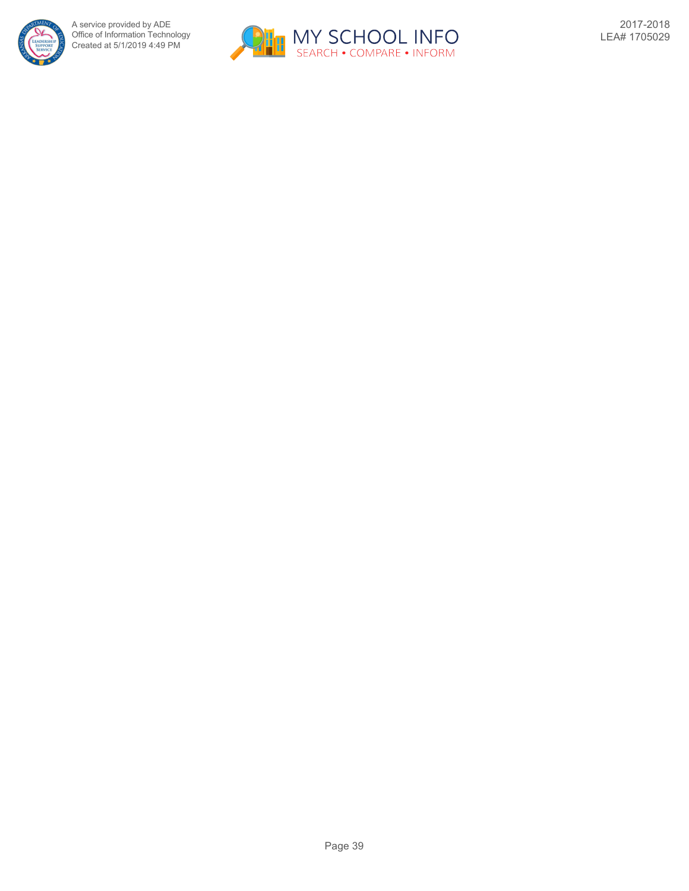

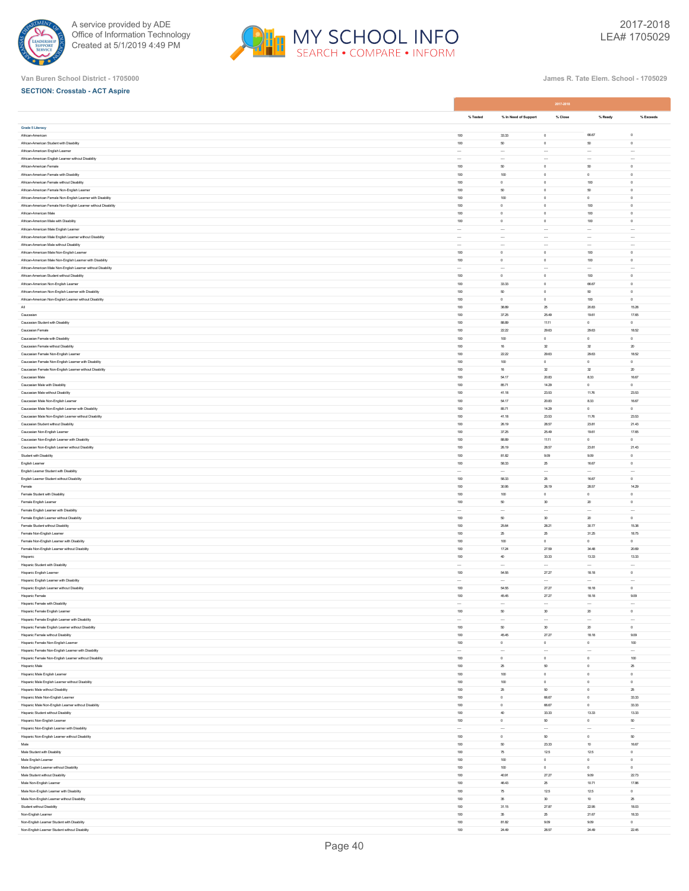



|                                                                                                               | 2017-2018                   |                          |                                     |                                     |                         |
|---------------------------------------------------------------------------------------------------------------|-----------------------------|--------------------------|-------------------------------------|-------------------------------------|-------------------------|
|                                                                                                               | % Tested                    | % In Need of Support     | % Close                             | % Ready                             | % Exceeds               |
| Grade 5 Literacy                                                                                              |                             |                          |                                     |                                     |                         |
| African-American                                                                                              | 100                         | 33.33                    | $\,$ 0 $\,$                         | 66.67                               | $\,$ 0 $\,$             |
| African-American Student with Disability                                                                      | 100                         | 60                       | $\,$ 0 $\,$                         | $_{50}$                             | $\,$ 0 $\,$             |
| African-American English Learner                                                                              |                             |                          | $\ddotsc$                           |                                     |                         |
| African-American English Learner without Disability                                                           | $\cdots$                    | $\sim$                   | $\cdots$                            | $\ddotsc$                           | $\cdots$                |
| African-American Female                                                                                       | $100\,$                     | $_{50}$                  | $\,$ 0                              | $_{\rm 50}$                         | $\,$ 0                  |
| African-American Female with Disability<br>African-American Female without Disability                         | 100<br>100                  | 100<br>$\,$ 0 $\,$       | $\,$ 0 $\,$<br>$\,$ 0 $\,$          | $\circ$<br>100                      | $\circ$<br>$\,$ 0 $\,$  |
| African-American Female Non-English Learner                                                                   | $100\,$                     | 60                       | $\,$ 0                              | $_{\rm 50}$                         | $\,$ 0 $\,$             |
| African-American Female Non-English Learner with Disability                                                   | 100                         | 100                      | $\circ$                             | $\circ$                             | $\circ$                 |
| African-American Female Non-English Learner without Disability                                                | 100                         | $\circ$                  | $\circ$                             | 100                                 | $\circ$                 |
| African-American Male                                                                                         | 100                         | $\,$ 0                   | $\,$ 0                              | 100                                 | $\,$ 0 $\,$             |
| African-American Male with Disability                                                                         | 100                         | $\circ$                  | $\circ$                             | 100                                 | $\circ$                 |
| African-American Male English Learner                                                                         | $\cdots$                    | $\sim$                   | $\ddotsc$                           |                                     | $\cdots$                |
| African-American Male English Learner without Disability<br>African-American Male without Disability          | $\ldots$                    | $\cdots$<br>$\cdots$     | $\cdots$<br>$\ddotsc$               | $\cdots$<br>$\cdots$                | $\cdots$<br>$\cdots$    |
| African-American Male Non-English Learner                                                                     | $\cdots$<br>$100\,$         | $\,$ 0                   | $\,$ 0                              | $100\,$                             | $\,0\,$                 |
| African-American Male Non-English Learner with Disability                                                     | 100                         | $\circ$                  | $\circ$                             | 100                                 | $\circ$                 |
| African-American Male Non-English Learner without Disability                                                  | $\cdots$                    | $\cdots$                 | $\cdots$                            | $\cdots$                            | $\cdots$                |
| African-American Student without Disability                                                                   | 100                         | $\circ$                  | $\circ$                             | 100                                 | $\circ$                 |
| African-American Non-English Learner                                                                          | 100                         | 33.33                    | $\circ$                             | 66.67                               | $\circ$                 |
| African-American Non-English Learner with Disability                                                          | $100\,$                     | $_{\rm 50}$              | $\,$ 0                              | $_{\rm 50}$                         | $\,$ 0 $\,$             |
| African-American Non-English Learner without Disability                                                       | 100                         | $\circ$                  | $\,$ 0 $\,$                         | 100                                 | $\circ$                 |
| $\mathsf{All}$                                                                                                | 100                         | 38.89                    | $\rm{2S}$                           | 20.83                               | 15.28                   |
| Caucasian<br>Caucasian Student with Disability                                                                | $100\,$<br>100              | 37.25<br>88.89           | 25.49<br>11.11                      | 19.61<br>$\circ$                    | 17.65<br>$\circ$        |
| Caucasian Female                                                                                              | 100                         | 22.22                    | 29.63                               | 29.63                               | 18.52                   |
| Caucasian Female with Disability                                                                              | 100                         | 100                      | $\,$ 0                              | $\,$ 0 $\,$                         | $\,$ 0 $\,$             |
| Caucasian Female without Disability                                                                           | 100                         | 16                       | $_{32}$                             | $\mathfrak V$                       | 20                      |
| Caucasian Female Non-English Learner                                                                          | $100\,$                     | 22.22                    | 29.63                               | 29.63                               | 18.52                   |
| Caucasian Female Non-English Learner with Disability                                                          | 100                         | 100                      | $\,$ 0                              | $\,$ 0 $\,$                         | $\,$ 0 $\,$             |
| Caucasian Female Non-English Learner without Disability                                                       | 100                         | 16                       | $_{32}$                             | $\mathfrak V$                       | $\rm{20}$               |
| Caucasian Male<br>Caucasian Male with Disability                                                              | $100\,$<br>100              | 54.17<br>85.71           | 20.83<br>14.29                      | 8.33                                | 16.67                   |
| Caucasian Male without Disability                                                                             | 100                         | 41.18                    | 23.53                               | $\circ$<br>11.76                    | $\circ$<br>23.53        |
| Caucasian Male Non-English Learner                                                                            | 100                         | 54.17                    | 20.83                               | 8.33                                | 16.67                   |
| Caucasian Male Non-English Learner with Disability                                                            | 100                         | 85.71                    | 14.29                               | $\circ$                             | $\circ$                 |
| Caucasian Male Non-English Learner without Disability                                                         | $100\,$                     | 41.18                    | 23.53                               | 11.76                               | 23.53                   |
| Caucasian Student without Disability                                                                          | 100                         | 26.19                    | 28.57                               | 23.81                               | 21.43                   |
| Caucasian Non-English Learner                                                                                 | 100                         | 37.25                    | 25.49                               | 19.61                               | 17.65                   |
| Caucasian Non-English Learner with Disability                                                                 | $100\,$                     | 88.89                    | 11.11                               | $\,$ 0 $\,$                         | $\,$ 0 $\,$             |
| Caucasian Non-English Learner without Disability                                                              | 100                         | 26.19                    | 28.57                               | 23.81                               | 21.43                   |
| Student with Disability                                                                                       | 100<br>100                  | 81.82<br>58.33           | 9.09<br>$\rm{2S}$                   | 9.09<br>16.67                       | $\circ$<br>$\,$ 0 $\,$  |
| English Learner<br>English Learner Student with Disability                                                    | $\cdots$                    | $\cdots$                 | $\cdots$                            | $\ddotsc$                           | $\cdots$                |
| English Learner Student without Disability                                                                    | $100\,$                     | 58.33                    | $\rm{2S}$                           | 16.67                               | $\,$ 0                  |
| Female                                                                                                        | 100                         | 30.95                    | 26.19                               | 28.57                               | 14.29                   |
| Female Student with Disability                                                                                | 100                         | 100                      | $\,$ 0 $\,$                         | $\,$ 0 $\,$                         | $\,$ 0 $\,$             |
| Female English Learner                                                                                        | 100                         | $_{\rm S0}$              | $_{30}$                             | $\rm 20$                            | $\,0\,$                 |
| Female English Learner with Disability                                                                        | $\cdots$                    | $\sim$                   | $\ddotsc$                           | $\cdots$                            | $\cdots$                |
| Female English Learner without Disability                                                                     | 100                         | 60                       | 30                                  | $\rm{20}$                           | $\,$ 0 $\,$             |
| Female Student without Disability<br>Female Non-English Learner                                               | 100<br>100                  | 25.64<br>$\rm{25}$       | 28.21<br>$\rm{2S}$                  | 30.77<br>31.25                      | 15.38<br>18.75          |
| Female Non-English Learner with Disability                                                                    | $100\,$                     | $100\,$                  | $\,$ 0                              | $\,$ 0 $\,$                         | $\,$ 0 $\,$             |
| Female Non-English Learner without Disability                                                                 | 100                         | 17.24                    | 27.59                               | 34.48                               | 20.69                   |
| Hispanic                                                                                                      | 100                         | 40                       | 33.33                               | 13.33                               | 13.33                   |
| Hispanic Student with Disability                                                                              | $\ddotsc$                   | $\overline{\phantom{a}}$ | $\cdots$                            | $\ddotsc$                           | $\ddotsc$               |
| Hispanic English Learner                                                                                      | 100                         | 54.55                    | 27.27                               | 18.18                               | $^{\circ}$              |
| Hispanic English Learner with Disability                                                                      | $\cdots$                    | $\cdots$                 | $\cdots$                            | $\cdots$                            | $\cdots$                |
| Hispanic English Learner without Disability<br>Hispanic Female                                                | 100<br>100                  | 54.55<br>45.45           | 27.27<br>27.27                      | 18.18<br>18.18                      | $\,$ 0 $\,$<br>9.09     |
| Hispanic Female with Disability                                                                               |                             |                          |                                     |                                     |                         |
| Hispanic Female English Learner                                                                               | 100                         | 60                       | 30                                  | 20                                  | $\,$ 0 $\,$             |
| Hispanic Female English Learner with Disability                                                               | $\cdots$                    | $\ldots$                 | $\cdots$                            | $\ldots$                            | $\cdots$                |
| Hispanic Female English Learner without Disability                                                            | $100\,$                     | $_{50}$                  | $_{\rm 30}$                         | $\rm{20}$                           | $\,$ 0                  |
| Hispanic Female without Disability                                                                            | 100                         | 45.45                    | 27.27                               | 18.18                               | 9.09                    |
| Hispanic Female Non-English Learner                                                                           | 100<br>$\sim$               | $\,$ 0 $\,$<br>$\sim$    | $\,$ 0 $\,$<br>$\ddot{\phantom{a}}$ | $\,$ 0 $\,$<br>$\ddot{\phantom{a}}$ | 100<br>$\sim$           |
| Hispanic Female Non-English Learner with Disability<br>Hispanic Female Non-English Learner without Disability | 100                         | $\circ$                  | $\circ$                             | $^{\circ}$                          | 100                     |
| Hispanic Male                                                                                                 | $100\,$                     | $\rm{25}$                | $_{50}$                             | $\,$ 0 $\,$                         | $\rm 25$                |
| Hispanic Male English Learner                                                                                 | 100                         | 100                      | $\,$ 0 $\,$                         | $\,$ 0                              | $\circ$                 |
| Hispanic Male English Learner without Disability                                                              | 100                         | 100                      | $\,$ 0 $\,$                         | $\,$ 0 $\,$                         | $\circ$                 |
| Hispanic Male without Disability                                                                              | $100\,$                     | $\rm{25}$                | $_{\rm 50}$                         | $\,$ 0 $\,$                         | $\rm 25$                |
| Hispanic Male Non-English Learner                                                                             | 100                         | $\circ$                  | 66.67                               | $\circ$                             | 33.33                   |
| Hispanic Male Non-English Learner without Disability                                                          | 100                         | $\circ$                  | 66.67                               | $\circ$                             | 33.33                   |
| Hispanic Student without Disability                                                                           | 100                         | 40<br>$\circ$            | 33.33                               | 13.33<br>$\circ$                    | 13.33                   |
| Hispanic Non-English Learner<br>Hispanic Non-English Learner with Disability                                  | 100<br>$\ddot{\phantom{0}}$ | $\overline{\phantom{a}}$ | 50<br>                              | $\ddot{\phantom{a}}$                | 60                      |
| Hispanic Non-English Learner without Disability                                                               | 100                         | $\,$ 0                   | 50                                  | $\,$ 0 $\,$                         | $_{50}$                 |
| Male                                                                                                          | 100                         | 60                       | 23.33                               | $10\,$                              | 16.67                   |
| Male Student with Disability                                                                                  | 100                         | $75\,$                   | 12.5                                | 12.5                                | $\,$ 0                  |
| Male English Learner                                                                                          | 100                         | 100                      | $\circ$                             | $\circ$                             | $^{\circ}$              |
| Male English Learner without Disability                                                                       | 100                         | 100                      | $\,$ 0 $\,$                         | $\,$ 0 $\,$                         | $\,$ 0 $\,$             |
| Male Student without Disability                                                                               | 100                         | 40.91                    | 27.27                               | 9.09                                | 22.73                   |
| Male Non-English Learner                                                                                      | 100                         | 46.43                    | 25                                  | 10.71                               | 17.86                   |
| Male Non-English Learner with Disability<br>Male Non-English Learner without Disability                       | $100\,$<br>100              | $75\,$<br>$36\,$         | $12.5\,$<br>30                      | 12.5<br>10                          | $\,$ 0 $\,$<br>$\rm 25$ |
| Student without Disability                                                                                    | 100                         | 31.15                    | 27.87                               | 22.95                               | 18.03                   |
| Non-English Learner                                                                                           | 100                         | $\mathbf{35}$            | $\rm{2S}$                           | 21.67                               | 18.33                   |
| Non-English Learner Student with Disability                                                                   | 100                         | 81.82                    | 9.09                                | 9.09                                | $\circ$                 |
| Non-English Learner Student without Disability                                                                | 100                         | 24.49                    | 28.57                               | 24.49                               | 22.45                   |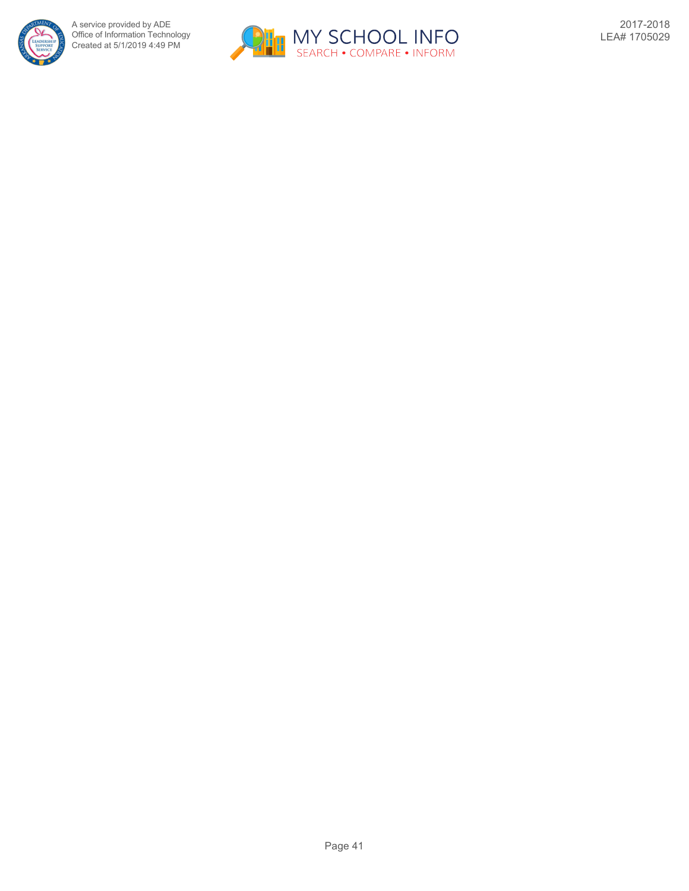

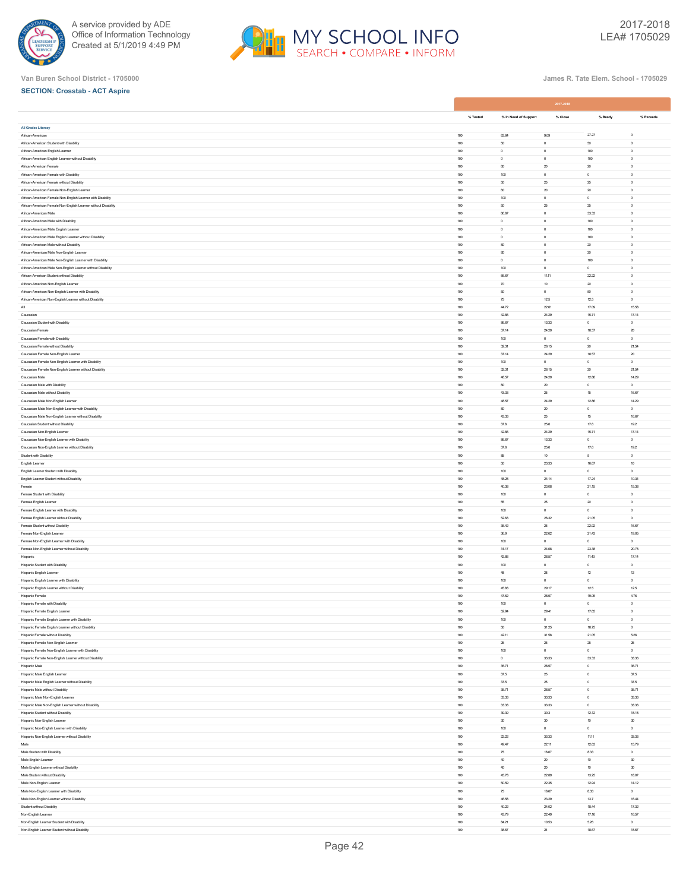



|                                                                                               |                |                      | 2017-2018          |                            |                           |
|-----------------------------------------------------------------------------------------------|----------------|----------------------|--------------------|----------------------------|---------------------------|
|                                                                                               | % Tested       | % In Need of Support | % Close            | % Ready                    | % Exceeds                 |
| <b>All Grades Literacy</b>                                                                    |                |                      |                    |                            |                           |
| African-American                                                                              | $100\,$        | 63.64                | 9.09               | 27.27                      | $\,$ 0 $\,$               |
| African-American Student with Disability                                                      | 100            | $_{50}$              | $\,$ 0 $\,$        | $_{\rm 50}$                | $\mathbb O$               |
| African-American English Learner                                                              | 100            | $\,$ 0 $\,$          | $\mathbf 0$        | 100                        | $\,$ 0 $\,$               |
| African-American English Learner without Disability                                           | $100\,$        | $\,$ 0 $\,$          | $\,$ 0 $\,$        | 100                        | $\,$ 0                    |
| African-American Female                                                                       | 100            | 60                   | 20                 | 20                         | $\circ$                   |
| African-American Female with Disability                                                       | 100            | 100                  | $\,$ 0 $\,$        | $\,$ 0 $\,$                | $\,$ 0 $\,$               |
| African-American Female without Disability                                                    | 100            | 60                   | $\rm{2S}$          | $\rm 25$                   | $\,$ 0 $\,$               |
| African-American Female Non-English Learner                                                   | 100            | $60$                 | $\rm{20}$          | $\rm{20}$                  | $\mathbb O$               |
| African-American Female Non-English Learner with Disability                                   | $100\,$        | 100                  | $\,$ 0 $\,$        | $\,$ 0 $\,$                | $\,$ 0 $\,$               |
| African-American Female Non-English Learner without Disability                                | 100            | $_{50}$              | $\rm{2S}$          | $\rm{25}$                  | $\mathbb O$               |
| African-American Male                                                                         | 100            | 66.67                | $\,0\,$            | 33.33                      | $\,$ 0 $\,$               |
| African-American Male with Disability                                                         | $100\,$        | $\,$ 0 $\,$          | $\,$ 0 $\,$        | 100                        | $\,$ 0                    |
| African-American Male English Learner                                                         | 100            | $^{\circ}$           | $\circ$            | 100                        | $^{\circ}$                |
| African-American Male English Learner without Disability                                      | 100            | $\,0\,$              | $\,$ 0 $\,$        | 100                        | $\,$ 0 $\,$               |
| African-American Male without Disability                                                      | 100            | 80                   | $\,$ 0 $\,$        | $\rm{20}$                  | $\,$ 0 $\,$               |
| African-American Male Non-English Learner                                                     | 100            | 80                   | $\circ$            | $\rm{20}$                  | $\mathbf{0}$              |
| African-American Male Non-English Learner with Disability                                     | $100\,$        | $\,$ 0 $\,$          | $\,$ 0 $\,$        | 100                        | $\,$ 0                    |
| African-American Male Non-English Learner without Disability                                  | 100            | 100                  | $\,$ 0 $\,$        | $\,$ 0 $\,$                | $\,$ 0 $\,$               |
| African-American Student without Disability                                                   | 100            | 66.67                | 11.11              | 22.22                      | $\,$ 0 $\,$               |
| African-American Non-English Learner                                                          | $100\,$        | $70\,$               | $10$               | $\rm{20}$                  | $\,$ 0                    |
| African-American Non-English Learner with Disability                                          | 100            | $_{50}$<br>$75\,$    | $\mathbf 0$        | $_{\rm 50}$                | $\mathbb O$               |
| African-American Non-English Learner without Disability<br>All                                | 100            | 44.72                | 12.5<br>22.61      | 12.5                       | $\,$ 0 $\,$               |
| Caucasian                                                                                     | 100<br>100     | 42.86                | 24.29              | 17.09<br>15.71             | 15.58<br>17.14            |
| Caucasian Student with Disability                                                             | $100\,$        | 86.67                | 13.33              | $\,$ 0 $\,$                | $\,$ 0 $\,$               |
| Caucasian Female                                                                              | 100            | 37.14                | 24.29              | 18.57                      | $\rm{20}$                 |
| Caucasian Female with Disability                                                              | 100            | 100                  | $\mathbf 0$        | $\,$ 0 $\,$                | $\,$ 0 $\,$               |
| Caucasian Female without Disability                                                           | $100\,$        | 32.31                | 26.15              | $\rm{20}$                  | 21.54                     |
| Caucasian Female Non-English Learner                                                          | 100            | 37.14                | 24.29              | 18.57                      | $\rm{20}$                 |
| Caucasian Female Non-English Learner with Disability                                          | 100            | 100                  | $\,0\,$            | $\mathbb O$                | $\mathbb O$               |
| Caucasian Female Non-English Learner without Disability                                       | 100            | 32.31                | 26.15              | $\rm{20}$                  | 21.54                     |
| Caucasian Male                                                                                | 100            | 48.57                | 24.29              | 12.86                      | 14.29                     |
| Caucasian Male with Disability                                                                | $100\,$        | $_{80}$              | $\rm{20}$          | $\,$ 0                     | $\,$ 0                    |
| Caucasian Male without Disability                                                             | 100            | 43.33                | $\rm{2S}$          | $15\,$                     | 16.67                     |
| Caucasian Male Non-English Learner                                                            | 100            | 48.57                | 24.29              | 12.86                      | 14.29                     |
| Caucasian Male Non-English Learner with Disability                                            | $100\,$        | $_{80}$              | $\rm{20}$          | $\,$ 0 $\,$                | $\,$ 0 $\,$               |
| Caucasian Male Non-English Learner without Disability                                         | 100            | 43.33                | 25                 | $15\,$                     | 16.67                     |
| Caucasian Student without Disability                                                          | 100            | 37.6                 | 25.6               | 17.6                       | 19.2                      |
| Caucasian Non-English Learner                                                                 | 100            | 42.86                | 24.29              | 15.71                      | 17.14                     |
| Caucasian Non-English Learner with Disability                                                 | 100            | 86.67                | 13.33              | $\circ$                    | $\circ$                   |
| Caucasian Non-English Learner without Disability                                              | $100\,$        | 37.6                 | 25.6               | 17.6                       | 19.2                      |
| Student with Disability                                                                       | 100            | 85                   | $10$               | $\,$ 5                     | $\mathbb O$               |
| English Learner                                                                               | 100            | 60                   | 23.33              | 16.67                      | $10\,$                    |
| English Learner Student with Disability                                                       | $100\,$        | 100                  | $\,$ 0 $\,$        | $\,$ 0 $\,$                | $\,$ 0 $\,$               |
| English Learner Student without Disability                                                    | 100            | 48.28                | 24.14              | 17.24                      | 10.34                     |
| Female                                                                                        | 100            | 40.38                | 23.08              | 21.15                      | 15.38                     |
| Female Student with Disability                                                                | 100<br>100     | 100<br>65            | $\,$ 0 $\,$<br>25  | $\,$ 0 $\,$<br>$\rm{20}$   | $\,$ 0 $\,$<br>$^{\circ}$ |
| Female English Learner<br>Female English Learner with Disability                              | $100\,$        | 100                  | $\,$ 0 $\,$        | $\,$ 0                     | $\,$ 0                    |
| Female English Learner without Disability                                                     | 100            | 52.63                | 26.32              | 21.05                      | $\,$ 0 $\,$               |
| Female Student without Disability                                                             | 100            | 35.42                | $\rm{2S}$          | 22.92                      | 16.67                     |
| Female Non-English Learner                                                                    | $100\,$        | 36.9                 | 22.62              | 21.43                      | 19.05                     |
| Female Non-English Learner with Disability                                                    | 100            | 100                  | $\mathbf 0$        | $\circ$                    | $\mathbb O$               |
| Female Non-English Learner without Disability                                                 | 100            | 31.17                | 24.68              | 23.38                      | 20.78                     |
| Hispanic                                                                                      | 100            | 42.86                | 28.57              | 11.43                      | 17.14                     |
| Hispanic Student with Disability                                                              | 100            | 100                  | $\circ$            | $\circ$                    | $^{\circ}$                |
| Hispanic English Learner                                                                      | $100\,$        | $48\,$               | $_{\rm 28}$        | $\mathbf{12}$              | $\mathbf{12}$             |
| Hispanic English Learner with Disability                                                      | 100            | 100                  | $\circ$            | $^{\circ}$                 | $^{\circ}$                |
| Hispanic English Learner without Disability                                                   |                |                      |                    | 12.5                       | 12.5                      |
|                                                                                               | 100            | 45.83                | 29.17              |                            |                           |
| Hispanic Female                                                                               | $100\,$        | 47.62                | 28.57              | 19.05                      | 4.76                      |
| Hispanic Female with Disability                                                               | 100            | 100                  | $\circ$            | $^{\circ}$                 | $^{\circ}$                |
| Hispanic Female English Learner                                                               | 100            | 52.94                | 29.41              | 17.65                      | $\circ$                   |
| Hispanic Female English Learner with Disability                                               | 100            | 100                  | $\mathbf 0$        | $\mathbb O$                | $\mathbb O$               |
| Hispanic Female English Learner without Disability                                            | 100            | 50                   | 31.25              | 18.75                      | $\ddot{\phantom{0}}$      |
| Hispanic Female without Disability                                                            | $100\,$        | 42.11                | 31.58              | 21.06                      | $_{\rm 5.26}$             |
| Hispanic Female Non-English Learner                                                           | 100            | $\rm{25}$            | $\rm{2S}$          | $\rm 25$                   | $\rm 25$                  |
| Hispanic Female Non-English Learner with Disability                                           | 100            | 100                  | $\,$ 0 $\,$        | $\,$ 0 $\,$                | $\,$ 0 $\,$               |
| Hispanic Female Non-English Learner without Disability                                        | $100\,$        | $\,0\,$              | 33.33              | 33.33                      | 33.33                     |
| Hispanic Male                                                                                 | 100            | 35.71                | 28.57              | $\circ$                    | 35.71                     |
| Hispanic Male English Learner                                                                 | 100            | 37.5                 | $\rm{2S}$          | $\,$ 0 $\,$                | 37.5                      |
| Hispanic Male English Learner without Disability<br>Hispanic Male without Disability          | 100<br>100     | 37.5<br>35.71        | $\rm{2S}$<br>28.57 | $\mathbb O$<br>$\mathbb O$ | 37.5<br>35.71             |
|                                                                                               |                |                      |                    |                            |                           |
| Hispanic Male Non-English Learner<br>Hispanic Male Non-English Learner without Disability     | $100\,$<br>100 | 33.33<br>33.33       | 33.33<br>33.33     | $\,$ 0 $\,$<br>$\mathbb O$ | 33.33<br>33.33            |
| Hispanic Student without Disability                                                           | 100            | 39.39                | 30.3               | 12.12                      | 18.18                     |
| Hispanic Non-English Learner                                                                  | $100\,$        | $_{30}$              | $_{30}$            | $10\,$                     | $_{\rm 30}$               |
| Hispanic Non-English Learner with Disability                                                  | 100            | 100                  | $\circ$            | $^{\circ}$                 | $^{\circ}$                |
| Hispanic Non-English Learner without Disability                                               | 100            | 22.22                | 33.33              | 11.11                      | 33.33                     |
| Male                                                                                          | 100            | 49.47                | 22.11              | 12.63                      | 15.79                     |
| Male Student with Disability                                                                  | 100            | 75                   | 16.67              | 8.33                       | $^{\circ}$                |
| Male English Learner                                                                          | $100\,$        | $40$                 | $\rm{20}$          | $10\,$                     | $_{\rm 30}$               |
| Male English Learner without Disability                                                       | 100            | 40                   | $\rm{20}$          | $10\,$                     | $30\,$                    |
| Male Student without Disability                                                               | 100            | 45.78                | 22.89              | 13.25                      | 18.07                     |
| Male Non-English Learner                                                                      | $100\,$        | 50.59                | 22.35              | 12.94                      | 14.12                     |
| Male Non-English Learner with Disability                                                      | 100            | 75                   | 16.67              | 8.33                       | $\circ$                   |
| Male Non-English Learner without Disability                                                   | 100            | 46.58                | 23.29              | 13.7                       | 16.44                     |
| Student without Disability                                                                    | 100            | 40.22                | 24.02              | 18.44                      | 17.32                     |
| Non-English Learner                                                                           | 100            | 43.79                | 22.49              | 17.16                      | 16.57                     |
| Non-English Learner Student with Disability<br>Non-English Learner Student without Disability | $100\,$<br>100 | 84.21<br>38.67       | 10.53<br>$24\,$    | $_{\rm 5.26}$<br>18.67     | $\,$ 0 $\,$<br>18.67      |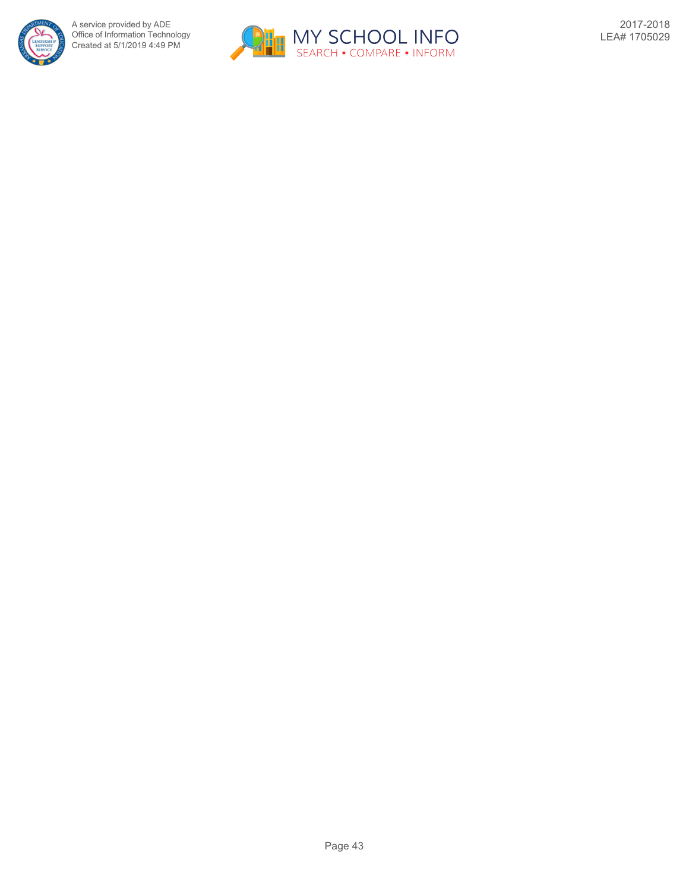

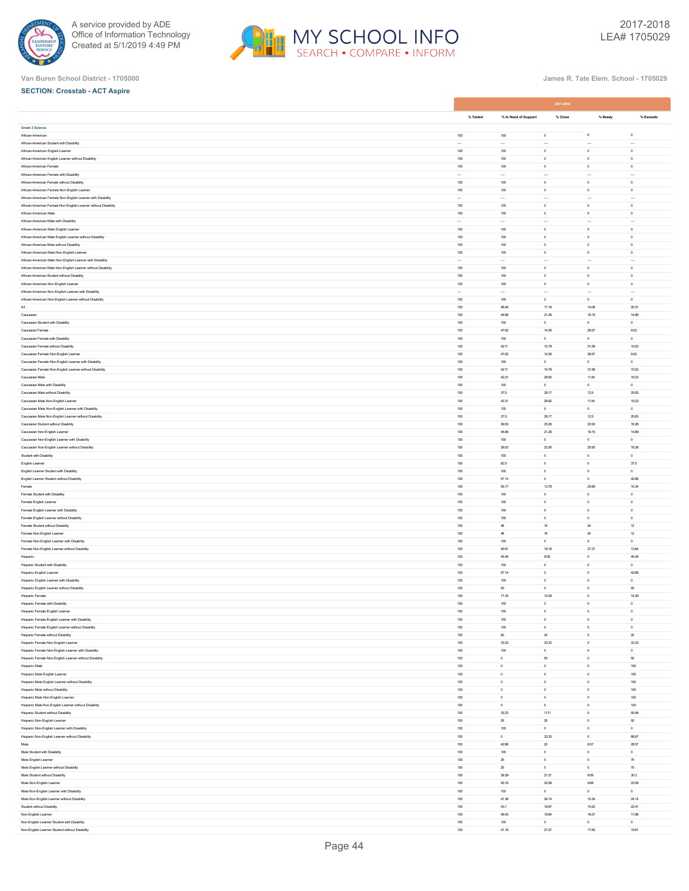



|                                                                                |            |                      | 2017-2018                |                      |                        |
|--------------------------------------------------------------------------------|------------|----------------------|--------------------------|----------------------|------------------------|
|                                                                                | % Tested   | % In Need of Support | % Close                  | % Ready              | % Exceeds              |
|                                                                                |            |                      |                          |                      |                        |
| Grade 3 Science                                                                |            |                      | $\overline{0}$           | $\,$ 0 $\,$          | $\,$ 0 $\,$            |
| African-American<br>African-American Student with Disability                   | 100        | 100                  |                          |                      |                        |
|                                                                                | $\cdots$   | $\cdots$<br>100      | $\cdots$                 | $\cdots$             | $\cdots$               |
| African-American English Learner                                               | 100<br>100 | 100                  | $\,$ 0<br>$\overline{0}$ | $\,0\,$<br>$\circ$   | $\,0\,$<br>$\,$ 0 $\,$ |
| African-American English Learner without Disability<br>African-American Female | 100        | 100                  | $\,$ 0                   | $\,$ 0               | $\,$ 0                 |
| African-American Female with Disability                                        | $\sim$     | $\sim$               | $\cdots$                 | $\sim$               | $\sim$                 |
| African-American Female without Disability                                     | 100        | 100                  | $\,$ 0                   | $\,$ 0 $\,$          | $\,$ 0 $\,$            |
| African-American Female Non-English Learner                                    | 100        | 100                  | $\,$ 0                   | $\,$ 0               | $\,$ 0                 |
| African-American Female Non-English Learner with Disability                    | $\cdots$   | $\cdots$             | $\cdots$                 | $\cdots$             | $\cdots$               |
| African-American Female Non-English Learner without Disability                 | 100        | 100                  | $\,$ 0                   | $\,$ 0 $\,$          | $\,$ 0                 |
| African-American Male                                                          | 100        | 100                  | $\,$ 0                   | $\,$ 0               | $\,$ 0                 |
| African-American Male with Disability                                          | $\cdots$   | $\cdots$             | $\cdots$                 | $\cdots$             | $\cdots$               |
| African-American Male English Learner                                          | 100        | 100                  | $\,$ 0 $\,$              | $\,$ 0               | $\,$ 0                 |
| African-American Male English Learner without Disability                       | 100        | 100                  | $\circ$                  | $\circ$              | $\circ$                |
| African-American Male without Disability                                       | 100        | 100                  | $\,$ 0                   | $\,$ 0               | $\,$ 0                 |
| African-American Male Non-English Learner                                      | 100        | 100                  | $\,$ 0                   | $\,$ 0               | $\,$ 0                 |
| African-American Male Non-English Learner with Disability                      | $\cdots$   | $\cdots$             | $\overline{\phantom{a}}$ | $\cdots$             | $\cdots$               |
| African-American Male Non-English Learner without Disability                   | 100        | 100                  | $\circ$                  | $\circ$              | $\circ$                |
| African-American Student without Disability                                    | 100        | 100                  | $\,$ 0                   | $\,0\,$              | $\,0\,$                |
| African-American Non-English Learner                                           | 100        | 100                  | $\overline{0}$           | $\circ$              | $\,$ 0 $\,$            |
| African-American Non-English Learner with Disability                           |            |                      | $\sim$                   | $\ddot{\phantom{a}}$ |                        |
| African-American Non-English Learner without Disability                        | 100        | 100                  | $\,$ 0                   | $\circ$              | $\,0\,$                |
| $\mathsf{All}$                                                                 | 100        | 48.44                | 17.19                    | 14.06                | 20.31                  |
| Caucasian                                                                      | 100        | 44.68                | 21.28                    | 19.15                | 14.89                  |
| Caucasian Student with Disability                                              | 100        | 100                  | $\overline{0}$           | $\circ$              | $\,$ 0                 |
| Caucasian Female                                                               | 100        | 47.62                | 14.29                    | 28.57                | 9.52                   |
| Caucasian Female with Disability                                               | 100        | 100                  | $\circ$                  | $\circ$              | $\circ$                |
| Caucasian Female without Disability                                            | 100        | 42.11                | 15.79                    | 31.58                | 10.53                  |
|                                                                                |            |                      |                          |                      |                        |
| Caucasian Female Non-English Learner                                           | 100        | 47.62                | 14.29                    | 28.57                | $9.52\,$               |
| Caucasian Female Non-English Learner with Disability                           | 100        | 100                  | $\,$ 0                   | $\,$ 0               | $\,$ 0                 |
| Caucasian Female Non-English Learner without Disability                        | 100        | 42.11                | 15.79                    | 31.58                | 10.53                  |
| Caucasian Male                                                                 | 100        | 42.31                | 26.92                    | 11.54                | 19.23                  |
| Caucasian Male with Disability                                                 | 100        | 100                  | $\overline{0}$           | $\circ$              | $\circ$                |
| Caucasian Male without Disability                                              | 100        | 37.5                 | 29.17                    | 12.5                 | 20.83                  |
| Caucasian Male Non-English Learner                                             | 100        | 42.31                | 26.92                    | 11.54                | 19.23                  |
| Caucasian Male Non-English Learner with Disability                             | 100        | 100                  | $\overline{0}$           | $\circ$              | $\circ$                |
| Caucasian Male Non-English Learner without Disability                          | 100        | $37.5\,$             | 29.17                    | 12.5                 | 20.83                  |
| Caucasian Student without Disability                                           | 100        | 39.53                | 23.26                    | 20.93                | 16.28                  |
| Caucasian Non-English Learner                                                  | 100        | 44.68                | 21.28                    | 19.15                | 14.89                  |
| Caucasian Non-English Learner with Disability                                  | 100        | 100                  | $\,$ 0                   | $\circ$              | $\mathbb O$            |
| Caucasian Non-English Learner without Disability                               | 100        | 39.53                | 23.26                    | 20.93                | 16.28                  |
| Student with Disability                                                        | 100        | 100                  | $\,$ 0                   | $\,$ 0 $\,$          | $\,$ 0 $\,$            |
| English Learner                                                                | 100        | 62.5                 | $\,$ 0                   | $\,$ 0               | 37.5                   |
| English Learner Student with Disability                                        | 100        | 100                  | $\circ$                  | $\circ$              | $\circ$                |
| English Learner Student without Disability                                     | 100        | 57.14                | $\,$ 0                   | $\,$ 0               | 42.86                  |
| Female                                                                         | 100        | 55.17                | 13.79                    | 20.69                | 10.34                  |
| Female Student with Disability                                                 | 100        | 100                  | $\,$ 0                   | $\,$ 0 $\,$          | $\,$ 0 $\,$            |
| Female English Learner                                                         | 100        | 100                  | $\,$ 0                   | $\,$ 0               | $\,$ 0                 |
| Female English Learner with Disability                                         | 100        | 100                  | $\overline{0}$           | $\circ$              | $\circ$                |
| Female English Learner without Disability                                      | 100        | 100                  | $\circ$                  | $\circ$              | $\,$ 0                 |
| Female Student without Disability                                              | 100        | 48                   | $16\,$                   | $24\,$               | $12\,$                 |
| Female Non-English Learner                                                     | 100        | 48                   | $16\,$                   | $24\,$               | 12                     |
| Female Non-English Learner with Disability                                     | 100        | 100                  | $\,$ 0                   | $\,$ 0               | $\,$ 0                 |
| Female Non-English Learner without Disability                                  | 100        | 40.91                | 18.18                    | 27.27                | 13.64                  |
| Hispanic                                                                       | 100        | 45.45                | 9.09                     | $\,$ 0               | 45.45                  |
| Hispanic Student with Disability                                               | 100        | 100                  | $\bf{0}$                 | $\circ$              | $\circ$                |
| Hispanic English Learner                                                       | 100        | 57.14                | $\circ$                  | $\circ$              | 42.86                  |
| Hispanic English Learner with Disability                                       | 100        | 100                  | $\,$ 0                   | $\,$ 0               | $\,$ 0                 |
| Hispanic English Learner without Disability                                    | 100        | 50                   | $\circ$                  | $\circ$              | 50                     |
| Hispanic Female                                                                | 100        | 71.43                | 14.29                    | $\,$ 0               | 14.29                  |
| Hispanic Female with Disability                                                | 100        | 100                  | $\,$ 0 $\,$              | $\,$ 0               | $\,$ 0                 |
| Hispanic Female English Learne                                                 | 100        | 100                  | $\circ$                  | $\circ$              | $\,$ 0                 |
| Hispanic Female English Learner with Disability                                | 100        | 100                  | $\circ$                  | $\,$ 0               | $\,$ 0                 |
| Hispanic Female English Learner without Disability                             | 100        | 100                  | $\,$ 0                   | $\,$ 0               | $\,$ 0                 |
| Hispanic Female without Disability                                             | 100        | 60                   | 20                       | $\circ$              | 20                     |
| Hispanic Female Non-English Learner                                            | 100        | 33.33                | 33.33                    | $\,$ 0               | 33.33                  |
| Hispanic Female Non-English Learner with Disability                            | 100        | 100                  | $\,$ 0                   | $\,0\,$              | $\,0\,$                |
| Hispanic Female Non-English Learner without Disability                         | 100        | $\circ$              | 60                       | $\circ$              | 60                     |
| Hispanic Male                                                                  | 100        | $\,$ 0 $\,$          | $\,$ 0                   | $\,$ 0               | 100                    |
| Hispanic Male English Learner                                                  | 100        | $\circ$              | $\circ$                  | $\circ$              | 100                    |
| Hispanic Male English Learner without Disability                               | 100        | $\,$ 0 $\,$          | $\,$ 0                   | $\,$ 0               | 100                    |
| Hispanic Male without Disability                                               | 100        | $\,$ 0 $\,$          | $\,$ 0 $\,$              | $\,$ 0               | 100                    |
| Hispanic Male Non-English Learner                                              | 100        | $\circ$              | $\,$ 0                   | $\circ$              | 100                    |
| Hispanic Male Non-English Learner without Disability                           | 100        | $\,$ 0 $\,$          | $\,$ 0                   | $\,$ 0               | 100                    |
| Hispanic Student without Disability                                            | 100        | 33.33                | 11.11                    | $\,$ 0               | 55.56                  |
| Hispanic Non-English Learner                                                   | 100        | $\rm{25}$            | 25                       | $\circ$              | 50                     |
| Hispanic Non-English Learner with Disability                                   | 100        | 100                  | $\,$ 0                   | $\,$ 0 $\,$          | $\,$ 0                 |
| Hispanic Non-English Learner without Disability                                | 100        | $\,0\,$              | 33.33                    | $\circ$              | 66.67                  |
| Male                                                                           | 100        | 42.86                | $20\,$                   | 8.57                 | 28.57                  |
| Male Student with Disability                                                   | 100        | 100                  | $\,$ 0                   | $\,$ 0               | $\,$ 0                 |
| Male English Learner                                                           | 100        | $\mathbf{z}$         | $\overline{0}$           | $\circ$              | 75                     |
| Male English Learner without Disability                                        | 100        | $\rm{z}\rm{s}$       | $\,$ 0                   | $\,$ 0 $\,$          | $75\,$                 |
| Male Student without Disability                                                | 100        | 39.39                | 21.21                    | 9.09                 | 30.3                   |
| Male Non-English Learner                                                       | 100        | 45.16                | 22.58                    | 9.68                 | 22.58                  |
| Male Non-English Learner with Disability                                       | 100        | 100                  | $\,$ 0 $\,$              | $\,$ 0 $\,$          | $\,$ 0 $\,$            |
|                                                                                | 100        | 41.38                | 24.14                    | 10.34                | 24.14                  |
| Male Non-English Learner without Disability<br>Student without Disability      | 100        | 43.1                 | 18.97                    | 15.52                | 22.41                  |
| Non-English Learner                                                            | 100        | 46.43                | 19.64                    | 16.07                | 17.86                  |
| Non-English Learner Student with Disability                                    | 100        | 100                  | $\circ$                  | $\circ$              | $\circ$                |
| Non-English Learner Student without Disability                                 | 100        | 41.18                | 21.57                    | 17.65                | 19.61                  |
|                                                                                |            |                      |                          |                      |                        |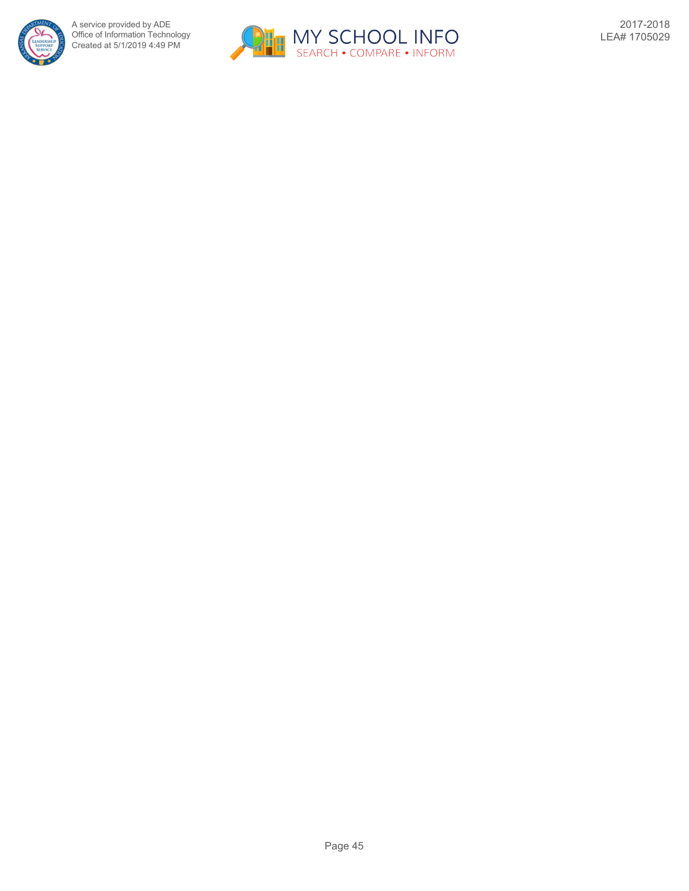

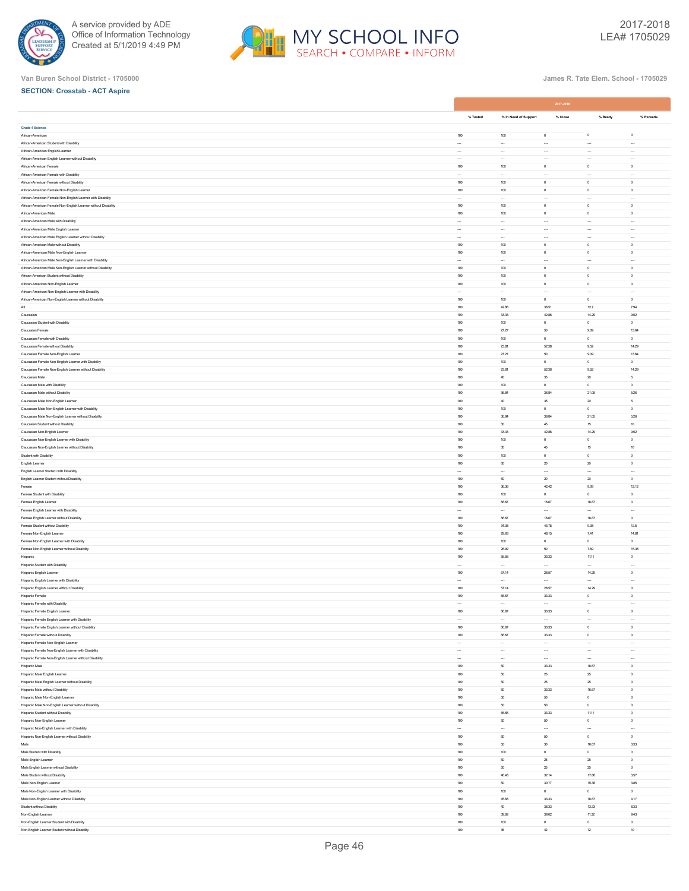



|                                                                                                                           |                     |                      | 2017-2018                  |                         |                                     |
|---------------------------------------------------------------------------------------------------------------------------|---------------------|----------------------|----------------------------|-------------------------|-------------------------------------|
|                                                                                                                           | % Tested            | % In Need of Support | % Close                    | % Ready                 | % Exceeds                           |
| Grade 4 Science                                                                                                           |                     |                      |                            |                         |                                     |
| African-American                                                                                                          | 100                 | 100                  | $\,$ 0 $\,$                | $\,$ 0                  | $\,$ 0 $\,$                         |
| African-American Student with Disability                                                                                  | $\cdots$            | $\cdots$             | $\ddotsc$                  | $\cdots$                |                                     |
| African-American English Learner                                                                                          | $\cdots$            | $\cdots$             | $\ddotsc$                  | $\cdots$                | $\cdots$                            |
| African-American English Learner without Disability                                                                       | $\cdots$            | $\cdots$             | $\cdots$                   | $\cdots$                | $\cdots$                            |
| African-American Female                                                                                                   | 100                 | 100                  | $\,$ 0 $\,$                | $\,$ 0 $\,$             | $\,$ 0 $\,$                         |
| African-American Female with Disability                                                                                   | $\cdots$            | $\cdots$             | $\ddotsc$                  | $\cdots$<br>$\,$ 0      | $\cdots$<br>$\,$ 0                  |
| African-American Female without Disability<br>African-American Female Non-English Learner                                 | $100\,$<br>100      | $100\,$<br>100       | $\,$ 0 $\,$<br>$\,$ 0 $\,$ | $\,$ 0 $\,$             | $\,$ 0 $\,$                         |
| African-American Female Non-English Learner with Disability                                                               | $\cdots$            | $\ddotsc$            | $\cdots$                   | $\cdots$                | $\cdots$                            |
| African-American Female Non-English Learner without Disability                                                            | $100\,$             | $100\,$              | $\,$ 0 $\,$                | $\,$ 0                  | $\,$ 0                              |
| African-American Male                                                                                                     | 100                 | 100                  | $\circ$                    | $\circ$                 | $\circ$                             |
| African-American Male with Disability                                                                                     | $\cdots$            | $\ddotsc$            | $\cdots$                   | $\cdots$                | $\cdots$                            |
| African-American Male English Learner                                                                                     |                     | $\sim$               | $\ddot{\phantom{a}}$       |                         |                                     |
| African-American Male English Learner without Disability                                                                  | $\cdots$            | $\cdots$             | $\ddotsc$                  | $\cdots$                | $\cdots$                            |
| African-American Male without Disability                                                                                  | $100\,$             | 100                  | $\,$ 0 $\,$                | $\,$ 0 $\,$             | $\,$ 0 $\,$                         |
| African-American Male Non-English Learner                                                                                 | 100                 | 100                  | $\,$ 0 $\,$                | $\,$ 0 $\,$             | $\,$ 0 $\,$                         |
| African-American Male Non-English Learner with Disability<br>African-American Male Non-English Learner without Disability | $\cdots$<br>$100\,$ | $\cdots$<br>$100\,$  | $\cdots$<br>$\,$ 0 $\,$    | $\cdots$<br>$\,$ 0 $\,$ | $\cdots$<br>$\,$ 0 $\,$             |
| African-American Student without Disability                                                                               | 100                 | 100                  | $\circ$                    | $^{\circ}$              | $^{\circ}$                          |
| African-American Non-English Learner                                                                                      | 100                 | 100                  | $\,$ 0 $\,$                | $\,$ 0 $\,$             | $\,$ 0 $\,$                         |
| African-American Non-English Learner with Disability                                                                      | $\ddotsc$           | $\ddotsc$            | $\ddotsc$                  | $\cdots$                | $\cdots$                            |
| African-American Non-English Learner without Disability                                                                   | 100                 | 100                  | $\circ$                    | $\circ$                 | $\circ$                             |
| $\mathsf{All}$                                                                                                            | $100\,$             | 42.86                | 36.51                      | 12.7                    | 7.94                                |
| Caucasian                                                                                                                 | 100                 | 33.33                | 42.86                      | 14.29                   | 9.52                                |
| Caucasian Student with Disability                                                                                         | 100                 | 100                  | $\,$ 0 $\,$                | $\,$ 0 $\,$             | $\,$ 0 $\,$                         |
| Caucasian Female                                                                                                          | $100\,$             | 27.27                | $_{\rm S0}$                | 9.09                    | 13.64                               |
| Caucasian Female with Disability                                                                                          | 100                 | 100                  | $\mathbf 0$                | $\mathbb O$             | $\circ$                             |
| Caucasian Female without Disability<br>Caucasian Female Non-English Learner                                               | 100<br>100          | 23.81<br>27.27       | 52.38<br>$_{50}$           | 9.52<br>9.09            | 14.29<br>13.64                      |
| Caucasian Female Non-English Learner with Disability                                                                      | 100                 | 100                  | $\circ$                    | $\mathbb O$             | $\mathbb O$                         |
| Caucasian Female Non-English Learner without Disability                                                                   | $100\,$             | 23.81                | 52.38                      | 9.52                    | 14.29                               |
| Caucasian Male                                                                                                            | 100                 | $40\,$               | $36\,$                     | $\rm{20}$               | $\sqrt{5}$                          |
| Caucasian Male with Disability                                                                                            | 100                 | 100                  | $\,$ 0 $\,$                | $\,$ 0 $\,$             | $\,$ 0 $\,$                         |
| Caucasian Male without Disability                                                                                         | $100\,$             | 36.84                | 36.84                      | 21.06                   | $_{\rm 5.26}$                       |
| Caucasian Male Non-English Learner                                                                                        | 100                 | 40                   | 36                         | $\rm{20}$               | $\overline{5}$                      |
| Caucasian Male Non-English Learner with Disability                                                                        | 100                 | 100                  | $\mathbf 0$                | $\,$ 0 $\,$             | $\,$ 0 $\,$                         |
| Caucasian Male Non-English Learner without Disability                                                                     | 100                 | 36.84                | 36.84                      | 21.05                   | 5.26                                |
| Caucasian Student without Disability                                                                                      | 100                 | 30                   | 45                         | 15                      | 10                                  |
| Caucasian Non-English Learner<br>Caucasian Non-English Learner with Disability                                            | $100\,$<br>100      | 33.33<br>100         | 42.86<br>$\,$ 0 $\,$       | 14.29<br>$\,$ 0 $\,$    | $9.52\,$<br>$\,$ 0 $\,$             |
| Caucasian Non-English Learner without Disability                                                                          | 100                 | 30                   | $45\,$                     | 15                      | $10\,$                              |
| Student with Disability                                                                                                   | $100\,$             | $100\,$              | $\,$ 0 $\,$                | $\,$ 0                  | $\,$ 0                              |
| English Learner                                                                                                           | 100                 | 60                   | 20                         | $\rm{20}$               | $\mathbb O$                         |
| English Learner Student with Disability                                                                                   | $\cdots$            | $\ddotsc$            | $\ddot{\phantom{0}}$       | $\cdots$                | $\cdots$                            |
| English Learner Student without Disability                                                                                | 100                 | $_{60}$              | $\rm{20}$                  | $\rm{20}$               | $\mathbb O$                         |
| Female                                                                                                                    | 100                 | 36.36                | 42.42                      | 9.09                    | 12.12                               |
| Female Student with Disability                                                                                            | $100\,$             | $100\,$              | $\,$ 0 $\,$                | $\,$ 0 $\,$             | $\,$ 0 $\,$                         |
| Female English Learner<br>Female English Learner with Disability                                                          | 100                 | 66.67                | 16.67                      | 16.67                   | $\mathbb O$                         |
| Female English Learner without Disability                                                                                 | $\cdots$<br>$100\,$ | $\cdots$<br>66.67    | $\cdots$<br>16.67          | $\cdots$<br>16.67       | $\cdots$<br>$\,$ 0 $\,$             |
| Female Student without Disability                                                                                         | 100                 | 34.38                | 43.75                      | 9.38                    | 12.5                                |
| Female Non-English Learner                                                                                                | 100                 | 29.63                | 48.15                      | 7.41                    | 14.81                               |
| Female Non-English Learner with Disability                                                                                | 100                 | 100                  | $\,$ 0 $\,$                | $\mathbb O$             | $\mathsf{O}$                        |
| Female Non-English Learner without Disability                                                                             | 100                 | 26.92                | 50                         | 7.69                    | 15.38                               |
| Hispanic                                                                                                                  | $100\,$             | 55.56                | 33.33                      | 11.11                   | $\,$ 0 $\,$                         |
| Hispanic Student with Disability                                                                                          | $\sim$              | $\sim$               | $\sim$                     | $\ddotsc$               | $\cdots$                            |
| Hispanic English Learner                                                                                                  | 100                 | 57.14                | 28.57                      | 14.29                   | $\,$ 0 $\,$                         |
| Hispanic English Learner with Disability                                                                                  |                     | 57.14                |                            |                         | $\ddotsc$                           |
| Hispanic English Learner without Disability<br>Hispanic Female                                                            | 100<br>100          | 66.67                | 28.57<br>33.33             | 14.29<br>$\,$ 0 $\,$    | $\circ$<br>$\,$ 0 $\,$              |
| Hispanic Female with Disability                                                                                           |                     | $\sim$               | $\ddot{\phantom{a}}$       | $\ddotsc$               | $\ddotsc$                           |
| Hispanic Female English Learner                                                                                           | 100                 | 66.67                | 33.33                      | $\circ$                 | $\circ$                             |
| Hispanic Female English Learner with Disability                                                                           | $\ddotsc$           | $\ddot{\phantom{0}}$ | $\ddot{\phantom{0}}$       |                         | $\cdots$                            |
| Hispanic Female English Learner without Disability                                                                        | 100                 | 66.67                | 33.33                      | $\mathbb O$             | $\mathbb O$                         |
| Hispanic Female without Disability                                                                                        | 100                 | 66.67                | 33.33                      | $\mathbb O$             | $\mathsf{O}$                        |
| Hispanic Female Non-English Learner                                                                                       | $\cdots$            | $\cdots$             | $\cdots$                   | $\ldots$                | $\cdots$                            |
| Hispanic Female Non-English Learner with Disability                                                                       | $\cdots$            | $\cdots$             | $\ddotsc$                  | $\cdots$                | $\cdots$                            |
| Hispanic Female Non-English Learner without Disability                                                                    | $\cdots$            | $\cdots$             | $\cdots$                   | $\cdots$<br>16.67       | $\cdots$                            |
| Hispanic Male<br>Hispanic Male English Learner                                                                            | 100<br>100          | 50<br>60             | 33.33<br>25                | 25                      | $\mathbb O$<br>$\ddot{\phantom{0}}$ |
| Hispanic Male English Learner without Disability                                                                          | $100\,$             | $_{50}$              | $\rm{2S}$                  | $\rm 25$                | $\,$ 0 $\,$                         |
| Hispanic Male without Disability                                                                                          | 100                 | 60                   | 33.33                      | 16.67                   | $\,$ 0 $\,$                         |
| Hispanic Male Non-English Learner                                                                                         | 100                 | $_{50}$              | $_{50}$                    | $\mathbb O$             | $\,$ 0 $\,$                         |
| Hispanic Male Non-English Learner without Disability                                                                      | $100\,$             | $_{50}$              | $_{50}$                    | $\,$ 0                  | $\,$ 0                              |
| Hispanic Student without Disability                                                                                       | 100                 | 55.56                | 33.33                      | 11.11                   | $\mathbb O$                         |
| Hispanic Non-English Learner                                                                                              | 100                 | $_{50}$              | $_{50}$                    | $\mathbb O$             | $\,$ 0 $\,$                         |
| Hispanic Non-English Learner with Disability                                                                              |                     | $\sim$               |                            | $\ddotsc$               | $\ddotsc$                           |
| Hispanic Non-English Learner without Disability                                                                           | 100                 | 50                   | 50                         | $\circ$                 | $\circ$                             |
| Male                                                                                                                      | $100\,$             | $_{50}$              | $_{30}$                    | 16.67                   | 3.33                                |
| Male Student with Disability<br>Male English Learner                                                                      | 100<br>100          | 100<br>$_{50}$       | $\,0\,$<br>$\rm{2S}$       | $\mathbb O$<br>$\rm 25$ | $\mathbb O$<br>$\mathbb O$          |
| Male English Learner without Disability                                                                                   | 100                 | $_{50}$              | $\rm{2S}$                  | $\rm 25$                | $\,$ 0 $\,$                         |
| Male Student without Disability                                                                                           | 100                 | 46.43                | 32.14                      | 17.86                   | 3.57                                |
| Male Non-English Learner                                                                                                  | 100                 | $_{\rm S0}$          | 30.77                      | 15.38                   | 3.85                                |
| Male Non-English Learner with Disability                                                                                  | 100                 | 100                  | $\,$ 0 $\,$                | $\mathbb O$             | $\mathsf{O}$                        |
| Male Non-English Learner without Disability                                                                               | 100                 | 45.83                | 33.33                      | 16.67                   | 4.17                                |
| Student without Disability                                                                                                | $100\,$             | $40$                 | 38.33                      | 13.33                   | 8.33                                |
| Non-English Learner                                                                                                       | 100                 | 39.62                | 39.62                      | 11.32                   | 9.43                                |
| Non-English Learner Student with Disability                                                                               | 100                 | 100                  | $\,$ 0 $\,$                | $\,$ 0 $\,$             | $\mathsf{O}$                        |
| Non-English Learner Student without Disability                                                                            | $100\,$             | $_{36}$              | $42\,$                     | $^{\rm 12}$             | $10\,$                              |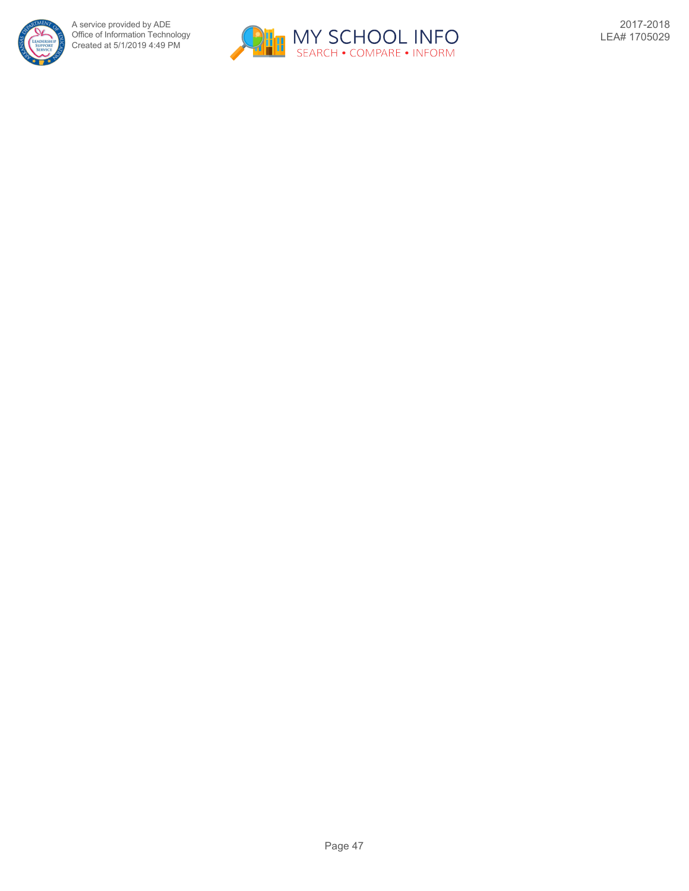

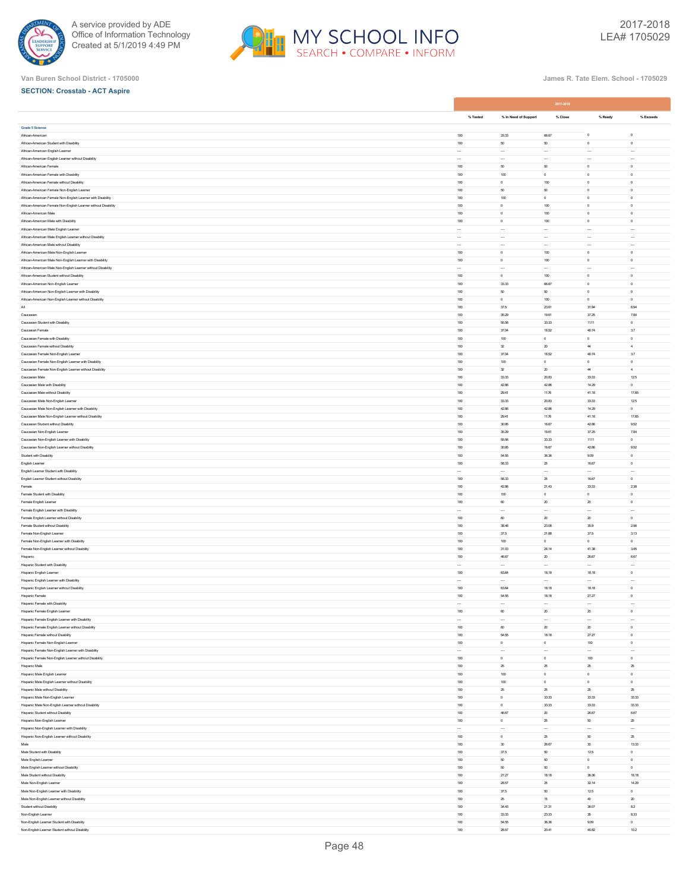



|                                                                                                        | 2017-2018       |                        |                            |                           |                                 |
|--------------------------------------------------------------------------------------------------------|-----------------|------------------------|----------------------------|---------------------------|---------------------------------|
|                                                                                                        | % Tested        | % In Need of Support   | % Close                    | % Ready                   | % Exceeds                       |
| Grade 5 Science                                                                                        |                 |                        |                            |                           |                                 |
| African-American                                                                                       | 100             | 33.33                  | 66.67                      | $\,$ 0                    | $\,$ 0                          |
| African-American Student with Disability                                                               | 100             | $_{\rm 50}$            | $_{\rm 50}$                | $\mathbb O$               | $\mathbb O$                     |
| African-American English Learner                                                                       | $\cdots$        | $\cdots$               | $\cdots$                   | $\ddotsc$                 | $\cdots$                        |
| African-American English Learner without Disability<br>African-American Female                         | $\cdots$<br>100 | $\cdots$<br>60         | $\cdots$<br>50             | $\cdots$<br>$^{\circ}$    | $\cdots$<br>$\circ$             |
| African-American Female with Disability                                                                | 100             | 100                    | $\circ$                    | $\circ$                   | $\circ$                         |
| African-American Female without Disability                                                             | 100             | $\,$ 0                 | $100\,$                    | $\,$ 0                    | $\,$ 0                          |
| African-American Female Non-English Learner                                                            | 100             | 60                     | $_{50}$                    | $\circ$                   | $\circ$                         |
| African-American Female Non-English Learner with Disability                                            | 100             | 100                    | $\circ$                    | $\circ$                   | $\circ$                         |
| African-American Female Non-English Learner without Disability<br>African-American Male                | 100<br>100      | $\,$ 0 $\,$<br>$\circ$ | $100\,$<br>100             | $\,$ 0 $\,$<br>$^{\circ}$ | $\,$ 0<br>$\circ$               |
| African-American Male with Disability                                                                  | 100             | $\,$ 0 $\,$            | 100                        | $\,$ 0 $\,$               | $\,$ 0 $\,$                     |
| African-American Male English Learner                                                                  | $\ldots$        | $\cdots$               | $\cdots$                   | $\ddotsc$                 | $\cdots$                        |
| African-American Male English Learner without Disability                                               | $\cdots$        | $\cdots$               | $\cdots$                   | $\cdots$                  | $\cdots$                        |
| African-American Male without Disability                                                               | $\cdots$        | $\sim$                 | $\ddotsc$                  | $\ddot{\phantom{0}}$      | $\cdots$                        |
| African-American Male Non-English Learner<br>African-American Male Non-English Learner with Disability | 100<br>100      | $\,0\,$<br>$\,$ 0 $\,$ | 100<br>100                 | $\,0\,$<br>$\,$ 0 $\,$    | $\,0\,$<br>$\,$ 0 $\,$          |
| African-American Male Non-English Learner without Disability                                           |                 | $\sim$                 | $\ddot{\phantom{a}}$       | $\ddot{\phantom{a}}$      | $\cdots$                        |
| African-American Student without Disability                                                            | 100             | $\circ$                | 100                        | $\circ$                   | $\circ$                         |
| African-American Non-English Learner                                                                   | 100             | 33.33                  | 66.67                      | $\,$ 0 $\,$               | $\,$ 0 $\,$                     |
| African-American Non-English Learner with Disability                                                   | 100             | 60                     | 50                         | $^{\circ}$                | $\circ$                         |
| African-American Non-English Learner without Disability<br>$\mathsf{All}$                              | 100<br>100      | $\circ$<br>$37.5\,$    | 100<br>23.61               | $^{\circ}$<br>31.94       | $\circ$<br>6.94                 |
| Caucasian                                                                                              | 100             | 35.29                  | 19.61                      | 37.25                     | 7.84                            |
| Caucasian Student with Disability                                                                      | 100             | 55.56                  | 33.33                      | 11.11                     | $\,$ 0 $\,$                     |
| Caucasian Female                                                                                       | 100             | 37.04                  | 18.52                      | 40.74                     | $3.7\,$                         |
| Caucasian Female with Disability                                                                       | 100             | 100                    | $\circ$                    | $^{\circ}$                | $\circ$                         |
| Caucasian Female without Disability<br>Caucasian Female Non-English Learner                            | 100<br>100      | $\infty$<br>37.04      | $20\,$<br>18.52            | $\bf{44}$<br>40.74        | $\overline{4}$<br>3.7           |
| Caucasian Female Non-English Learner with Disability                                                   | 100             | 100                    | $\circ$                    | $^{\circ}$                | $\circ$                         |
| Caucasian Female Non-English Learner without Disability                                                | 100             | $_{\rm 32}$            | $\rm{20}$                  | $\bf{44}$                 | $\sqrt{4}$                      |
| Caucasian Male                                                                                         | 100             | 33.33                  | 20.83                      | 33.33                     | 12.5                            |
| Caucasian Male with Disability                                                                         | 100             | 42.86                  | 42.86                      | 14.29                     | $\,$ 0 $\,$                     |
| Caucasian Male without Disability<br>Caucasian Male Non-English Learner                                | 100<br>100      | 29.41<br>33.33         | 11.76<br>20.83             | 41.18<br>33.33            | 17.65<br>12.5                   |
| Caucasian Male Non-English Learner with Disability                                                     | 100             | 42.86                  | 42.86                      | 14.29                     | $\,$ 0 $\,$                     |
| Caucasian Male Non-English Learner without Disability                                                  | 100             | 29.41                  | 11.76                      | 41.18                     | 17.65                           |
| Caucasian Student without Disability                                                                   | 100             | 30.95                  | 16.67                      | 42.86                     | 9.52                            |
| Caucasian Non-English Learner                                                                          | 100             | 35.29                  | 19.61                      | 37.25                     | 7.84                            |
| Caucasian Non-English Learner with Disability<br>Caucasian Non-English Learner without Disability      | 100<br>100      | 55.56<br>30.95         | 33.33<br>16.67             | 11.11<br>42.86            | $\circ$<br>9.52                 |
| Student with Disability                                                                                | 100             | 54.55                  | 36.36                      | 9.09                      | $\,$ 0 $\,$                     |
| English Learner                                                                                        | 100             | 58.33                  | 25                         | 16.67                     | $\circ$                         |
| English Learner Student with Disability                                                                | $\cdots$        | $\cdots$               | $\cdots$                   | $\cdots$                  | $\cdots$                        |
| English Learner Student without Disability                                                             | 100<br>100      | 58.33<br>42.86         | $\mathbf{z}$<br>21.43      | 16.67                     | $\,0\,$<br>2.38                 |
| Female<br>Female Student with Disability                                                               | 100             | 100                    | $\,$ 0 $\,$                | 33.33<br>$\mathbb O$      | $\mathbb O$                     |
| Female English Learner                                                                                 | 100             | 60                     | $20\,$                     | $20\,$                    | $\,0\,$                         |
| Female English Learner with Disability                                                                 | $\ldots$        | $\cdots$               | $\cdots$                   | $\cdots$                  | $\cdots$                        |
| Female English Learner without Disability                                                              | 100             | $_{60}$                | $\rm{20}$                  | $\rm{20}$                 | $\,$ 0 $\,$                     |
| Female Student without Disability                                                                      | 100             | 38.46                  | 23.08                      | 35.9                      | 2.56                            |
| Female Non-English Learner<br>Female Non-English Learner with Disability                               | 100<br>100      | 37.5<br>100            | 21.88<br>$\circ$           | 37.5<br>$\circ$           | 3.13<br>$\circ$                 |
| Female Non-English Learner without Disability                                                          | 100             | 31.03                  | 24.14                      | 41.38                     | 3.45                            |
| Hispanic                                                                                               | 100             | 46.67                  | $\rm{20}$                  | 26.67                     | 6.67                            |
| Hispanic Student with Disability                                                                       |                 | $\sim$                 | $\ddot{\phantom{a}}$       | $\ddotsc$                 | $\sim$                          |
| Hispanic English Learner                                                                               | 100             | 63.64                  | 18.18                      | 18.18                     | $\,$ 0 $\,$                     |
| Hispanic English Learner with Disability<br>Hispanic English Learner without Disability                | $\cdots$<br>100 | $\cdots$<br>63.64      | $\cdots$<br>18.18          | $\cdots$<br>18.18         | $\cdots$<br>$\circ$             |
| Hispanic Female                                                                                        | 100             | 54.55                  | 18.18                      | 27.27                     | $\circ$                         |
| Hispanic Female with Disability                                                                        |                 |                        |                            |                           |                                 |
| Hispanic Female English Learner                                                                        | 100             | 60                     | 20                         | $20\,$                    | $\circ$                         |
| Hispanic Female English Learner with Disability                                                        | <br>100         | $\sim$<br>60           | $\ddot{\phantom{a}}$<br>20 | $\ddotsc$<br>20           | $\ddot{\phantom{0}}$<br>$\circ$ |
| Hispanic Female English Learner without Disability<br>Hispanic Female without Disability               | 100             | 54.55                  | 18.18                      | 27.27                     | $\,$ 0 $\,$                     |
| Hispanic Female Non-English Learner                                                                    | 100             | $\,0\,$                | $\,$ 0 $\,$                | $100\,$                   | $\,$ 0 $\,$                     |
| Hispanic Female Non-English Learner with Disability                                                    | $\cdots$        | $\sim$                 | $\cdots$                   | $\cdots$                  | $\cdots$                        |
| Hispanic Female Non-English Learner without Disability                                                 | 100             | $\,$ 0                 | $\,$ 0                     | 100                       | $\,$ 0 $\,$                     |
| Hispanic Male<br>Hispanic Male English Learner                                                         | 100<br>100      | $_{\rm 25}$<br>100     | $_{\rm 25}$<br>$\circ$     | $\rm 25$<br>$^{\circ}$    | 25<br>$\circ$                   |
| Hispanic Male English Learner without Disability                                                       | 100             | 100                    | $\,$ 0                     | $\,$ 0 $\,$               | $\,$ 0                          |
| Hispanic Male without Disability                                                                       | 100             | $\rm{25}$              | 25                         | 25                        | 25                              |
| Hispanic Male Non-English Learner                                                                      | 100             | $\,$ 0 $\,$            | 33.33                      | 33.33                     | 33.33                           |
| Hispanic Male Non-English Learner without Disability                                                   | 100             | $\,$ 0 $\,$            | 33.33                      | 33.33                     | 33.33                           |
| Hispanic Student without Disability                                                                    | 100             | 46.67                  | 20                         | 26.67                     | 6.67                            |
| Hispanic Non-English Learner<br>Hispanic Non-English Learner with Disability                           | 100<br>$\cdots$ | $\circ$<br>$\cdots$    | $\rm{2S}$<br>$\ldots$      | 60<br>$\cdots$            | $2\mathrm{s}$<br>$\ldots$       |
| Hispanic Non-English Learner without Disability                                                        | 100             | $\circ$                | 25                         | 50                        | 25                              |
| Male                                                                                                   | 100             | $_{30}$                | 26.67                      | $30\,$                    | 13.33                           |
| Male Student with Disability                                                                           | 100             | 37.5                   | 60                         | 12.5                      | $\circ$                         |
| Male English Learner                                                                                   | 100             | 60                     | 60                         | $\,$ 0 $\,$               | $\,$ 0 $\,$                     |
| Male English Learner without Disability<br>Male Student without Disability                             | 100<br>100      | $_{\rm 50}$<br>27.27   | $_{\rm 50}$<br>18.18       | $\,$ 0 $\,$<br>36.36      | $\,$ 0 $\,$<br>18.18            |
| Male Non-English Learner                                                                               | 100             | 28.57                  | $\rm{2S}$                  | 32.14                     | 14.29                           |
| Male Non-English Learner with Disability                                                               | 100             | 37.5                   | $_{50}$                    | 12.5                      | $\circ$                         |
| Male Non-English Learner without Disability                                                            | 100             | $\rm{25}$              | 15                         | 40                        | 20                              |
| Student without Disability                                                                             | 100             | 34.43                  | 21.31                      | 36.07                     | $^{\rm 82}$                     |
| Non-English Learner                                                                                    | 100<br>100      | 33.33                  | 23.33                      | 35                        | 8.33                            |
| Non-English Learner Student with Disability<br>Non-English Learner Student without Disability          | 100             | 54.55<br>28.57         | 36.36<br>20.41             | 9.09<br>40.82             | $\,$ 0 $\,$<br>10.2             |
|                                                                                                        |                 |                        |                            |                           |                                 |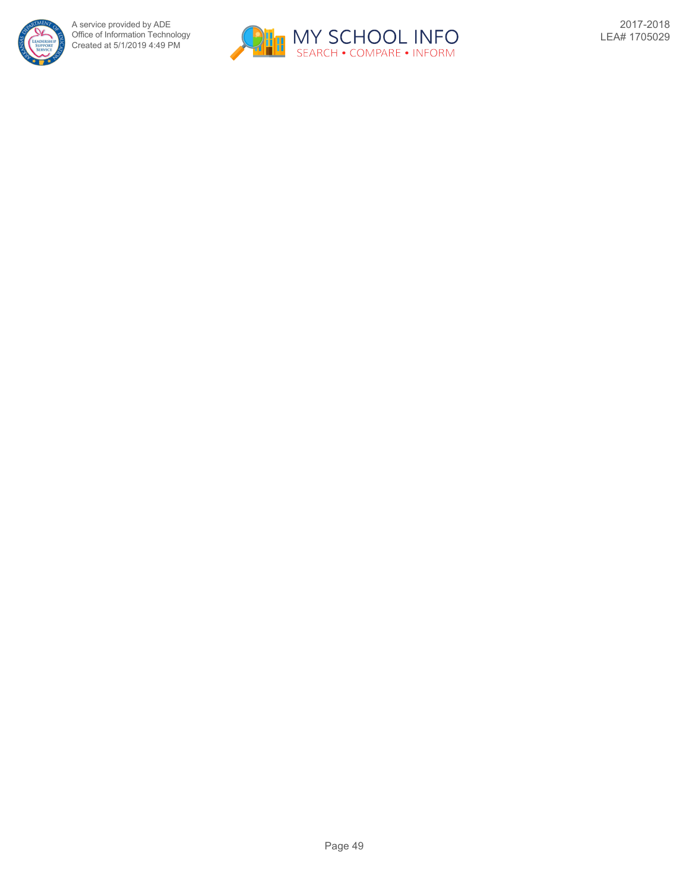

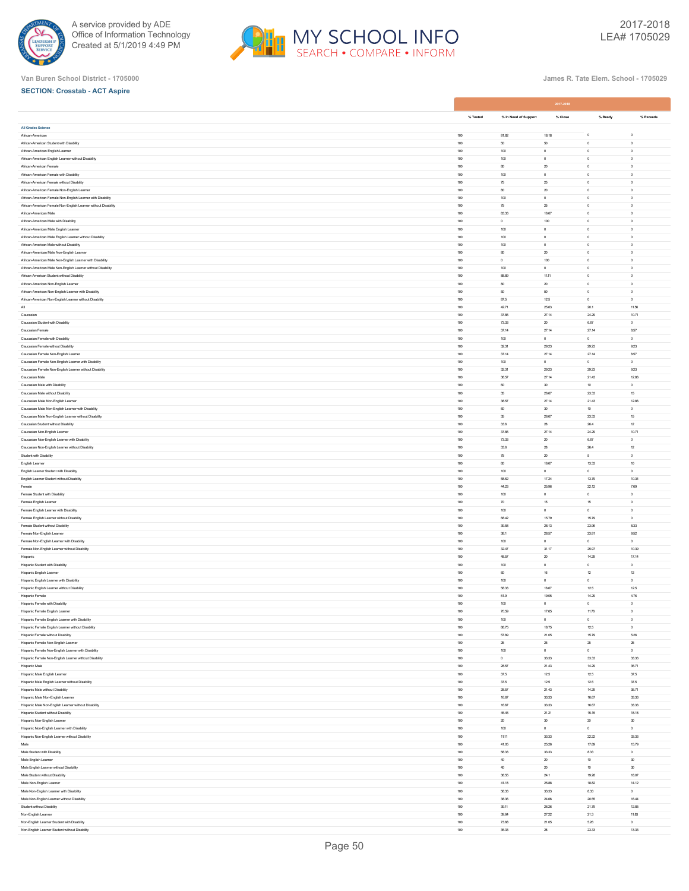



|                                                                                               |                |                      | 2017-2018                     |                        |                             |
|-----------------------------------------------------------------------------------------------|----------------|----------------------|-------------------------------|------------------------|-----------------------------|
|                                                                                               | $%$ Tested     | % In Need of Support | % Close                       | % Ready                | % Exceeds                   |
|                                                                                               |                |                      |                               |                        |                             |
| <b>All Grades Science</b>                                                                     |                |                      |                               |                        |                             |
| African-American                                                                              | 100            | 81.82                | 18.18                         | $\circ$                | $\mathbf{0}$                |
| African-American Student with Disability                                                      | 100            | $_{\rm S0}$          | $_{\rm 50}$                   | $\circ$                | $\mathbb O$                 |
| African-American English Learner                                                              | $100\,$        | $100\,$              | $\,$ 0 $\,$                   | $\mathbb O$            | $\,$ 0                      |
| African-American English Learner without Disability<br>African-American Female                | 100<br>100     | 100<br>$_{80}$       | $\,0\,$<br>$\rm{20}$          | $\circ$<br>$\circ$     | $\,$ 0<br>$\,$ 0 $\,$       |
|                                                                                               |                |                      |                               |                        |                             |
| African-American Female with Disability<br>African-American Female without Disability         | $100\,$<br>100 | $100\,$<br>75        | $\,$ 0 $\,$<br>$\rm{z}\rm{s}$ | $\mathbb O$<br>$\circ$ | $\,$ 0<br>$\mathbf{0}$      |
|                                                                                               |                |                      |                               | $\circ$                |                             |
| African-American Female Non-English Learner                                                   | 100            | $_{80}$              | $\rm{20}$                     |                        | $\,$ 0 $\,$                 |
| African-American Female Non-English Learner with Disability                                   | 100            | 100                  | $\,$ 0 $\,$                   | $\,$ 0<br>$\mathbf{0}$ | $\,$ 0 $\,$<br>$\mathbf{0}$ |
| African-American Female Non-English Learner without Disability<br>African-American Male       | 100<br>$100\,$ | $7\!$<br>83.33       | $\rm{z}\rm{s}$<br>16.67       | $\circ$                | $\,0\,$                     |
| African-American Male with Disability                                                         |                |                      |                               | $\,$ 0                 |                             |
| African-American Male English Learner                                                         | 100<br>100     | $\,$ 0 $\,$<br>100   | 100<br>$\,$ 0 $\,$            | $\circ$                | $\,$ 0 $\,$<br>$\,$ 0 $\,$  |
| African-American Male English Learner without Disability                                      | $100\,$        | $100\,$              | $\,$ 0                        | $\mathbb O$            | $\,$ 0                      |
| African-American Male without Disability                                                      | 100            | 100                  | $\,0\,$                       | $\circ$                | $\,$ 0 $\,$                 |
| African-American Male Non-English Learner                                                     | 100            | $_{80}$              | $\rm{20}$                     | $\circ$                | $\,$ 0 $\,$                 |
| African-American Male Non-English Learner with Disability                                     | 100            | $\,0\,$              | 100                           | $\circ$                | $\circ$                     |
| African-American Male Non-English Learner without Disability                                  | 100            | 100                  | $\circ$                       | $\circ$                | $\circ$                     |
| African-American Student without Disability                                                   | $100\,$        | 88.89                | 11.11                         | $\mathbb O$            | $\,$ 0                      |
| African-American Non-English Learner                                                          | 100            | $_{80}$              | $\rm{20}$                     | $\,$ 0                 | $\,$ 0 $\,$                 |
| African-American Non-English Learner with Disability                                          | 100            | $_{\rm S0}$          | $_{\rm 50}$                   | $\circ$                | $\,$ 0 $\,$                 |
| African-American Non-English Learner without Disability                                       | $100\,$        | 87.5                 | 12.5                          | $\mathbb O$            | $\,$ 0                      |
| All                                                                                           | 100            | 42.71                | 25.63                         | 20.1                   | 11.56                       |
| Caucasian                                                                                     | 100            | 37.86                | 27.14                         | 24.29                  | 10.71                       |
| Caucasian Student with Disability                                                             | 100            | 73.33                | $\rm{20}$                     | 6.67                   | $\mathbb O$                 |
| Caucasian Female                                                                              | 100            | 37.14                | 27.14                         | 27.14                  | 8.57                        |
|                                                                                               |                |                      |                               |                        | $\mathbb O$                 |
| Caucasian Female with Disability<br>Caucasian Female without Disability                       | $100\,$        | $100\,$              | $\,$ 0                        | $\,0\,$                |                             |
|                                                                                               | 100            | 32.31                | 29.23                         | 29.23                  | 9.23                        |
| Caucasian Female Non-English Learner                                                          | 100            | 37.14                | 27.14                         | 27.14                  | 8.57                        |
| Caucasian Female Non-English Learner with Disability                                          | $100\,$        | $100\,$              | $\,$ 0                        | $\mathbb O$            | $\mathbb O$                 |
| Caucasian Female Non-English Learner without Disability                                       | 100            | 32.31                | 29.23                         | 29.23                  | 9.23                        |
| Caucasian Male                                                                                | 100            | 38.57                | 27.14                         | 21.43                  | 12.86                       |
| Caucasian Male with Disability                                                                | 100            | $_{60}$              | $30\,$                        | $10\,$                 | $\circ$                     |
| Caucasian Male without Disability                                                             | 100            | 35                   | 26.67                         | 23.33                  | 15                          |
| Caucasian Male Non-English Learner                                                            | $100\,$        | 38.57                | 27.14                         | 21.43                  | 12.86                       |
| Caucasian Male Non-English Learner with Disability                                            | 100            | $_{60}$              | $30\,$                        | $10\,$                 | $\circ$                     |
| Caucasian Male Non-English Learner without Disability                                         | 100            | $\mathfrak{B}$       | 26.67                         | 23.33                  | $15\,$                      |
| Caucasian Student without Disability                                                          | $100\,$        | 33.6                 | $\rm 28$                      | 26.4                   | $\mathbf{12}$               |
| Caucasian Non-English Learner                                                                 | 100            | 37.86                | 27.14                         | 24.29                  | 10.71                       |
| Caucasian Non-English Learner with Disability                                                 | 100            | 73.33                | $\rm{20}$                     | 6.67                   | $\,$ 0 $\,$                 |
| Caucasian Non-English Learner without Disability                                              | 100            | 33.6                 | $\rm 28$                      | 26.4                   | $12\,$                      |
| Student with Disability                                                                       | 100            | $7\!$                | 20                            | $\overline{5}$         | $\mathbf{0}$                |
| English Learner                                                                               | $100\,$        | $_{60}$              | 16.67                         | 13.33                  | $10\,$                      |
|                                                                                               |                |                      |                               |                        |                             |
| English Learner Student with Disability                                                       | 100            | 100                  | $\,$ 0 $\,$                   | $\mathbb O$            | $\,$ 0 $\,$                 |
| English Learner Student without Disability                                                    | 100            | 58.62                | 17.24                         | 13.79                  | 10.34                       |
| Female                                                                                        | $100\,$        | 44.23                | 25.96                         | 22.12                  | 7.69                        |
| Female Student with Disability                                                                | 100            | 100                  | $\,0\,$                       | $\mathbb O$            | $\mathbb O$                 |
| Female English Learner                                                                        | 100            | $70\,$               | $15\,$                        | $15\,$                 | $\,$ 0 $\,$                 |
| Female English Learner with Disability                                                        | 100            | 100                  | $\,0\,$                       | $\circ$                | $\mathbb O$                 |
| Female English Learner without Disability                                                     | 100            | 68.42                | 15.79                         | 15.79                  | $^{\circ}$                  |
| Female Student without Disability                                                             | $100\,$        | 39.58                | 28.13                         | 23.96                  | 8.33                        |
| Female Non-English Learner                                                                    | 100            | 38.1                 | 28.57                         | 23.81                  | 9.52                        |
| Female Non-English Learner with Disability                                                    | 100            | 100                  | $\,0\,$                       | $\mathbb O$            | $\,$ 0 $\,$                 |
| Female Non-English Learner without Disability                                                 | $100\,$        | 32.47                | 31.17                         | 25.97                  | 10.39                       |
| Hispanic                                                                                      | 100            | 48.57                | 20                            | 14.29                  | 17.14                       |
| Hispanic Student with Disability                                                              | 100            | 100                  | $\,0\,$                       | $\mathbb O$            | $\mathbb O$                 |
| Hispanic English Learner                                                                      | 100            | $_{60}$              | $16\,$                        | $12\,$                 | $12\,$                      |
| Hispanic English Learner with Disability                                                      | 100            | 100                  | $\mathbf{0}$                  | $\mathbf{0}$           | $\mathbf{0}$                |
| Hispanic English Learner without Disability                                                   | $100\,$        | 58.33                | 16.67                         | 12.5                   | 12.5                        |
| Hispanic Female                                                                               | 100            | 61.9                 | 19.05                         | 14.29                  | 4.76                        |
| Hispanic Female with Disability                                                               | 100            | 100                  | $\,$ 0 $\,$                   | $\circ$                | $\circ$                     |
| Hispanic Female English Learner                                                               | $100\,$        | 70.59                | 17.65                         | 11.76                  | $\,$ 0                      |
| Hispanic Female English Learner with Disability                                               | 100            | 100                  | $\circ$                       | $^{\circ}$             | $^{\circ}$                  |
| Hispanic Female English Learner without Disability                                            | 100            | 68.75                | 18.75                         | 12.5                   | $\,$ 0 $\,$                 |
| Hispanic Female without Disability                                                            | 100            | 57.89                | 21.05                         | 15.79                  | 5.26                        |
| Hispanic Female Non-English Learner                                                           | 100            | $\rm{z}\rm{s}$       | $\rm{2S}$                     | 25                     | $\rm{25}$                   |
| Hispanic Female Non-English Learner with Disability                                           | $100\,$        | $100\,$              | $\,$ 0 $\,$                   | $\mathbb O$            | $\mathbb O$                 |
| Hispanic Female Non-English Learner without Disability                                        | 100            | $\,0\,$              | 33.33                         | 33.33                  | 33.33                       |
| Hispanic Male                                                                                 | 100            | 28.57                | 21.43                         | 14.29                  | 35.71                       |
| Hispanic Male English Learner                                                                 | $100\,$        | 37.5                 | 12.5                          | 12.5                   | 37.5                        |
|                                                                                               | 100            | 37.5                 | 12.5                          | 12.5                   | 37.5                        |
| Hispanic Male English Learner without Disability<br>Hispanic Male without Disability          | 100            | 28.57                | 21.43                         | 14.29                  | 35.71                       |
|                                                                                               |                | 16.67                |                               | 16.67                  |                             |
| Hispanic Male Non-English Learner<br>Hispanic Male Non-English Learner without Disability     | 100<br>100     | 16.67                | 33.33<br>33.33                | 16.67                  | 33.33<br>33.33              |
|                                                                                               |                |                      |                               |                        |                             |
| Hispanic Student without Disability                                                           | $100\,$        | 45.45                | 21.21                         | 15.15                  | 18.18                       |
| Hispanic Non-English Learner                                                                  | 100            | $\rm{20}$            | $30\,$                        | $\rm{20}$              | $30\,$                      |
| Hispanic Non-English Learner with Disability                                                  | 100            | 100                  | $\,$ 0 $\,$                   | $\mathbb O$            | $\,$ 0 $\,$                 |
| Hispanic Non-English Learner without Disability<br>Male                                       | $100\,$<br>100 | $11.11\,$            | 33.33                         | 22.22<br>17.89         | 33.33                       |
|                                                                                               |                | 41.05                | 25.26                         |                        | 15.79                       |
| Male Student with Disability                                                                  | 100            | 58.33                | 33.33                         | 8.33                   | $\,$ 0 $\,$                 |
| Male English Learner                                                                          | 100            | $40\,$               | $\rm{20}$                     | $10\,$                 | $30\,$                      |
| Male English Learner without Disability                                                       | 100            | 40                   | 20                            | 10                     | 30                          |
| Male Student without Disability                                                               | $100\,$        | 38.55                | 24.1                          | 19.28                  | 18.07                       |
| Male Non-English Learner                                                                      | 100            | 41.18                | 25.88                         | 18.82                  | 14.12                       |
| Male Non-English Learner with Disability                                                      | 100            | 58.33                | 33.33                         | 8.33                   | $\,$ 0 $\,$                 |
| Male Non-English Learner without Disability                                                   | $100\,$        | 38.36                | 24.66                         | 20.55                  | 16.44                       |
| Student without Disability                                                                    | 100            | 39.11                | 26.26                         | 21.79                  | 12.85                       |
| Non-English Learner                                                                           | 100            | 39.64                | 27.22                         | 21.3                   | 11.83                       |
| Non-English Learner Student with Disability<br>Non-English Learner Student without Disability | 100<br>100     | 73.68<br>35.33       | 21.05<br>$_{\rm 28}$          | 5.26<br>23.33          | $\,$ 0 $\,$<br>13.33        |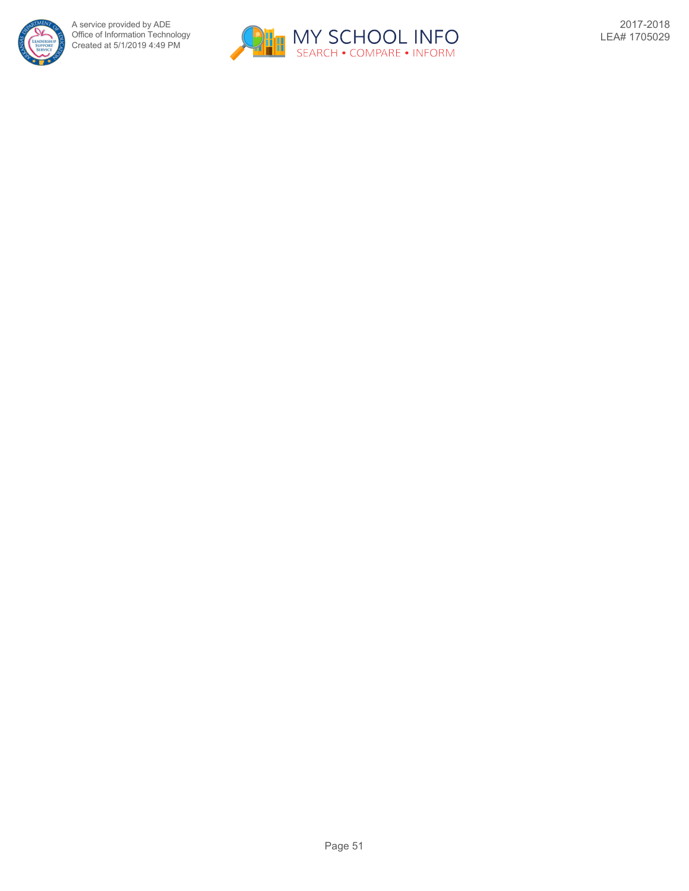

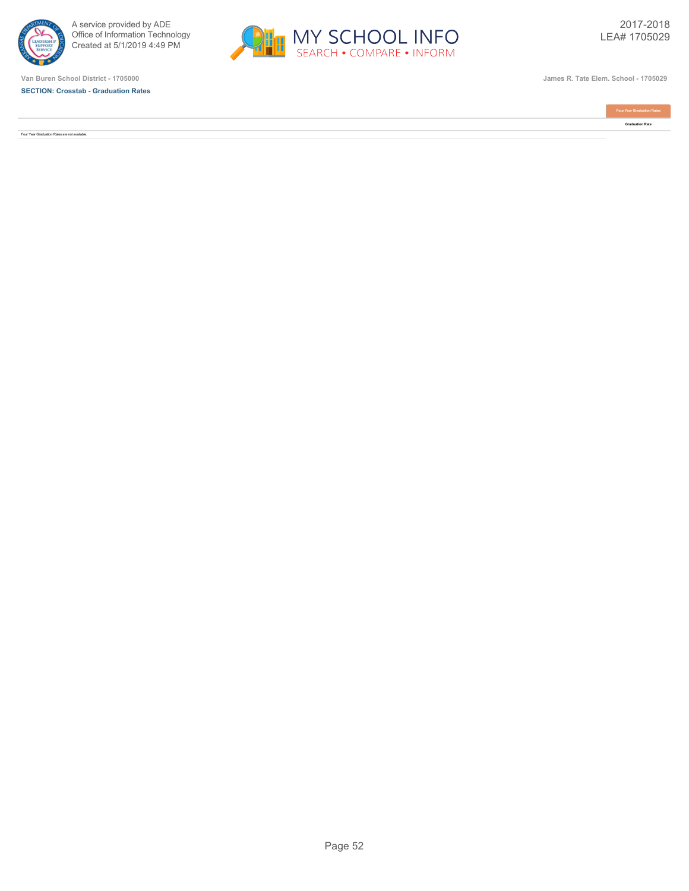

**SECTION: Crosstab - Graduation Rates**



**Van Buren School District - 1705000 James R. Tate Elem. School - 1705029**



Four Year Graduation Rates are not available.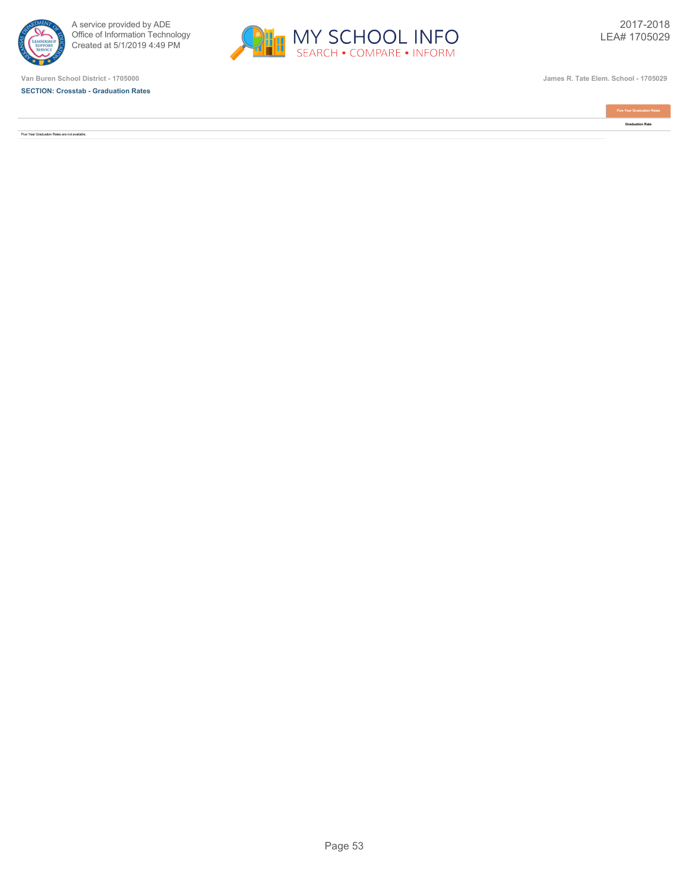

**SECTION: Crosstab - Graduation Rates**



**Van Buren School District - 1705000 James R. Tate Elem. School - 1705029**



Five Year Graduation Rates are not available.